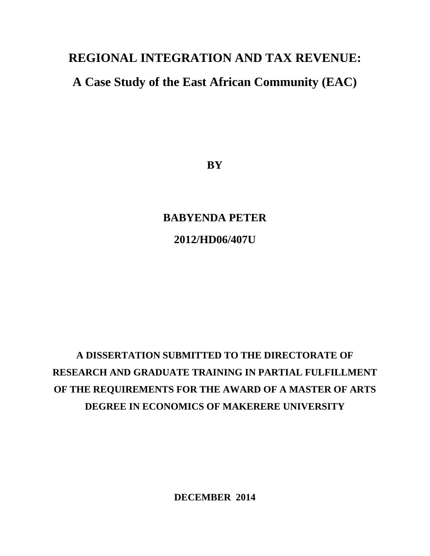## **REGIONAL INTEGRATION AND TAX REVENUE:**

**A Case Study of the East African Community (EAC)**

**BY**

# **BABYENDA PETER 2012/HD06/407U**

# **A DISSERTATION SUBMITTED TO THE DIRECTORATE OF RESEARCH AND GRADUATE TRAINING IN PARTIAL FULFILLMENT OF THE REQUIREMENTS FOR THE AWARD OF A MASTER OF ARTS DEGREE IN ECONOMICS OF MAKERERE UNIVERSITY**

**DECEMBER 2014**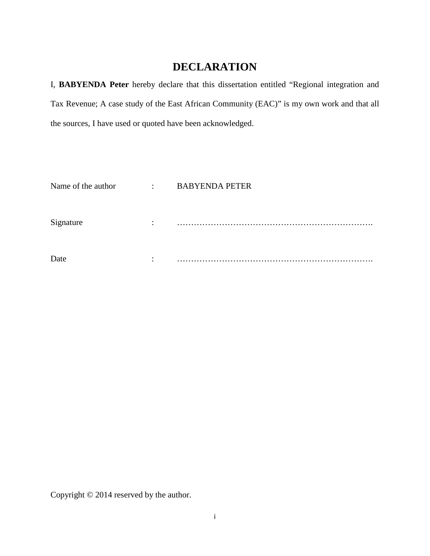### **DECLARATION**

<span id="page-1-0"></span>I, **BABYENDA Peter** hereby declare that this dissertation entitled "Regional integration and Tax Revenue; A case study of the East African Community (EAC)" is my own work and that all the sources, I have used or quoted have been acknowledged.

| Name of the author | $\ddot{\cdot}$ | <b>BABYENDA PETER</b> |
|--------------------|----------------|-----------------------|
|                    |                |                       |
| Signature          | $\bullet$      |                       |
| Date               | $\bullet$      |                       |

Copyright © 2014 reserved by the author.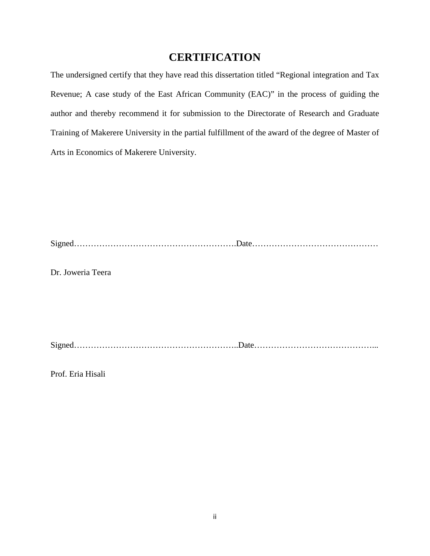### **CERTIFICATION**

<span id="page-2-0"></span>The undersigned certify that they have read this dissertation titled "Regional integration and Tax Revenue; A case study of the East African Community (EAC)" in the process of guiding the author and thereby recommend it for submission to the Directorate of Research and Graduate Training of Makerere University in the partial fulfillment of the award of the degree of Master of Arts in Economics of Makerere University.

Signed………………………………………………….Date………………………………………

Dr. Joweria Teera

Signed…………………………………………………..Date……………………………………...

Prof. Eria Hisali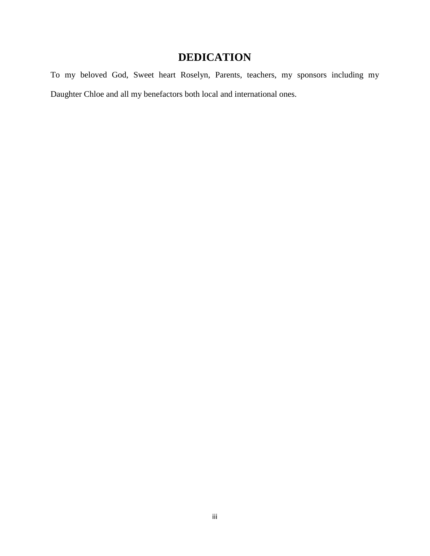### **DEDICATION**

<span id="page-3-0"></span>To my beloved God, Sweet heart Roselyn, Parents, teachers, my sponsors including my Daughter Chloe and all my benefactors both local and international ones.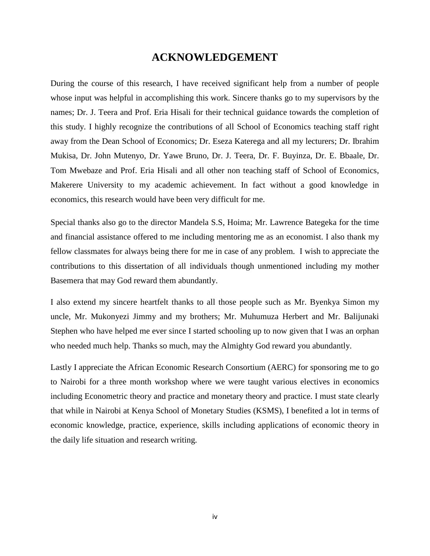### **ACKNOWLEDGEMENT**

<span id="page-4-0"></span>During the course of this research, I have received significant help from a number of people whose input was helpful in accomplishing this work. Sincere thanks go to my supervisors by the names; Dr. J. Teera and Prof. Eria Hisali for their technical guidance towards the completion of this study. I highly recognize the contributions of all School of Economics teaching staff right away from the Dean School of Economics; Dr. Eseza Katerega and all my lecturers; Dr. Ibrahim Mukisa, Dr. John Mutenyo, Dr. Yawe Bruno, Dr. J. Teera, Dr. F. Buyinza, Dr. E. Bbaale, Dr. Tom Mwebaze and Prof. Eria Hisali and all other non teaching staff of School of Economics, Makerere University to my academic achievement. In fact without a good knowledge in economics, this research would have been very difficult for me.

Special thanks also go to the director Mandela S.S, Hoima; Mr. Lawrence Bategeka for the time and financial assistance offered to me including mentoring me as an economist. I also thank my fellow classmates for always being there for me in case of any problem. I wish to appreciate the contributions to this dissertation of all individuals though unmentioned including my mother Basemera that may God reward them abundantly.

I also extend my sincere heartfelt thanks to all those people such as Mr. Byenkya Simon my uncle, Mr. Mukonyezi Jimmy and my brothers; Mr. Muhumuza Herbert and Mr. Balijunaki Stephen who have helped me ever since I started schooling up to now given that I was an orphan who needed much help. Thanks so much, may the Almighty God reward you abundantly.

<span id="page-4-1"></span>Lastly I appreciate the African Economic Research Consortium (AERC) for sponsoring me to go to Nairobi for a three month workshop where we were taught various electives in economics including Econometric theory and practice and monetary theory and practice. I must state clearly that while in Nairobi at Kenya School of Monetary Studies (KSMS), I benefited a lot in terms of economic knowledge, practice, experience, skills including applications of economic theory in the daily life situation and research writing.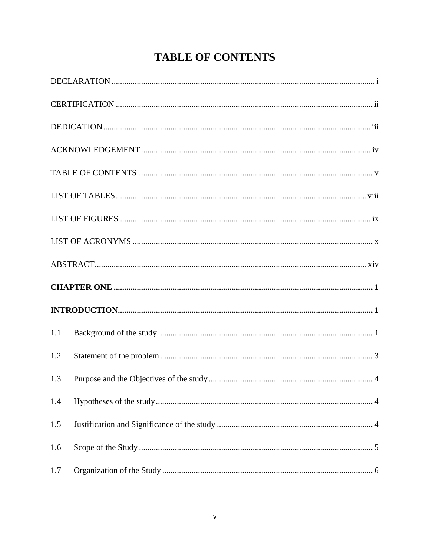## **TABLE OF CONTENTS**

| 1.1 |  |
|-----|--|
| 1.2 |  |
| 1.3 |  |
| 1.4 |  |
| 1.5 |  |
| 1.6 |  |
| 1.7 |  |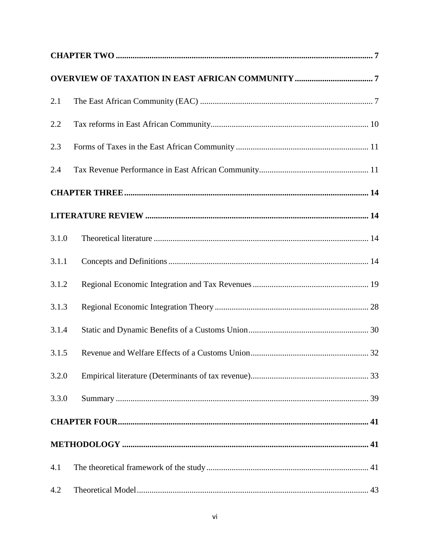| 2.1   |  |
|-------|--|
| 2.2   |  |
| 2.3   |  |
| 2.4   |  |
|       |  |
|       |  |
| 3.1.0 |  |
| 3.1.1 |  |
| 3.1.2 |  |
| 3.1.3 |  |
| 3.1.4 |  |
| 3.1.5 |  |
| 3.2.0 |  |
| 3.3.0 |  |
|       |  |
|       |  |
| 4.1   |  |
| 4.2   |  |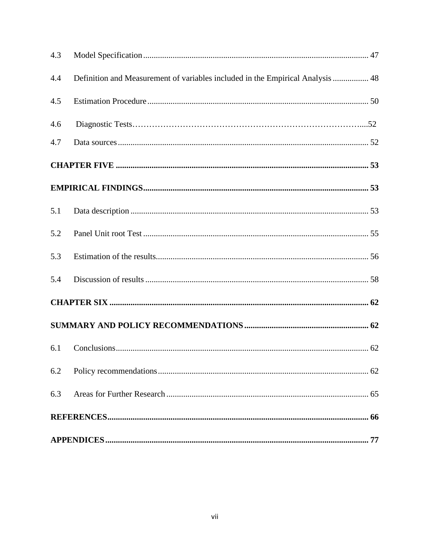| 4.3 |                                                                                |  |
|-----|--------------------------------------------------------------------------------|--|
| 4.4 | Definition and Measurement of variables included in the Empirical Analysis  48 |  |
| 4.5 |                                                                                |  |
| 4.6 |                                                                                |  |
| 4.7 |                                                                                |  |
|     |                                                                                |  |
|     |                                                                                |  |
| 5.1 |                                                                                |  |
| 5.2 |                                                                                |  |
| 5.3 |                                                                                |  |
| 5.4 |                                                                                |  |
|     |                                                                                |  |
|     |                                                                                |  |
| 6.1 |                                                                                |  |
| 6.2 |                                                                                |  |
| 6.3 |                                                                                |  |
|     |                                                                                |  |
|     |                                                                                |  |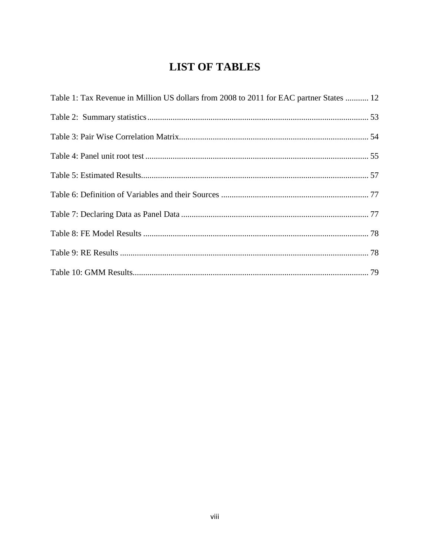## **LIST OF TABLES**

<span id="page-8-0"></span>

| Table 1: Tax Revenue in Million US dollars from 2008 to 2011 for EAC partner States  12 |  |
|-----------------------------------------------------------------------------------------|--|
|                                                                                         |  |
|                                                                                         |  |
|                                                                                         |  |
|                                                                                         |  |
|                                                                                         |  |
|                                                                                         |  |
|                                                                                         |  |
|                                                                                         |  |
|                                                                                         |  |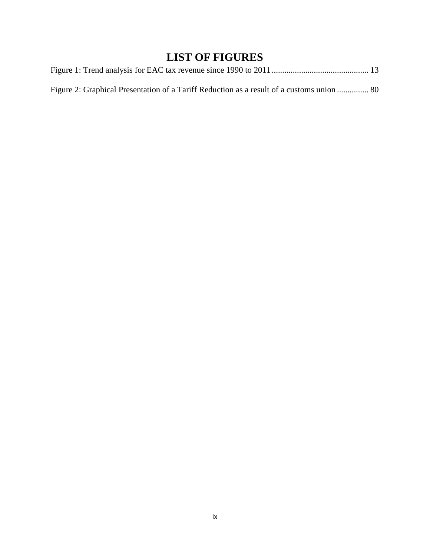## **LIST OF FIGURES**

<span id="page-9-0"></span>

| Figure 2: Graphical Presentation of a Tariff Reduction as a result of a customs union  80 |  |
|-------------------------------------------------------------------------------------------|--|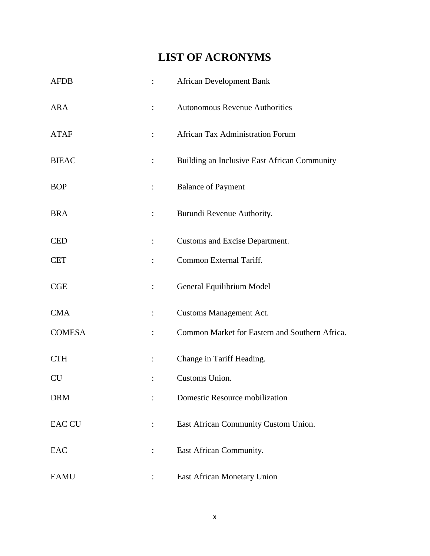## **LIST OF ACRONYMS**

<span id="page-10-0"></span>

| <b>AFDB</b>   |                      | <b>African Development Bank</b>                |  |  |  |
|---------------|----------------------|------------------------------------------------|--|--|--|
| <b>ARA</b>    | $\ddot{\cdot}$       | <b>Autonomous Revenue Authorities</b>          |  |  |  |
| <b>ATAF</b>   |                      | <b>African Tax Administration Forum</b>        |  |  |  |
| <b>BIEAC</b>  | $\ddot{\cdot}$       | Building an Inclusive East African Community   |  |  |  |
| <b>BOP</b>    | $\ddot{\cdot}$       | <b>Balance of Payment</b>                      |  |  |  |
| <b>BRA</b>    | $\ddot{\cdot}$       | Burundi Revenue Authority.                     |  |  |  |
| <b>CED</b>    |                      | Customs and Excise Department.                 |  |  |  |
| <b>CET</b>    |                      | Common External Tariff.                        |  |  |  |
| CGE           |                      | General Equilibrium Model                      |  |  |  |
| <b>CMA</b>    | $\ddot{\cdot}$       | <b>Customs Management Act.</b>                 |  |  |  |
| <b>COMESA</b> |                      | Common Market for Eastern and Southern Africa. |  |  |  |
| <b>CTH</b>    |                      | Change in Tariff Heading.                      |  |  |  |
| <b>CU</b>     |                      | Customs Union.                                 |  |  |  |
| <b>DRM</b>    | $\mathbf{L}$         | Domestic Resource mobilization                 |  |  |  |
| <b>EAC CU</b> | $\ddot{\phantom{a}}$ | East African Community Custom Union.           |  |  |  |
| EAC           | $\ddot{\phantom{a}}$ | East African Community.                        |  |  |  |
| <b>EAMU</b>   |                      | East African Monetary Union                    |  |  |  |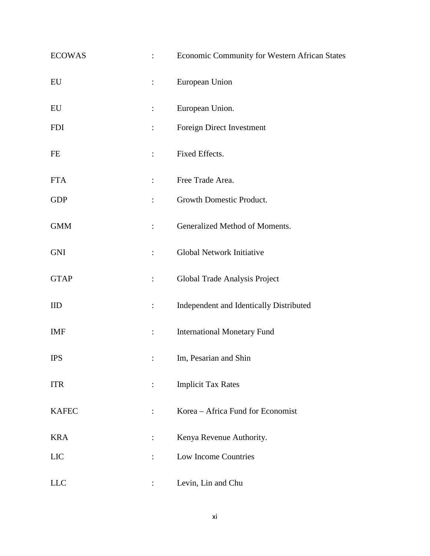| <b>ECOWAS</b> | $\ddot{\cdot}$       | Economic Community for Western African States |  |  |  |
|---------------|----------------------|-----------------------------------------------|--|--|--|
| EU            | $\ddot{\phantom{a}}$ | European Union                                |  |  |  |
| EU            | :                    | European Union.                               |  |  |  |
| <b>FDI</b>    | $\ddot{\cdot}$       | Foreign Direct Investment                     |  |  |  |
| FE            |                      | Fixed Effects.                                |  |  |  |
| <b>FTA</b>    | $\ddot{\cdot}$       | Free Trade Area.                              |  |  |  |
| <b>GDP</b>    | $\ddot{\cdot}$       | Growth Domestic Product.                      |  |  |  |
| <b>GMM</b>    | $\ddot{\cdot}$       | Generalized Method of Moments.                |  |  |  |
| <b>GNI</b>    | $\ddot{\cdot}$       | Global Network Initiative                     |  |  |  |
| <b>GTAP</b>   | $\ddot{\cdot}$       | Global Trade Analysis Project                 |  |  |  |
| IID           | $\ddot{\cdot}$       | Independent and Identically Distributed       |  |  |  |
| <b>IMF</b>    | $\ddot{\cdot}$       | <b>International Monetary Fund</b>            |  |  |  |
| <b>IPS</b>    |                      | Im, Pesarian and Shin                         |  |  |  |
| <b>ITR</b>    |                      | <b>Implicit Tax Rates</b>                     |  |  |  |
| <b>KAFEC</b>  |                      | Korea – Africa Fund for Economist             |  |  |  |
| <b>KRA</b>    | $\ddot{\cdot}$       | Kenya Revenue Authority.                      |  |  |  |
| <b>LIC</b>    | $\ddot{\cdot}$       | Low Income Countries                          |  |  |  |
| <b>LLC</b>    |                      | Levin, Lin and Chu                            |  |  |  |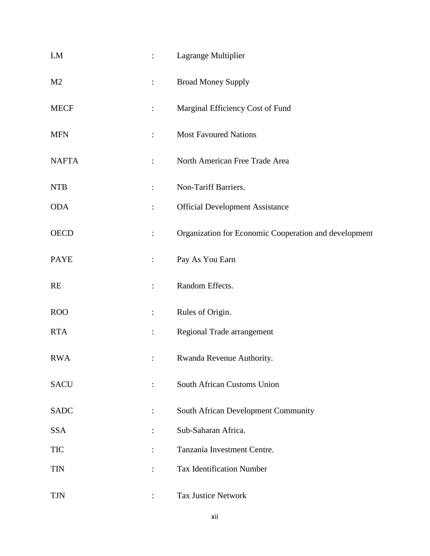| LM             | $\ddot{\phantom{0}}$ | Lagrange Multiplier                                   |  |  |  |
|----------------|----------------------|-------------------------------------------------------|--|--|--|
| M <sub>2</sub> | $\ddot{\phantom{a}}$ | <b>Broad Money Supply</b>                             |  |  |  |
| <b>MECF</b>    | $\ddot{\cdot}$       | Marginal Efficiency Cost of Fund                      |  |  |  |
| <b>MFN</b>     | $\ddot{\phantom{0}}$ | <b>Most Favoured Nations</b>                          |  |  |  |
| <b>NAFTA</b>   | ÷                    | North American Free Trade Area                        |  |  |  |
| <b>NTB</b>     |                      | Non-Tariff Barriers.                                  |  |  |  |
| <b>ODA</b>     | $\ddot{\phantom{a}}$ | <b>Official Development Assistance</b>                |  |  |  |
| <b>OECD</b>    | $\ddot{\phantom{a}}$ | Organization for Economic Cooperation and development |  |  |  |
| <b>PAYE</b>    | $\ddot{\phantom{a}}$ | Pay As You Earn                                       |  |  |  |
| RE             | $\ddot{\cdot}$       | Random Effects.                                       |  |  |  |
| <b>ROO</b>     | $\ddot{\cdot}$       | Rules of Origin.                                      |  |  |  |
| <b>RTA</b>     | $\ddot{\cdot}$       | Regional Trade arrangement                            |  |  |  |
| <b>RWA</b>     | $\ddot{\phantom{a}}$ | Rwanda Revenue Authority.                             |  |  |  |
| <b>SACU</b>    |                      | South African Customs Union                           |  |  |  |
| <b>SADC</b>    |                      | South African Development Community                   |  |  |  |
| <b>SSA</b>     |                      | Sub-Saharan Africa.                                   |  |  |  |
| <b>TIC</b>     | $\ddot{\cdot}$       | Tanzania Investment Centre.                           |  |  |  |
| <b>TIN</b>     |                      | <b>Tax Identification Number</b>                      |  |  |  |
| <b>TJN</b>     |                      | <b>Tax Justice Network</b>                            |  |  |  |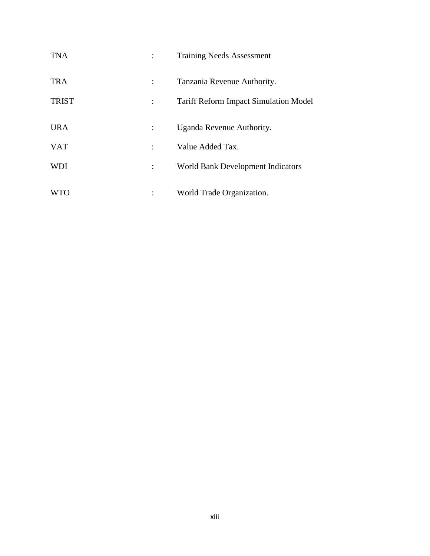| <b>TNA</b>   | $\ddot{\cdot}$ | <b>Training Needs Assessment</b>             |
|--------------|----------------|----------------------------------------------|
| <b>TRA</b>   | $\ddot{\cdot}$ | Tanzania Revenue Authority.                  |
| <b>TRIST</b> | $\ddot{\cdot}$ | <b>Tariff Reform Impact Simulation Model</b> |
| <b>URA</b>   |                | Uganda Revenue Authority.                    |
| <b>VAT</b>   |                | Value Added Tax.                             |
| <b>WDI</b>   | $\ddot{\cdot}$ | World Bank Development Indicators            |
| <b>WTO</b>   |                | World Trade Organization.                    |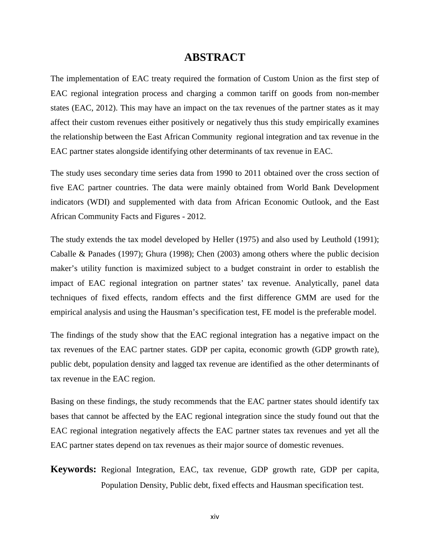### **ABSTRACT**

<span id="page-14-0"></span>The implementation of EAC treaty required the formation of Custom Union as the first step of EAC regional integration process and charging a common tariff on goods from non-member states (EAC, 2012). This may have an impact on the tax revenues of the partner states as it may affect their custom revenues either positively or negatively thus this study empirically examines the relationship between the East African Community regional integration and tax revenue in the EAC partner states alongside identifying other determinants of tax revenue in EAC.

The study uses secondary time series data from 1990 to 2011 obtained over the cross section of five EAC partner countries. The data were mainly obtained from World Bank Development indicators (WDI) and supplemented with data from African Economic Outlook, and the East African Community Facts and Figures - 2012.

The study extends the tax model developed by Heller (1975) and also used by Leuthold (1991); Caballe & Panades (1997); Ghura (1998); Chen (2003) among others where the public decision maker's utility function is maximized subject to a budget constraint in order to establish the impact of EAC regional integration on partner states' tax revenue. Analytically, panel data techniques of fixed effects, random effects and the first difference GMM are used for the empirical analysis and using the Hausman's specification test, FE model is the preferable model.

The findings of the study show that the EAC regional integration has a negative impact on the tax revenues of the EAC partner states. GDP per capita, economic growth (GDP growth rate), public debt, population density and lagged tax revenue are identified as the other determinants of tax revenue in the EAC region.

Basing on these findings, the study recommends that the EAC partner states should identify tax bases that cannot be affected by the EAC regional integration since the study found out that the EAC regional integration negatively affects the EAC partner states tax revenues and yet all the EAC partner states depend on tax revenues as their major source of domestic revenues.

**Keywords:** Regional Integration, EAC, tax revenue, GDP growth rate, GDP per capita, Population Density, Public debt, fixed effects and Hausman specification test.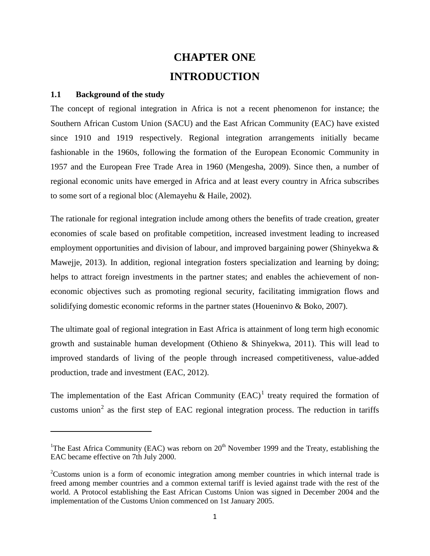## **CHAPTER ONE INTRODUCTION**

#### <span id="page-15-2"></span><span id="page-15-1"></span><span id="page-15-0"></span>**1.1 Background of the study**

 $\overline{\phantom{a}}$ 

The concept of regional integration in Africa is not a recent phenomenon for instance; the Southern African Custom Union (SACU) and the East African Community (EAC) have existed since 1910 and 1919 respectively. Regional integration arrangements initially became fashionable in the 1960s, following the formation of the European Economic Community in 1957 and the European Free Trade Area in 1960 (Mengesha, 2009). Since then, a number of regional economic units have emerged in Africa and at least every country in Africa subscribes to some sort of a regional bloc (Alemayehu & Haile, 2002).

The rationale for regional integration include among others the benefits of trade creation, greater economies of scale based on profitable competition, increased investment leading to increased employment opportunities and division of labour, and improved bargaining power (Shinyekwa & Mawejje, 2013). In addition, regional integration fosters specialization and learning by doing; helps to attract foreign investments in the partner states; and enables the achievement of noneconomic objectives such as promoting regional security, facilitating immigration flows and solidifying domestic economic reforms in the partner states (Houeninvo & Boko, 2007).

The ultimate goal of regional integration in East Africa is attainment of long term high economic growth and sustainable human development (Othieno & Shinyekwa, 2011). This will lead to improved standards of living of the people through increased competitiveness, value-added production, trade and investment (EAC, 2012).

The implementation of the East African Community  $(EAC)^1$  $(EAC)^1$  treaty required the formation of customs union<sup>[2](#page-15-4)</sup> as the first step of EAC regional integration process. The reduction in tariffs

<span id="page-15-3"></span><sup>&</sup>lt;sup>1</sup>The East Africa Community (EAC) was reborn on  $20<sup>th</sup>$  November 1999 and the Treaty, establishing the EAC became effective on 7th July 2000.

<span id="page-15-4"></span> $2$ Customs union is a form of economic integration among member countries in which internal trade is freed among member countries and a common external tariff is levied against trade with the rest of the world. A Protocol establishing the East African Customs Union was signed in December 2004 and the implementation of the Customs Union commenced on 1st January 2005.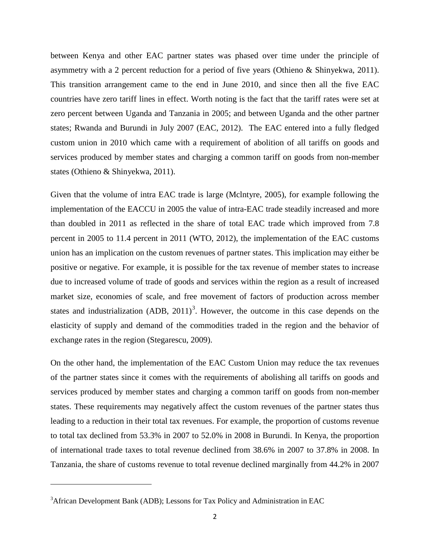between Kenya and other EAC partner states was phased over time under the principle of asymmetry with a 2 percent reduction for a period of five years (Othieno & Shinyekwa, 2011). This transition arrangement came to the end in June 2010, and since then all the five EAC countries have zero tariff lines in effect. Worth noting is the fact that the tariff rates were set at zero percent between Uganda and Tanzania in 2005; and between Uganda and the other partner states; Rwanda and Burundi in July 2007 (EAC, 2012). The EAC entered into a fully fledged custom union in 2010 which came with a requirement of abolition of all tariffs on goods and services produced by member states and charging a common tariff on goods from non-member states (Othieno & Shinyekwa, 2011).

Given that the volume of intra EAC trade is large (Mclntyre, 2005), for example following the implementation of the EACCU in 2005 the value of intra-EAC trade steadily increased and more than doubled in 2011 as reflected in the share of total EAC trade which improved from 7.8 percent in 2005 to 11.4 percent in 2011 (WTO, 2012), the implementation of the EAC customs union has an implication on the custom revenues of partner states. This implication may either be positive or negative. For example, it is possible for the tax revenue of member states to increase due to increased volume of trade of goods and services within the region as a result of increased market size, economies of scale, and free movement of factors of production across member states and industrialization  $(ADB, 2011)^3$  $(ADB, 2011)^3$ . However, the outcome in this case depends on the elasticity of supply and demand of the commodities traded in the region and the behavior of exchange rates in the region (Stegarescu, 2009).

On the other hand, the implementation of the EAC Custom Union may reduce the tax revenues of the partner states since it comes with the requirements of abolishing all tariffs on goods and services produced by member states and charging a common tariff on goods from non-member states. These requirements may negatively affect the custom revenues of the partner states thus leading to a reduction in their total tax revenues. For example, the proportion of customs revenue to total tax declined from 53.3% in 2007 to 52.0% in 2008 in Burundi. In Kenya, the proportion of international trade taxes to total revenue declined from 38.6% in 2007 to 37.8% in 2008. In Tanzania, the share of customs revenue to total revenue declined marginally from 44.2% in 2007

l

<span id="page-16-0"></span><sup>&</sup>lt;sup>3</sup>African Development Bank (ADB); Lessons for Tax Policy and Administration in EAC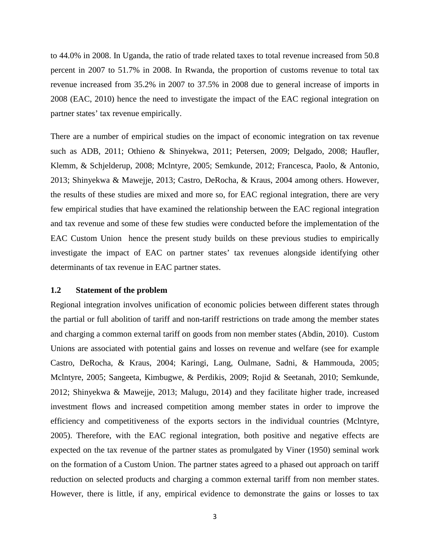to 44.0% in 2008. In Uganda, the ratio of trade related taxes to total revenue increased from 50.8 percent in 2007 to 51.7% in 2008. In Rwanda, the proportion of customs revenue to total tax revenue increased from 35.2% in 2007 to 37.5% in 2008 due to general increase of imports in 2008 (EAC, 2010) hence the need to investigate the impact of the EAC regional integration on partner states' tax revenue empirically.

There are a number of empirical studies on the impact of economic integration on tax revenue such as ADB, 2011; Othieno & Shinyekwa, 2011; Petersen, 2009; Delgado, 2008; Haufler, Klemm, & Schjelderup, 2008; Mclntyre, 2005; Semkunde, 2012; Francesca, Paolo, & Antonio, 2013; Shinyekwa & Mawejje, 2013; Castro, DeRocha, & Kraus, 2004 among others. However, the results of these studies are mixed and more so, for EAC regional integration, there are very few empirical studies that have examined the relationship between the EAC regional integration and tax revenue and some of these few studies were conducted before the implementation of the EAC Custom Union hence the present study builds on these previous studies to empirically investigate the impact of EAC on partner states' tax revenues alongside identifying other determinants of tax revenue in EAC partner states.

#### <span id="page-17-0"></span>**1.2 Statement of the problem**

Regional integration involves unification of economic policies between different states through the partial or full abolition of tariff and non-tariff restrictions on trade among the member states and charging a common external tariff on goods from non member states (Abdin, 2010). Custom Unions are associated with potential gains and losses on revenue and welfare (see for example Castro, DeRocha, & Kraus, 2004; Karingi, Lang, Oulmane, Sadni, & Hammouda, 2005; Mclntyre, 2005; Sangeeta, Kimbugwe, & Perdikis, 2009; Rojid & Seetanah, 2010; Semkunde, 2012; Shinyekwa & Mawejje, 2013; Malugu, 2014) and they facilitate higher trade, increased investment flows and increased competition among member states in order to improve the efficiency and competitiveness of the exports sectors in the individual countries (Mclntyre, 2005). Therefore, with the EAC regional integration, both positive and negative effects are expected on the tax revenue of the partner states as promulgated by Viner (1950) seminal work on the formation of a Custom Union. The partner states agreed to a phased out approach on tariff reduction on selected products and charging a common external tariff from non member states. However, there is little, if any, empirical evidence to demonstrate the gains or losses to tax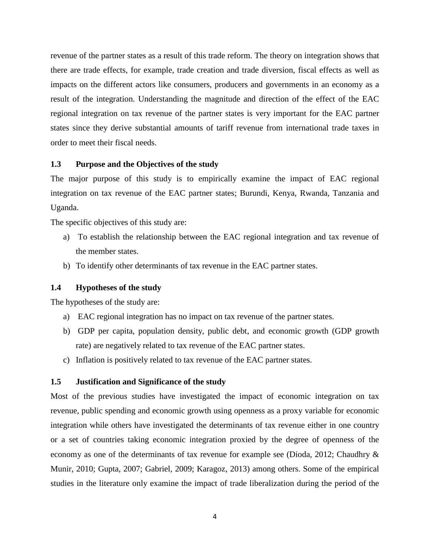revenue of the partner states as a result of this trade reform. The theory on integration shows that there are trade effects, for example, trade creation and trade diversion, fiscal effects as well as impacts on the different actors like consumers, producers and governments in an economy as a result of the integration. Understanding the magnitude and direction of the effect of the EAC regional integration on tax revenue of the partner states is very important for the EAC partner states since they derive substantial amounts of tariff revenue from international trade taxes in order to meet their fiscal needs.

#### <span id="page-18-0"></span>**1.3 Purpose and the Objectives of the study**

The major purpose of this study is to empirically examine the impact of EAC regional integration on tax revenue of the EAC partner states; Burundi, Kenya, Rwanda, Tanzania and Uganda.

The specific objectives of this study are:

- a) To establish the relationship between the EAC regional integration and tax revenue of the member states.
- b) To identify other determinants of tax revenue in the EAC partner states.

#### <span id="page-18-1"></span>**1.4 Hypotheses of the study**

The hypotheses of the study are:

- a) EAC regional integration has no impact on tax revenue of the partner states.
- b) GDP per capita, population density, public debt, and economic growth (GDP growth rate) are negatively related to tax revenue of the EAC partner states.
- c) Inflation is positively related to tax revenue of the EAC partner states.

#### <span id="page-18-2"></span>**1.5 Justification and Significance of the study**

Most of the previous studies have investigated the impact of economic integration on tax revenue, public spending and economic growth using openness as a proxy variable for economic integration while others have investigated the determinants of tax revenue either in one country or a set of countries taking economic integration proxied by the degree of openness of the economy as one of the determinants of tax revenue for example see (Dioda, 2012; Chaudhry & Munir, 2010; Gupta, 2007; Gabriel, 2009; Karagoz, 2013) among others. Some of the empirical studies in the literature only examine the impact of trade liberalization during the period of the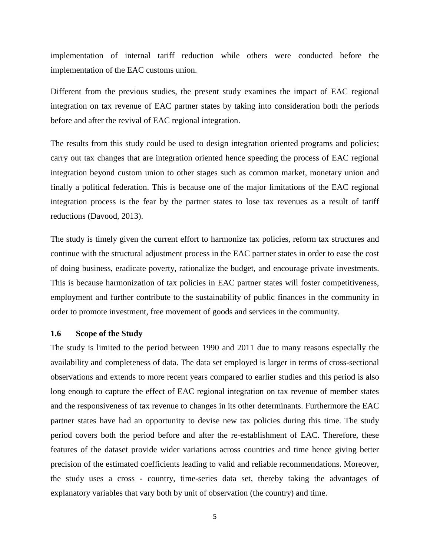implementation of internal tariff reduction while others were conducted before the implementation of the EAC customs union.

Different from the previous studies, the present study examines the impact of EAC regional integration on tax revenue of EAC partner states by taking into consideration both the periods before and after the revival of EAC regional integration.

The results from this study could be used to design integration oriented programs and policies; carry out tax changes that are integration oriented hence speeding the process of EAC regional integration beyond custom union to other stages such as common market, monetary union and finally a political federation. This is because one of the major limitations of the EAC regional integration process is the fear by the partner states to lose tax revenues as a result of tariff reductions (Davood, 2013).

The study is timely given the current effort to harmonize tax policies, reform tax structures and continue with the structural adjustment process in the EAC partner states in order to ease the cost of doing business, eradicate poverty, rationalize the budget, and encourage private investments. This is because harmonization of tax policies in EAC partner states will foster competitiveness, employment and further contribute to the sustainability of public finances in the community in order to promote investment, free movement of goods and services in the community.

#### <span id="page-19-0"></span>**1.6 Scope of the Study**

The study is limited to the period between 1990 and 2011 due to many reasons especially the availability and completeness of data. The data set employed is larger in terms of cross-sectional observations and extends to more recent years compared to earlier studies and this period is also long enough to capture the effect of EAC regional integration on tax revenue of member states and the responsiveness of tax revenue to changes in its other determinants. Furthermore the EAC partner states have had an opportunity to devise new tax policies during this time. The study period covers both the period before and after the re-establishment of EAC. Therefore, these features of the dataset provide wider variations across countries and time hence giving better precision of the estimated coefficients leading to valid and reliable recommendations. Moreover, the study uses a cross - country, time-series data set, thereby taking the advantages of explanatory variables that vary both by unit of observation (the country) and time.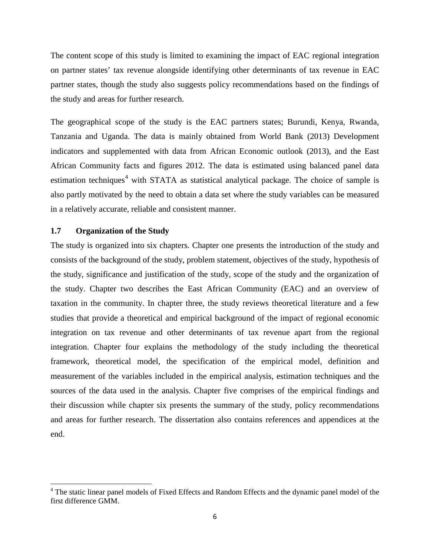The content scope of this study is limited to examining the impact of EAC regional integration on partner states' tax revenue alongside identifying other determinants of tax revenue in EAC partner states, though the study also suggests policy recommendations based on the findings of the study and areas for further research.

The geographical scope of the study is the EAC partners states; Burundi, Kenya, Rwanda, Tanzania and Uganda. The data is mainly obtained from World Bank (2013) Development indicators and supplemented with data from African Economic outlook (2013), and the East African Community facts and figures 2012. The data is estimated using balanced panel data estimation techniques<sup>[4](#page-20-1)</sup> with STATA as statistical analytical package. The choice of sample is also partly motivated by the need to obtain a data set where the study variables can be measured in a relatively accurate, reliable and consistent manner.

#### <span id="page-20-0"></span>**1.7 Organization of the Study**

l

The study is organized into six chapters. Chapter one presents the introduction of the study and consists of the background of the study, problem statement, objectives of the study, hypothesis of the study, significance and justification of the study, scope of the study and the organization of the study. Chapter two describes the East African Community (EAC) and an overview of taxation in the community. In chapter three, the study reviews theoretical literature and a few studies that provide a theoretical and empirical background of the impact of regional economic integration on tax revenue and other determinants of tax revenue apart from the regional integration. Chapter four explains the methodology of the study including the theoretical framework, theoretical model, the specification of the empirical model, definition and measurement of the variables included in the empirical analysis, estimation techniques and the sources of the data used in the analysis. Chapter five comprises of the empirical findings and their discussion while chapter six presents the summary of the study, policy recommendations and areas for further research. The dissertation also contains references and appendices at the end.

<span id="page-20-1"></span><sup>&</sup>lt;sup>4</sup> The static linear panel models of Fixed Effects and Random Effects and the dynamic panel model of the first difference GMM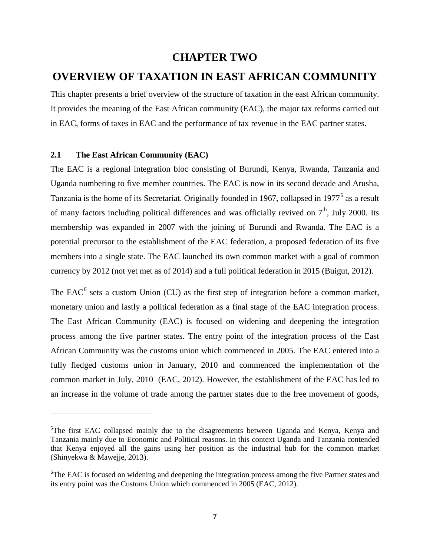### **CHAPTER TWO**

### <span id="page-21-1"></span><span id="page-21-0"></span>**OVERVIEW OF TAXATION IN EAST AFRICAN COMMUNITY**

This chapter presents a brief overview of the structure of taxation in the east African community. It provides the meaning of the East African community (EAC), the major tax reforms carried out in EAC, forms of taxes in EAC and the performance of tax revenue in the EAC partner states.

#### <span id="page-21-2"></span>**2.1 The East African Community (EAC)**

 $\overline{\phantom{a}}$ 

The EAC is a regional integration bloc consisting of Burundi, Kenya, Rwanda, Tanzania and Uganda numbering to five member countries. The EAC is now in its second decade and Arusha, Tanzania is the home of its Secretariat. Originally founded in 1967, collapsed in 1977<sup>[5](#page-21-3)</sup> as a result of many factors including political differences and was officially revived on  $7<sup>th</sup>$ , July 2000. Its membership was expanded in 2007 with the joining of Burundi and Rwanda. The EAC is a potential precursor to the establishment of the EAC federation, a proposed federation of its five members into a single state. The EAC launched its own common market with a goal of common currency by 2012 (not yet met as of 2014) and a full political federation in 2015 (Buigut, 2012).

The  $EAC<sup>6</sup>$  $EAC<sup>6</sup>$  $EAC<sup>6</sup>$  sets a custom Union (CU) as the first step of integration before a common market, monetary union and lastly a political federation as a final stage of the EAC integration process. The East African Community (EAC) is focused on widening and deepening the integration process among the five partner states. The entry point of the integration process of the East African Community was the customs union which commenced in 2005. The EAC entered into a fully fledged customs union in January, 2010 and commenced the implementation of the common market in July, 2010 (EAC, 2012). However, the establishment of the EAC has led to an increase in the volume of trade among the partner states due to the free movement of goods,

<span id="page-21-3"></span><sup>&</sup>lt;sup>5</sup>The first EAC collapsed mainly due to the disagreements between Uganda and Kenya, Kenya and Tanzania mainly due to Economic and Political reasons. In this context Uganda and Tanzania contended that Kenya enjoyed all the gains using her position as the industrial hub for the common market (Shinyekwa & Mawejje, 2013).

<span id="page-21-4"></span><sup>&</sup>lt;sup>6</sup>The EAC is focused on widening and deepening the integration process among the five Partner states and its entry point was the Customs Union which commenced in 2005 (EAC, 2012).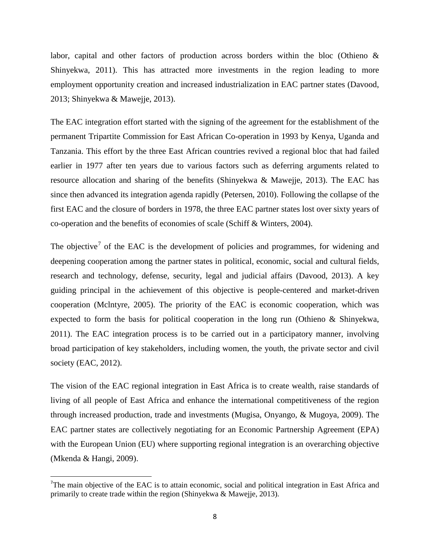labor, capital and other factors of production across borders within the bloc (Othieno & Shinyekwa, 2011). This has attracted more investments in the region leading to more employment opportunity creation and increased industrialization in EAC partner states (Davood, 2013; Shinyekwa & Mawejje, 2013).

The EAC integration effort started with the signing of the agreement for the establishment of the permanent Tripartite Commission for East African Co-operation in 1993 by Kenya, Uganda and Tanzania. This effort by the three East African countries revived a regional bloc that had failed earlier in 1977 after ten years due to various factors such as deferring arguments related to resource allocation and sharing of the benefits (Shinyekwa & Mawejje, 2013). The EAC has since then advanced its integration agenda rapidly (Petersen, 2010). Following the collapse of the first EAC and the closure of borders in 1978, the three EAC partner states lost over sixty years of co-operation and the benefits of economies of scale (Schiff & Winters, 2004).

The objective<sup>[7](#page-22-0)</sup> of the EAC is the development of policies and programmes, for widening and deepening cooperation among the partner states in political, economic, social and cultural fields, research and technology, defense, security, legal and judicial affairs (Davood, 2013). A key guiding principal in the achievement of this objective is people-centered and market-driven cooperation (Mclntyre, 2005). The priority of the EAC is economic cooperation, which was expected to form the basis for political cooperation in the long run (Othieno & Shinyekwa, 2011). The EAC integration process is to be carried out in a participatory manner, involving broad participation of key stakeholders, including women, the youth, the private sector and civil society (EAC, 2012).

The vision of the EAC regional integration in East Africa is to create wealth, raise standards of living of all people of East Africa and enhance the international competitiveness of the region through increased production, trade and investments (Mugisa, Onyango, & Mugoya, 2009). The EAC partner states are collectively negotiating for an Economic Partnership Agreement (EPA) with the European Union (EU) where supporting regional integration is an overarching objective (Mkenda & Hangi, 2009).

<span id="page-22-0"></span><sup>-&</sup>lt;br>7 <sup>7</sup>The main objective of the EAC is to attain economic, social and political integration in East Africa and primarily to create trade within the region (Shinyekwa & Mawejje, 2013).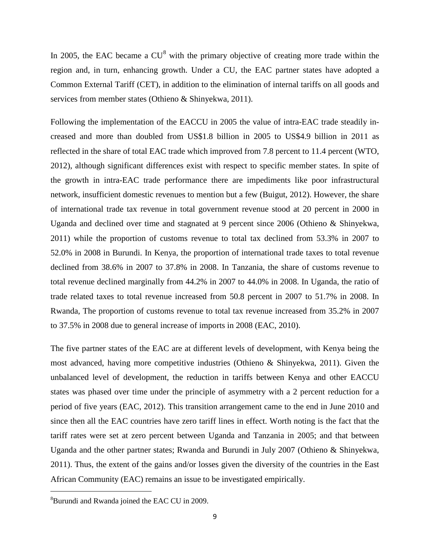In 2005, the EAC became a  $CU^8$  $CU^8$  with the primary objective of creating more trade within the region and, in turn, enhancing growth. Under a CU, the EAC partner states have adopted a Common External Tariff (CET), in addition to the elimination of internal tariffs on all goods and services from member states (Othieno & Shinyekwa, 2011).

Following the implementation of the EACCU in 2005 the value of intra-EAC trade steadily increased and more than doubled from US\$1.8 billion in 2005 to US\$4.9 billion in 2011 as reflected in the share of total EAC trade which improved from 7.8 percent to 11.4 percent (WTO, 2012), although significant differences exist with respect to specific member states. In spite of the growth in intra-EAC trade performance there are impediments like poor infrastructural network, insufficient domestic revenues to mention but a few (Buigut, 2012). However, the share of international trade tax revenue in total government revenue stood at 20 percent in 2000 in Uganda and declined over time and stagnated at 9 percent since 2006 (Othieno & Shinyekwa, 2011) while the proportion of customs revenue to total tax declined from 53.3% in 2007 to 52.0% in 2008 in Burundi. In Kenya, the proportion of international trade taxes to total revenue declined from 38.6% in 2007 to 37.8% in 2008. In Tanzania, the share of customs revenue to total revenue declined marginally from 44.2% in 2007 to 44.0% in 2008. In Uganda, the ratio of trade related taxes to total revenue increased from 50.8 percent in 2007 to 51.7% in 2008. In Rwanda, The proportion of customs revenue to total tax revenue increased from 35.2% in 2007 to 37.5% in 2008 due to general increase of imports in 2008 (EAC, 2010).

The five partner states of the EAC are at different levels of development, with Kenya being the most advanced, having more competitive industries (Othieno & Shinyekwa, 2011). Given the unbalanced level of development, the reduction in tariffs between Kenya and other EACCU states was phased over time under the principle of asymmetry with a 2 percent reduction for a period of five years (EAC, 2012). This transition arrangement came to the end in June 2010 and since then all the EAC countries have zero tariff lines in effect. Worth noting is the fact that the tariff rates were set at zero percent between Uganda and Tanzania in 2005; and that between Uganda and the other partner states; Rwanda and Burundi in July 2007 (Othieno & Shinyekwa, 2011). Thus, the extent of the gains and/or losses given the diversity of the countries in the East African Community (EAC) remains an issue to be investigated empirically.

 $\overline{\phantom{a}}$ 

<span id="page-23-0"></span><sup>&</sup>lt;sup>8</sup>Burundi and Rwanda joined the EAC CU in 2009.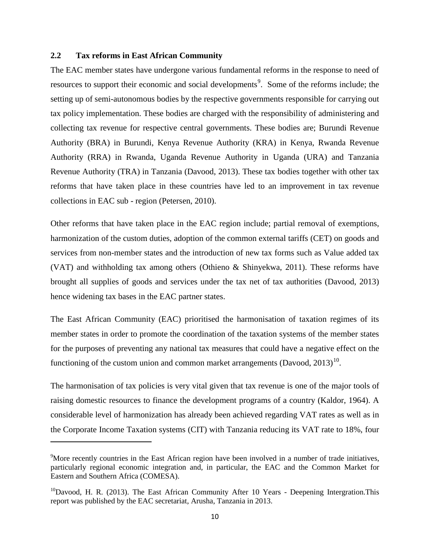#### <span id="page-24-0"></span>**2.2 Tax reforms in East African Community**

 $\overline{\phantom{a}}$ 

The EAC member states have undergone various fundamental reforms in the response to need of resources to support their economic and social developments<sup>[9](#page-24-1)</sup>. Some of the reforms include; the setting up of semi-autonomous bodies by the respective governments responsible for carrying out tax policy implementation. These bodies are charged with the responsibility of administering and collecting tax revenue for respective central governments. These bodies are; Burundi Revenue Authority (BRA) in Burundi, Kenya Revenue Authority (KRA) in Kenya, Rwanda Revenue Authority (RRA) in Rwanda, Uganda Revenue Authority in Uganda (URA) and Tanzania Revenue Authority (TRA) in Tanzania (Davood, 2013). These tax bodies together with other tax reforms that have taken place in these countries have led to an improvement in tax revenue collections in EAC sub - region (Petersen, 2010).

Other reforms that have taken place in the EAC region include; partial removal of exemptions, harmonization of the custom duties, adoption of the common external tariffs (CET) on goods and services from non-member states and the introduction of new tax forms such as Value added tax (VAT) and withholding tax among others (Othieno & Shinyekwa, 2011). These reforms have brought all supplies of goods and services under the tax net of tax authorities (Davood, 2013) hence widening tax bases in the EAC partner states.

The East African Community (EAC) prioritised the harmonisation of taxation regimes of its member states in order to promote the coordination of the taxation systems of the member states for the purposes of preventing any national tax measures that could have a negative effect on the functioning of the custom union and common market arrangements (Davood,  $2013$ )<sup>[10](#page-24-2)</sup>.

The harmonisation of tax policies is very vital given that tax revenue is one of the major tools of raising domestic resources to finance the development programs of a country (Kaldor, 1964). A considerable level of harmonization has already been achieved regarding VAT rates as well as in the Corporate Income Taxation systems (CIT) with Tanzania reducing its VAT rate to 18%, four

<span id="page-24-1"></span><sup>&</sup>lt;sup>9</sup>More recently countries in the East African region have been involved in a number of trade initiatives, particularly regional economic integration and, in particular, the EAC and the Common Market for Eastern and Southern Africa (COMESA).

<span id="page-24-2"></span> $^{10}$ Davood, H. R. (2013). The East African Community After 10 Years - Deepening Intergration. This report was published by the EAC secretariat, Arusha, Tanzania in 2013.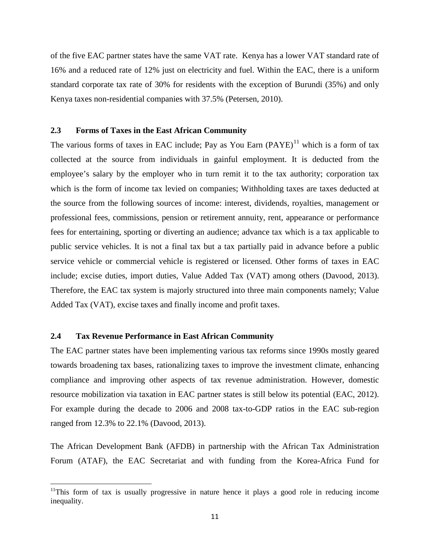of the five EAC partner states have the same VAT rate. Kenya has a lower VAT standard rate of 16% and a reduced rate of 12% just on electricity and fuel. Within the EAC, there is a uniform standard corporate tax rate of 30% for residents with the exception of Burundi (35%) and only Kenya taxes non-residential companies with 37.5% (Petersen, 2010).

#### <span id="page-25-0"></span>**2.3 Forms of Taxes in the East African Community**

The various forms of taxes in EAC include; Pay as You Earn  $(PAYE)^{11}$  $(PAYE)^{11}$  $(PAYE)^{11}$  which is a form of tax collected at the source from individuals in gainful employment. It is deducted from the employee's salary by the employer who in turn remit it to the tax authority; corporation tax which is the form of income tax levied on companies; Withholding taxes are taxes deducted at the source from the following sources of income: interest, dividends, royalties, management or professional fees, commissions, pension or retirement annuity, rent, appearance or performance fees for entertaining, sporting or diverting an audience; advance tax which is a tax applicable to public service vehicles. It is not a final tax but a tax partially paid in advance before a public service vehicle or commercial vehicle is registered or licensed. Other forms of taxes in EAC include; excise duties, import duties, Value Added Tax (VAT) among others (Davood, 2013). Therefore, the EAC tax system is majorly structured into three main components namely; Value Added Tax (VAT), excise taxes and finally income and profit taxes.

#### <span id="page-25-1"></span>**2.4 Tax Revenue Performance in East African Community**

l

The EAC partner states have been implementing various tax reforms since 1990s mostly geared towards broadening tax bases, rationalizing taxes to improve the investment climate, enhancing compliance and improving other aspects of tax revenue administration. However, domestic resource mobilization via taxation in EAC partner states is still below its potential (EAC, 2012). For example during the decade to 2006 and 2008 tax-to-GDP ratios in the EAC sub-region ranged from 12.3% to 22.1% (Davood, 2013).

The African Development Bank (AFDB) in partnership with the African Tax Administration Forum (ATAF), the EAC Secretariat and with funding from the Korea-Africa Fund for

<span id="page-25-2"></span><sup>&</sup>lt;sup>11</sup>This form of tax is usually progressive in nature hence it plays a good role in reducing income inequality.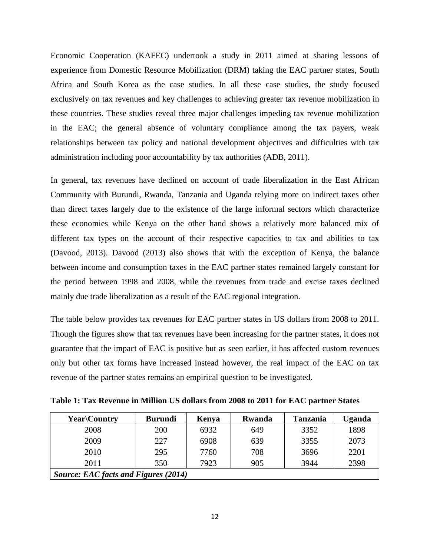Economic Cooperation (KAFEC) undertook a study in 2011 aimed at sharing lessons of experience from Domestic Resource Mobilization (DRM) taking the EAC partner states, South Africa and South Korea as the case studies. In all these case studies, the study focused exclusively on tax revenues and key challenges to achieving greater tax revenue mobilization in these countries. These studies reveal three major challenges impeding tax revenue mobilization in the EAC; the general absence of voluntary compliance among the tax payers, weak relationships between tax policy and national development objectives and difficulties with tax administration including poor accountability by tax authorities (ADB, 2011).

In general, tax revenues have declined on account of trade liberalization in the East African Community with Burundi, Rwanda, Tanzania and Uganda relying more on indirect taxes other than direct taxes largely due to the existence of the large informal sectors which characterize these economies while Kenya on the other hand shows a relatively more balanced mix of different tax types on the account of their respective capacities to tax and abilities to tax (Davood, 2013). Davood (2013) also shows that with the exception of Kenya, the balance between income and consumption taxes in the EAC partner states remained largely constant for the period between 1998 and 2008, while the revenues from trade and excise taxes declined mainly due trade liberalization as a result of the EAC regional integration.

The table below provides tax revenues for EAC partner states in US dollars from 2008 to 2011. Though the figures show that tax revenues have been increasing for the partner states, it does not guarantee that the impact of EAC is positive but as seen earlier, it has affected custom revenues only but other tax forms have increased instead however, the real impact of the EAC on tax revenue of the partner states remains an empirical question to be investigated.

<span id="page-26-0"></span>

| Table 1: Tax Revenue in Million US dollars from 2008 to 2011 for EAC partner States |  |  |  |
|-------------------------------------------------------------------------------------|--|--|--|
|                                                                                     |  |  |  |

| <b>Year\Country</b>                         | <b>Burundi</b> | Kenya | <b>Rwanda</b> | <b>Tanzania</b> | Uganda |
|---------------------------------------------|----------------|-------|---------------|-----------------|--------|
| 2008                                        | 200            | 6932  | 649           | 3352            | 1898   |
| 2009                                        | 227            | 6908  | 639           | 3355            | 2073   |
| 2010                                        | 295            | 7760  | 708           | 3696            | 2201   |
| 2011                                        | 350            | 7923  | 905           | 3944            | 2398   |
| <b>Source: EAC facts and Figures (2014)</b> |                |       |               |                 |        |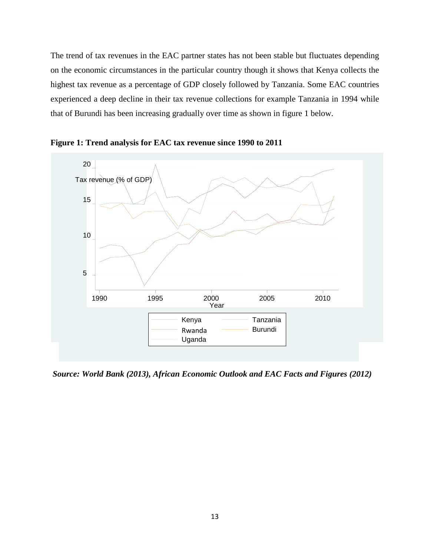The trend of tax revenues in the EAC partner states has not been stable but fluctuates depending on the economic circumstances in the particular country though it shows that Kenya collects the highest tax revenue as a percentage of GDP closely followed by Tanzania. Some EAC countries experienced a deep decline in their tax revenue collections for example Tanzania in 1994 while that of Burundi has been increasing gradually over time as shown in figure 1 below.



<span id="page-27-0"></span>**Figure 1: Trend analysis for EAC tax revenue since 1990 to 2011**

*Source: World Bank (2013), African Economic Outlook and EAC Facts and Figures (2012)*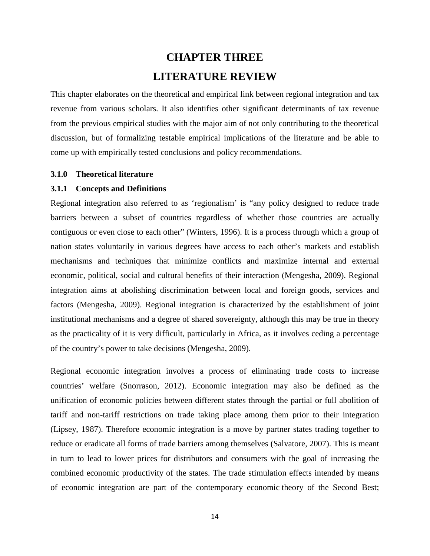## **CHAPTER THREE LITERATURE REVIEW**

<span id="page-28-1"></span><span id="page-28-0"></span>This chapter elaborates on the theoretical and empirical link between regional integration and tax revenue from various scholars. It also identifies other significant determinants of tax revenue from the previous empirical studies with the major aim of not only contributing to the theoretical discussion, but of formalizing testable empirical implications of the literature and be able to come up with empirically tested conclusions and policy recommendations.

#### <span id="page-28-2"></span>**3.1.0 Theoretical literature**

#### <span id="page-28-3"></span>**3.1.1 Concepts and Definitions**

Regional integration also referred to as 'regionalism' is "any policy designed to reduce trade barriers between a subset of countries regardless of whether those countries are actually contiguous or even close to each other" (Winters, 1996). It is a process through which a group of nation states voluntarily in various degrees have access to each other's markets and establish mechanisms and techniques that minimize conflicts and maximize internal and external economic, political, social and cultural benefits of their interaction (Mengesha, 2009). Regional integration aims at abolishing discrimination between local and foreign goods, services and factors (Mengesha, 2009). Regional integration is characterized by the establishment of joint institutional mechanisms and a degree of shared sovereignty, although this may be true in theory as the practicality of it is very difficult, particularly in Africa, as it involves ceding a percentage of the country's power to take decisions (Mengesha, 2009).

Regional economic integration involves a process of eliminating trade costs to increase countries' welfare (Snorrason, 2012). Economic integration may also be defined as the unification of economic policies between different states through the partial or full abolition of tariff and non-tariff restrictions on trade taking place among them prior to their integration (Lipsey, 1987). Therefore economic integration is a move by partner states trading together to reduce or eradicate all forms of trade barriers among themselves (Salvatore, 2007). This is meant in turn to lead to lower prices for distributors and consumers with the goal of increasing the combined economic productivity of the states. The trade stimulation effects intended by means of economic integration are part of the contemporary economic [theory of the Second Best;](http://en.wikipedia.org/wiki/Theory_of_the_Second_Best)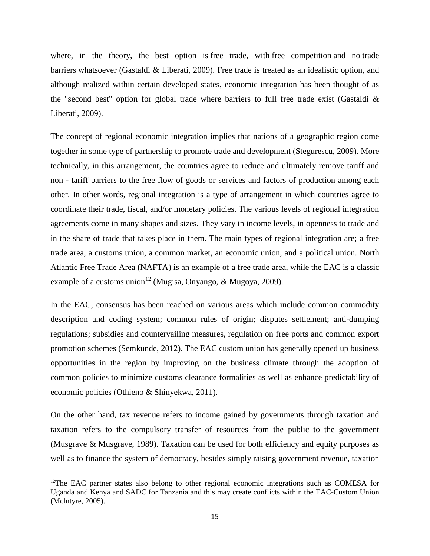where, in the theory, the best option is [free trade,](http://en.wikipedia.org/wiki/Free_trade) with [free competition](http://en.wikipedia.org/wiki/Free_competition) and no trade [barriers](http://en.wikipedia.org/wiki/Trade_barriers) whatsoever (Gastaldi & Liberati, 2009). Free trade is treated as an idealistic option, and although realized within certain developed states, economic integration has been thought of as the "second best" option for global trade where barriers to full free trade exist (Gastaldi  $\&$ Liberati, 2009).

The concept of regional economic integration implies that nations of a geographic region come together in some type of partnership to promote trade and development (Stegurescu, 2009). More technically, in this arrangement, the countries agree to reduce and ultimately remove tariff and non - tariff barriers to the free flow of goods or services and factors of production among each other. In other words, regional integration is a type of arrangement in which countries agree to coordinate their trade, fiscal, and/or monetary policies. The various levels of regional integration agreements come in many shapes and sizes. They vary in income levels, in openness to trade and in the share of trade that takes place in them. The main types of regional integration are; a free trade area, a customs union, a common market, an economic union, and a political union. North Atlantic Free Trade Area (NAFTA) is an example of a free trade area, while the EAC is a classic example of a customs union<sup>[12](#page-29-0)</sup> (Mugisa, Onyango, & Mugoya, 2009).

In the EAC, consensus has been reached on various areas which include common commodity description and coding system; common rules of origin; disputes settlement; anti-dumping regulations; subsidies and countervailing measures, regulation on free ports and common export promotion schemes (Semkunde, 2012). The EAC custom union has generally opened up business opportunities in the region by improving on the business climate through the adoption of common policies to minimize customs clearance formalities as well as enhance predictability of economic policies (Othieno & Shinyekwa, 2011).

On the other hand, tax revenue refers to income gained by governments through taxation and taxation refers to the compulsory transfer of resources from the public to the government (Musgrave & Musgrave, 1989). Taxation can be used for both efficiency and equity purposes as well as to finance the system of democracy, besides simply raising government revenue, taxation

 $\overline{\phantom{a}}$ 

<span id="page-29-0"></span><sup>&</sup>lt;sup>12</sup>The EAC partner states also belong to other regional economic integrations such as COMESA for Uganda and Kenya and SADC for Tanzania and this may create conflicts within the EAC-Custom Union (Mclntyre, 2005).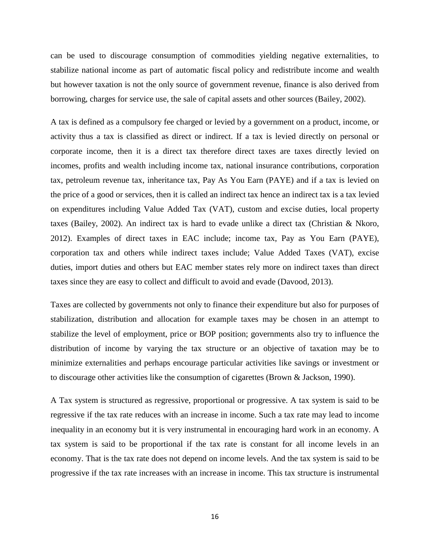can be used to discourage consumption of commodities yielding negative externalities, to stabilize national income as part of automatic fiscal policy and redistribute income and wealth but however taxation is not the only source of government revenue, finance is also derived from borrowing, charges for service use, the sale of capital assets and other sources (Bailey, 2002).

A tax is defined as a compulsory fee charged or levied by a government on a product, income, or activity thus a tax is classified as direct or indirect. If a tax is levied directly on personal or corporate income, then it is a direct tax therefore direct taxes are taxes directly levied on incomes, profits and wealth including income tax, national insurance contributions, corporation tax, petroleum revenue tax, inheritance tax, Pay As You Earn (PAYE) and if a tax is levied on the price of a good or services, then it is called an indirect tax hence an indirect tax is a tax levied on expenditures including Value Added Tax (VAT), custom and excise duties, local property taxes (Bailey, 2002). An indirect tax is hard to evade unlike a direct tax (Christian & Nkoro, 2012). Examples of direct taxes in EAC include; income tax, Pay as You Earn (PAYE), corporation tax and others while indirect taxes include; Value Added Taxes (VAT), excise duties, import duties and others but EAC member states rely more on indirect taxes than direct taxes since they are easy to collect and difficult to avoid and evade (Davood, 2013).

Taxes are collected by governments not only to finance their expenditure but also for purposes of stabilization, distribution and allocation for example taxes may be chosen in an attempt to stabilize the level of employment, price or BOP position; governments also try to influence the distribution of income by varying the tax structure or an objective of taxation may be to minimize externalities and perhaps encourage particular activities like savings or investment or to discourage other activities like the consumption of cigarettes (Brown & Jackson, 1990).

A Tax system is structured as regressive, proportional or progressive. A tax system is said to be regressive if the tax rate reduces with an increase in income. Such a tax rate may lead to income inequality in an economy but it is very instrumental in encouraging hard work in an economy. A tax system is said to be proportional if the tax rate is constant for all income levels in an economy. That is the tax rate does not depend on income levels. And the tax system is said to be progressive if the tax rate increases with an increase in income. This tax structure is instrumental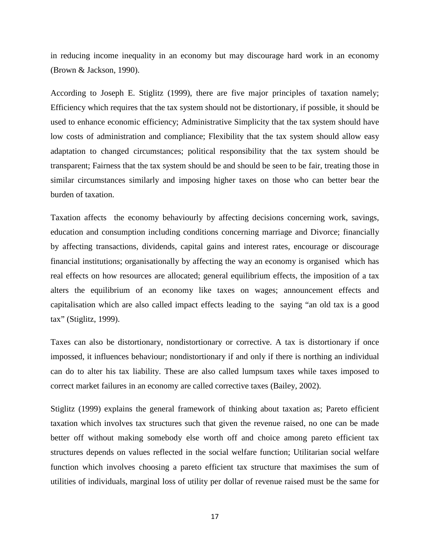in reducing income inequality in an economy but may discourage hard work in an economy (Brown & Jackson, 1990).

According to Joseph E. Stiglitz (1999), there are five major principles of taxation namely; Efficiency which requires that the tax system should not be distortionary, if possible, it should be used to enhance economic efficiency; Administrative Simplicity that the tax system should have low costs of administration and compliance; Flexibility that the tax system should allow easy adaptation to changed circumstances; political responsibility that the tax system should be transparent; Fairness that the tax system should be and should be seen to be fair, treating those in similar circumstances similarly and imposing higher taxes on those who can better bear the burden of taxation.

Taxation affects the economy behaviourly by affecting decisions concerning work, savings, education and consumption including conditions concerning marriage and Divorce; financially by affecting transactions, dividends, capital gains and interest rates, encourage or discourage financial institutions; organisationally by affecting the way an economy is organised which has real effects on how resources are allocated; general equilibrium effects, the imposition of a tax alters the equilibrium of an economy like taxes on wages; announcement effects and capitalisation which are also called impact effects leading to the saying "an old tax is a good tax" (Stiglitz, 1999).

Taxes can also be distortionary, nondistortionary or corrective. A tax is distortionary if once impossed, it influences behaviour; nondistortionary if and only if there is northing an individual can do to alter his tax liability. These are also called lumpsum taxes while taxes imposed to correct market failures in an economy are called corrective taxes (Bailey, 2002).

Stiglitz (1999) explains the general framework of thinking about taxation as; Pareto efficient taxation which involves tax structures such that given the revenue raised, no one can be made better off without making somebody else worth off and choice among pareto efficient tax structures depends on values reflected in the social welfare function; Utilitarian social welfare function which involves choosing a pareto efficient tax structure that maximises the sum of utilities of individuals, marginal loss of utility per dollar of revenue raised must be the same for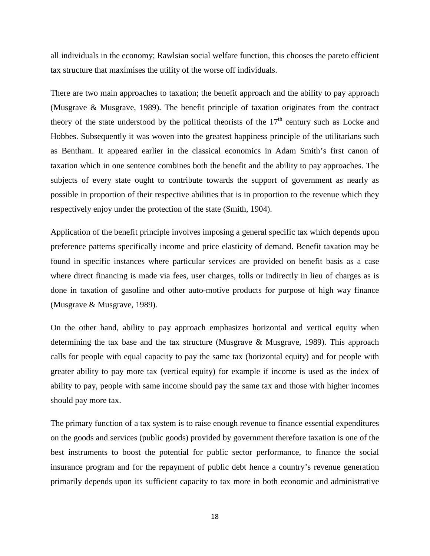all individuals in the economy; Rawlsian social welfare function, this chooses the pareto efficient tax structure that maximises the utility of the worse off individuals.

There are two main approaches to taxation; the benefit approach and the ability to pay approach (Musgrave & Musgrave, 1989). The benefit principle of taxation originates from the contract theory of the state understood by the political theorists of the  $17<sup>th</sup>$  century such as Locke and Hobbes. Subsequently it was woven into the greatest happiness principle of the utilitarians such as Bentham. It appeared earlier in the classical economics in Adam Smith's first canon of taxation which in one sentence combines both the benefit and the ability to pay approaches. The subjects of every state ought to contribute towards the support of government as nearly as possible in proportion of their respective abilities that is in proportion to the revenue which they respectively enjoy under the protection of the state (Smith, 1904).

Application of the benefit principle involves imposing a general specific tax which depends upon preference patterns specifically income and price elasticity of demand. Benefit taxation may be found in specific instances where particular services are provided on benefit basis as a case where direct financing is made via fees, user charges, tolls or indirectly in lieu of charges as is done in taxation of gasoline and other auto-motive products for purpose of high way finance (Musgrave & Musgrave, 1989).

On the other hand, ability to pay approach emphasizes horizontal and vertical equity when determining the tax base and the tax structure (Musgrave & Musgrave, 1989). This approach calls for people with equal capacity to pay the same tax (horizontal equity) and for people with greater ability to pay more tax (vertical equity) for example if income is used as the index of ability to pay, people with same income should pay the same tax and those with higher incomes should pay more tax.

The primary function of a tax system is to raise enough revenue to finance essential expenditures on the goods and services (public goods) provided by government therefore taxation is one of the best instruments to boost the potential for public sector performance, to finance the social insurance program and for the repayment of public debt hence a country's revenue generation primarily depends upon its sufficient capacity to tax more in both economic and administrative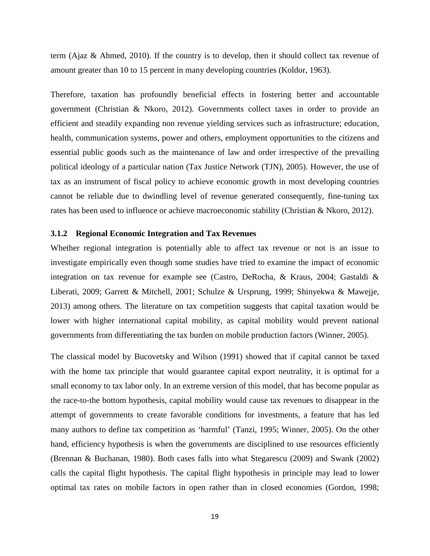term (Ajaz & Ahmed, 2010). If the country is to develop, then it should collect tax revenue of amount greater than 10 to 15 percent in many developing countries (Koldor, 1963).

Therefore, taxation has profoundly beneficial effects in fostering better and accountable government (Christian & Nkoro, 2012). Governments collect taxes in order to provide an efficient and steadily expanding non revenue yielding services such as infrastructure; education, health, communication systems, power and others, employment opportunities to the citizens and essential public goods such as the maintenance of law and order irrespective of the prevailing political ideology of a particular nation (Tax Justice Network (TJN), 2005). However, the use of tax as an instrument of fiscal policy to achieve economic growth in most developing countries cannot be reliable due to dwindling level of revenue generated consequently, fine-tuning tax rates has been used to influence or achieve macroeconomic stability (Christian & Nkoro, 2012).

#### <span id="page-33-0"></span>**3.1.2 Regional Economic Integration and Tax Revenues**

Whether regional integration is potentially able to affect tax revenue or not is an issue to investigate empirically even though some studies have tried to examine the impact of economic integration on tax revenue for example see (Castro, DeRocha, & Kraus, 2004; Gastaldi & Liberati, 2009; Garrett & Mitchell, 2001; Schulze & Ursprung, 1999; Shinyekwa & Mawejje, 2013) among others. The literature on tax competition suggests that capital taxation would be lower with higher international capital mobility, as capital mobility would prevent national governments from differentiating the tax burden on mobile production factors (Winner, 2005).

The classical model by Bucovetsky and Wilson (1991) showed that if capital cannot be taxed with the home tax principle that would guarantee capital export neutrality, it is optimal for a small economy to tax labor only. In an extreme version of this model, that has become popular as the race-to-the bottom hypothesis, capital mobility would cause tax revenues to disappear in the attempt of governments to create favorable conditions for investments, a feature that has led many authors to define tax competition as 'harmful' (Tanzi, 1995; Winner, 2005). On the other hand, efficiency hypothesis is when the governments are disciplined to use resources efficiently (Brennan & Buchanan, 1980). Both cases falls into what Stegarescu (2009) and Swank (2002) calls the capital flight hypothesis. The capital flight hypothesis in principle may lead to lower optimal tax rates on mobile factors in open rather than in closed economies (Gordon, 1998;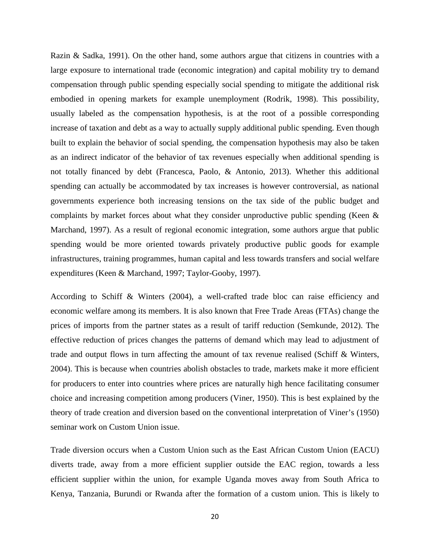Razin & Sadka, 1991). On the other hand, some authors argue that citizens in countries with a large exposure to international trade (economic integration) and capital mobility try to demand compensation through public spending especially social spending to mitigate the additional risk embodied in opening markets for example unemployment (Rodrik, 1998). This possibility, usually labeled as the compensation hypothesis, is at the root of a possible corresponding increase of taxation and debt as a way to actually supply additional public spending. Even though built to explain the behavior of social spending, the compensation hypothesis may also be taken as an indirect indicator of the behavior of tax revenues especially when additional spending is not totally financed by debt (Francesca, Paolo, & Antonio, 2013). Whether this additional spending can actually be accommodated by tax increases is however controversial, as national governments experience both increasing tensions on the tax side of the public budget and complaints by market forces about what they consider unproductive public spending (Keen  $\&$ Marchand, 1997). As a result of regional economic integration, some authors argue that public spending would be more oriented towards privately productive public goods for example infrastructures, training programmes, human capital and less towards transfers and social welfare expenditures (Keen & Marchand, 1997; Taylor-Gooby, 1997).

According to Schiff & Winters (2004), a well-crafted trade bloc can raise efficiency and economic welfare among its members. It is also known that Free Trade Areas (FTAs) change the prices of imports from the partner states as a result of tariff reduction (Semkunde, 2012). The effective reduction of prices changes the patterns of demand which may lead to adjustment of trade and output flows in turn affecting the amount of tax revenue realised (Schiff & Winters, 2004). This is because when countries abolish obstacles to trade, markets make it more efficient for producers to enter into countries where prices are naturally high hence facilitating consumer choice and increasing competition among producers (Viner, 1950). This is best explained by the theory of trade creation and diversion based on the conventional interpretation of Viner's (1950) seminar work on Custom Union issue.

Trade diversion occurs when a Custom Union such as the East African Custom Union (EACU) diverts trade, away from a more efficient supplier outside the EAC region, towards a less efficient supplier within the union, for example Uganda moves away from South Africa to Kenya, Tanzania, Burundi or Rwanda after the formation of a custom union. This is likely to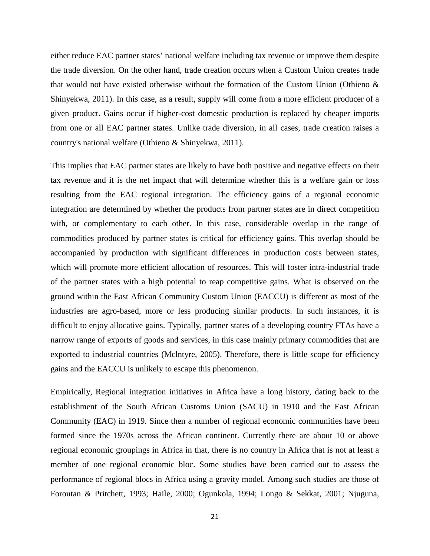either reduce EAC partner states' national welfare including tax revenue or improve them despite the trade diversion. On the other hand, trade creation occurs when a Custom Union creates trade that would not have existed otherwise without the formation of the Custom Union (Othieno & Shinyekwa, 2011). In this case, as a result, supply will come from a more efficient producer of a given product. Gains occur if higher-cost domestic production is replaced by cheaper imports from one or all EAC partner states. Unlike trade diversion, in all cases, trade creation raises a country's national welfare (Othieno & Shinyekwa, 2011).

This implies that EAC partner states are likely to have both positive and negative effects on their tax revenue and it is the net impact that will determine whether this is a welfare gain or loss resulting from the EAC regional integration. The efficiency gains of a regional economic integration are determined by whether the products from partner states are in direct competition with, or complementary to each other. In this case, considerable overlap in the range of commodities produced by partner states is critical for efficiency gains. This overlap should be accompanied by production with significant differences in production costs between states, which will promote more efficient allocation of resources. This will foster intra-industrial trade of the partner states with a high potential to reap competitive gains. What is observed on the ground within the East African Community Custom Union (EACCU) is different as most of the industries are agro-based, more or less producing similar products. In such instances, it is difficult to enjoy allocative gains. Typically, partner states of a developing country FTAs have a narrow range of exports of goods and services, in this case mainly primary commodities that are exported to industrial countries (Mclntyre, 2005). Therefore, there is little scope for efficiency gains and the EACCU is unlikely to escape this phenomenon.

Empirically, Regional integration initiatives in Africa have a long history, dating back to the establishment of the South African Customs Union (SACU) in 1910 and the East African Community (EAC) in 1919. Since then a number of regional economic communities have been formed since the 1970s across the African continent. Currently there are about 10 or above regional economic groupings in Africa in that, there is no country in Africa that is not at least a member of one regional economic bloc. Some studies have been carried out to assess the performance of regional blocs in Africa using a gravity model. Among such studies are those of Foroutan & Pritchett, 1993; Haile, 2000; Ogunkola, 1994; Longo & Sekkat, 2001; Njuguna,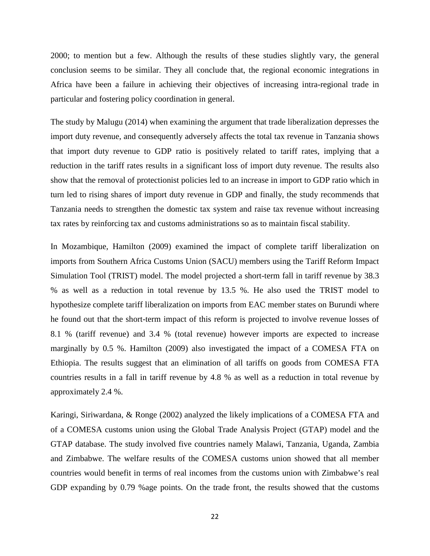2000; to mention but a few. Although the results of these studies slightly vary, the general conclusion seems to be similar. They all conclude that, the regional economic integrations in Africa have been a failure in achieving their objectives of increasing intra-regional trade in particular and fostering policy coordination in general.

The study by Malugu (2014) when examining the argument that trade liberalization depresses the import duty revenue, and consequently adversely affects the total tax revenue in Tanzania shows that import duty revenue to GDP ratio is positively related to tariff rates, implying that a reduction in the tariff rates results in a significant loss of import duty revenue. The results also show that the removal of protectionist policies led to an increase in import to GDP ratio which in turn led to rising shares of import duty revenue in GDP and finally, the study recommends that Tanzania needs to strengthen the domestic tax system and raise tax revenue without increasing tax rates by reinforcing tax and customs administrations so as to maintain fiscal stability.

In Mozambique, Hamilton (2009) examined the impact of complete tariff liberalization on imports from Southern Africa Customs Union (SACU) members using the Tariff Reform Impact Simulation Tool (TRIST) model. The model projected a short-term fall in tariff revenue by 38.3 % as well as a reduction in total revenue by 13.5 %. He also used the TRIST model to hypothesize complete tariff liberalization on imports from EAC member states on Burundi where he found out that the short-term impact of this reform is projected to involve revenue losses of 8.1 % (tariff revenue) and 3.4 % (total revenue) however imports are expected to increase marginally by 0.5 %. Hamilton (2009) also investigated the impact of a COMESA FTA on Ethiopia. The results suggest that an elimination of all tariffs on goods from COMESA FTA countries results in a fall in tariff revenue by 4.8 % as well as a reduction in total revenue by approximately 2.4 %.

Karingi, Siriwardana, & Ronge (2002) analyzed the likely implications of a COMESA FTA and of a COMESA customs union using the Global Trade Analysis Project (GTAP) model and the GTAP database. The study involved five countries namely Malawi, Tanzania, Uganda, Zambia and Zimbabwe. The welfare results of the COMESA customs union showed that all member countries would benefit in terms of real incomes from the customs union with Zimbabwe's real GDP expanding by 0.79 %age points. On the trade front, the results showed that the customs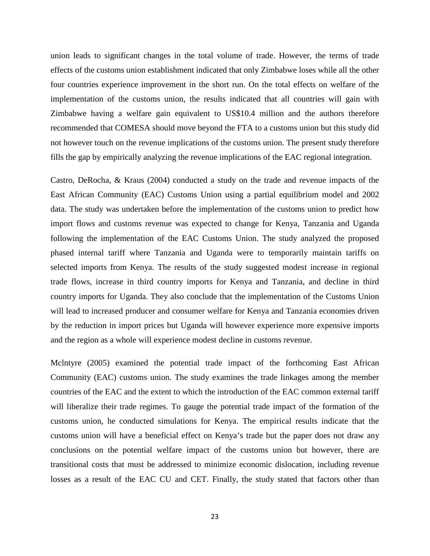union leads to significant changes in the total volume of trade. However, the terms of trade effects of the customs union establishment indicated that only Zimbabwe loses while all the other four countries experience improvement in the short run. On the total effects on welfare of the implementation of the customs union, the results indicated that all countries will gain with Zimbabwe having a welfare gain equivalent to US\$10.4 million and the authors therefore recommended that COMESA should move beyond the FTA to a customs union but this study did not however touch on the revenue implications of the customs union. The present study therefore fills the gap by empirically analyzing the revenue implications of the EAC regional integration.

Castro, DeRocha, & Kraus (2004) conducted a study on the trade and revenue impacts of the East African Community (EAC) Customs Union using a partial equilibrium model and 2002 data. The study was undertaken before the implementation of the customs union to predict how import flows and customs revenue was expected to change for Kenya, Tanzania and Uganda following the implementation of the EAC Customs Union. The study analyzed the proposed phased internal tariff where Tanzania and Uganda were to temporarily maintain tariffs on selected imports from Kenya. The results of the study suggested modest increase in regional trade flows, increase in third country imports for Kenya and Tanzania, and decline in third country imports for Uganda. They also conclude that the implementation of the Customs Union will lead to increased producer and consumer welfare for Kenya and Tanzania economies driven by the reduction in import prices but Uganda will however experience more expensive imports and the region as a whole will experience modest decline in customs revenue.

Mclntyre (2005) examined the potential trade impact of the forthcoming East African Community (EAC) customs union. The study examines the trade linkages among the member countries of the EAC and the extent to which the introduction of the EAC common external tariff will liberalize their trade regimes. To gauge the potential trade impact of the formation of the customs union, he conducted simulations for Kenya. The empirical results indicate that the customs union will have a beneficial effect on Kenya's trade but the paper does not draw any conclusions on the potential welfare impact of the customs union but however, there are transitional costs that must be addressed to minimize economic dislocation, including revenue losses as a result of the EAC CU and CET. Finally, the study stated that factors other than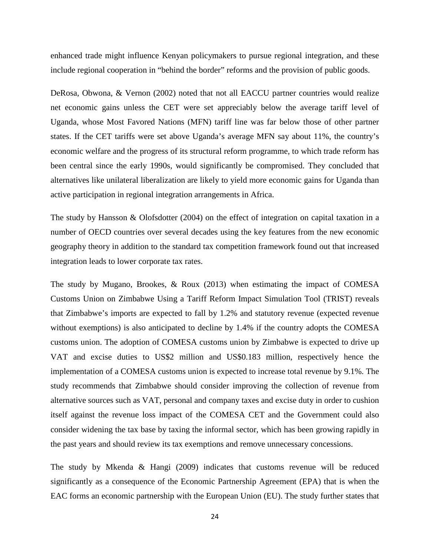enhanced trade might influence Kenyan policymakers to pursue regional integration, and these include regional cooperation in "behind the border" reforms and the provision of public goods.

DeRosa, Obwona, & Vernon (2002) noted that not all EACCU partner countries would realize net economic gains unless the CET were set appreciably below the average tariff level of Uganda, whose Most Favored Nations (MFN) tariff line was far below those of other partner states. If the CET tariffs were set above Uganda's average MFN say about 11%, the country's economic welfare and the progress of its structural reform programme, to which trade reform has been central since the early 1990s, would significantly be compromised. They concluded that alternatives like unilateral liberalization are likely to yield more economic gains for Uganda than active participation in regional integration arrangements in Africa.

The study by Hansson & Olofsdotter (2004) on the effect of integration on capital taxation in a number of OECD countries over several decades using the key features from the new economic geography theory in addition to the standard tax competition framework found out that increased integration leads to lower corporate tax rates.

The study by Mugano, Brookes, & Roux (2013) when estimating the impact of COMESA Customs Union on Zimbabwe Using a Tariff Reform Impact Simulation Tool (TRIST) reveals that Zimbabwe's imports are expected to fall by 1.2% and statutory revenue (expected revenue without exemptions) is also anticipated to decline by 1.4% if the country adopts the COMESA customs union. The adoption of COMESA customs union by Zimbabwe is expected to drive up VAT and excise duties to US\$2 million and US\$0.183 million, respectively hence the implementation of a COMESA customs union is expected to increase total revenue by 9.1%. The study recommends that Zimbabwe should consider improving the collection of revenue from alternative sources such as VAT, personal and company taxes and excise duty in order to cushion itself against the revenue loss impact of the COMESA CET and the Government could also consider widening the tax base by taxing the informal sector, which has been growing rapidly in the past years and should review its tax exemptions and remove unnecessary concessions.

The study by Mkenda & Hangi (2009) indicates that customs revenue will be reduced significantly as a consequence of the Economic Partnership Agreement (EPA) that is when the EAC forms an economic partnership with the European Union (EU). The study further states that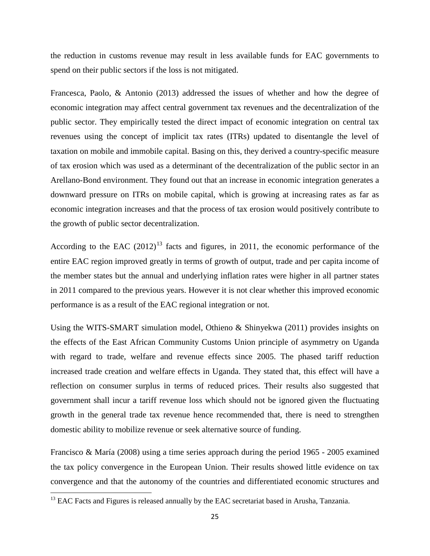the reduction in customs revenue may result in less available funds for EAC governments to spend on their public sectors if the loss is not mitigated.

Francesca, Paolo, & Antonio (2013) addressed the issues of whether and how the degree of economic integration may affect central government tax revenues and the decentralization of the public sector. They empirically tested the direct impact of economic integration on central tax revenues using the concept of implicit tax rates (ITRs) updated to disentangle the level of taxation on mobile and immobile capital. Basing on this, they derived a country-specific measure of tax erosion which was used as a determinant of the decentralization of the public sector in an Arellano-Bond environment. They found out that an increase in economic integration generates a downward pressure on ITRs on mobile capital, which is growing at increasing rates as far as economic integration increases and that the process of tax erosion would positively contribute to the growth of public sector decentralization.

According to the EAC  $(2012)^{13}$  $(2012)^{13}$  $(2012)^{13}$  facts and figures, in 2011, the economic performance of the entire EAC region improved greatly in terms of growth of output, trade and per capita income of the member states but the annual and underlying inflation rates were higher in all partner states in 2011 compared to the previous years. However it is not clear whether this improved economic performance is as a result of the EAC regional integration or not.

Using the WITS-SMART simulation model, Othieno & Shinyekwa (2011) provides insights on the effects of the East African Community Customs Union principle of asymmetry on Uganda with regard to trade, welfare and revenue effects since 2005. The phased tariff reduction increased trade creation and welfare effects in Uganda. They stated that, this effect will have a reflection on consumer surplus in terms of reduced prices. Their results also suggested that government shall incur a tariff revenue loss which should not be ignored given the fluctuating growth in the general trade tax revenue hence recommended that, there is need to strengthen domestic ability to mobilize revenue or seek alternative source of funding.

Francisco & María (2008) using a time series approach during the period 1965 - 2005 examined the tax policy convergence in the European Union. Their results showed little evidence on tax convergence and that the autonomy of the countries and differentiated economic structures and

l

<span id="page-39-0"></span> $13$  EAC Facts and Figures is released annually by the EAC secretariat based in Arusha, Tanzania.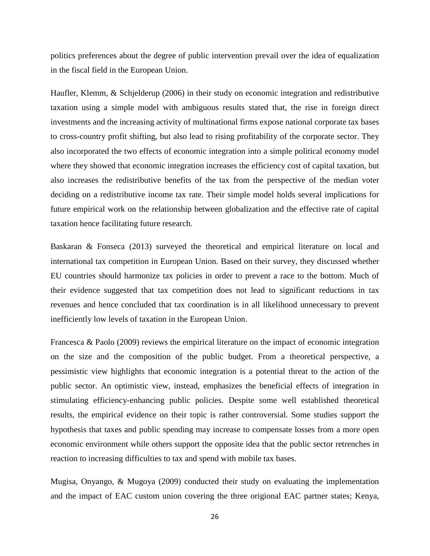politics preferences about the degree of public intervention prevail over the idea of equalization in the fiscal field in the European Union.

Haufler, Klemm, & Schjelderup (2006) in their study on economic integration and redistributive taxation using a simple model with ambiguous results stated that, the rise in foreign direct investments and the increasing activity of multinational firms expose national corporate tax bases to cross-country profit shifting, but also lead to rising profitability of the corporate sector. They also incorporated the two effects of economic integration into a simple political economy model where they showed that economic integration increases the efficiency cost of capital taxation, but also increases the redistributive benefits of the tax from the perspective of the median voter deciding on a redistributive income tax rate. Their simple model holds several implications for future empirical work on the relationship between globalization and the effective rate of capital taxation hence facilitating future research.

Baskaran & Fonseca (2013) surveyed the theoretical and empirical literature on local and international tax competition in European Union. Based on their survey, they discussed whether EU countries should harmonize tax policies in order to prevent a race to the bottom. Much of their evidence suggested that tax competition does not lead to significant reductions in tax revenues and hence concluded that tax coordination is in all likelihood unnecessary to prevent inefficiently low levels of taxation in the European Union.

Francesca & Paolo (2009) reviews the empirical literature on the impact of economic integration on the size and the composition of the public budget. From a theoretical perspective, a pessimistic view highlights that economic integration is a potential threat to the action of the public sector. An optimistic view, instead, emphasizes the beneficial effects of integration in stimulating efficiency-enhancing public policies. Despite some well established theoretical results, the empirical evidence on their topic is rather controversial. Some studies support the hypothesis that taxes and public spending may increase to compensate losses from a more open economic environment while others support the opposite idea that the public sector retrenches in reaction to increasing difficulties to tax and spend with mobile tax bases.

Mugisa, Onyango, & Mugoya (2009) conducted their study on evaluating the implementation and the impact of EAC custom union covering the three origional EAC partner states; Kenya,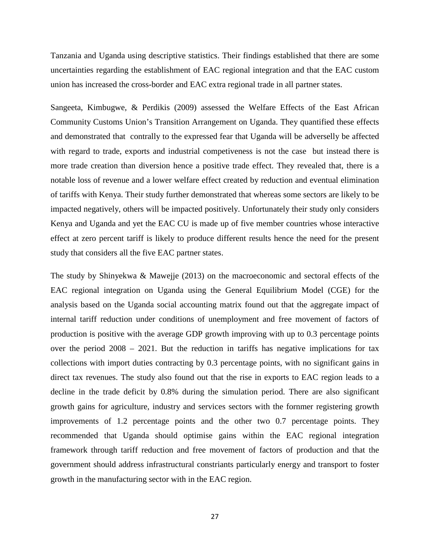Tanzania and Uganda using descriptive statistics. Their findings established that there are some uncertainties regarding the establishment of EAC regional integration and that the EAC custom union has increased the cross-border and EAC extra regional trade in all partner states.

Sangeeta, Kimbugwe, & Perdikis (2009) assessed the Welfare Effects of the East African Community Customs Union's Transition Arrangement on Uganda. They quantified these effects and demonstrated that contrally to the expressed fear that Uganda will be adverselly be affected with regard to trade, exports and industrial competiveness is not the case but instead there is more trade creation than diversion hence a positive trade effect. They revealed that, there is a notable loss of revenue and a lower welfare effect created by reduction and eventual elimination of tariffs with Kenya. Their study further demonstrated that whereas some sectors are likely to be impacted negatively, others will be impacted positively. Unfortunately their study only considers Kenya and Uganda and yet the EAC CU is made up of five member countries whose interactive effect at zero percent tariff is likely to produce different results hence the need for the present study that considers all the five EAC partner states.

The study by Shinyekwa & Mawejje (2013) on the macroeconomic and sectoral effects of the EAC regional integration on Uganda using the General Equilibrium Model (CGE) for the analysis based on the Uganda social accounting matrix found out that the aggregate impact of internal tariff reduction under conditions of unemployment and free movement of factors of production is positive with the average GDP growth improving with up to 0.3 percentage points over the period 2008 – 2021. But the reduction in tariffs has negative implications for tax collections with import duties contracting by 0.3 percentage points, with no significant gains in direct tax revenues. The study also found out that the rise in exports to EAC region leads to a decline in the trade deficit by 0.8% during the simulation period. There are also significant growth gains for agriculture, industry and services sectors with the fornmer registering growth improvements of 1.2 percentage points and the other two 0.7 percentage points. They recommended that Uganda should optimise gains within the EAC regional integration framework through tariff reduction and free movement of factors of production and that the government should address infrastructural constriants particularly energy and transport to foster growth in the manufacturing sector with in the EAC region.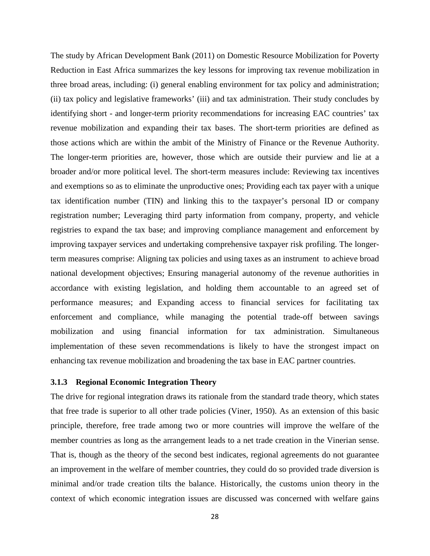The study by African Development Bank (2011) on Domestic Resource Mobilization for Poverty Reduction in East Africa summarizes the key lessons for improving tax revenue mobilization in three broad areas, including: (i) general enabling environment for tax policy and administration; (ii) tax policy and legislative frameworks' (iii) and tax administration. Their study concludes by identifying short - and longer-term priority recommendations for increasing EAC countries' tax revenue mobilization and expanding their tax bases. The short-term priorities are defined as those actions which are within the ambit of the Ministry of Finance or the Revenue Authority. The longer-term priorities are, however, those which are outside their purview and lie at a broader and/or more political level. The short-term measures include: Reviewing tax incentives and exemptions so as to eliminate the unproductive ones; Providing each tax payer with a unique tax identification number (TIN) and linking this to the taxpayer's personal ID or company registration number; Leveraging third party information from company, property, and vehicle registries to expand the tax base; and improving compliance management and enforcement by improving taxpayer services and undertaking comprehensive taxpayer risk profiling. The longerterm measures comprise: Aligning tax policies and using taxes as an instrument to achieve broad national development objectives; Ensuring managerial autonomy of the revenue authorities in accordance with existing legislation, and holding them accountable to an agreed set of performance measures; and Expanding access to financial services for facilitating tax enforcement and compliance, while managing the potential trade-off between savings mobilization and using financial information for tax administration. Simultaneous implementation of these seven recommendations is likely to have the strongest impact on enhancing tax revenue mobilization and broadening the tax base in EAC partner countries.

## **3.1.3 Regional Economic Integration Theory**

The drive for regional integration draws its rationale from the standard trade theory, which states that free trade is superior to all other trade policies (Viner, 1950). As an extension of this basic principle, therefore, free trade among two or more countries will improve the welfare of the member countries as long as the arrangement leads to a net trade creation in the Vinerian sense. That is, though as the theory of the second best indicates, regional agreements do not guarantee an improvement in the welfare of member countries, they could do so provided trade diversion is minimal and/or trade creation tilts the balance. Historically, the customs union theory in the context of which economic integration issues are discussed was concerned with welfare gains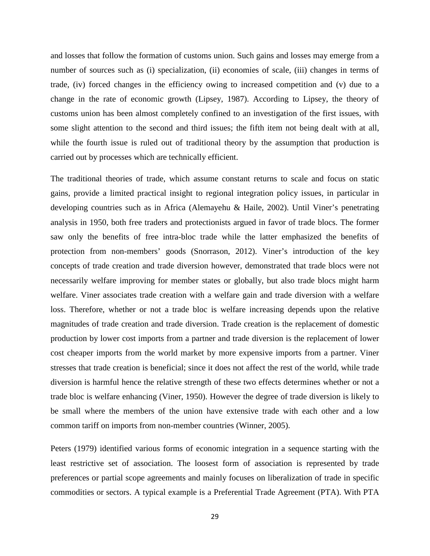and losses that follow the formation of customs union. Such gains and losses may emerge from a number of sources such as (i) specialization, (ii) economies of scale, (iii) changes in terms of trade, (iv) forced changes in the efficiency owing to increased competition and (v) due to a change in the rate of economic growth (Lipsey, 1987). According to Lipsey, the theory of customs union has been almost completely confined to an investigation of the first issues, with some slight attention to the second and third issues; the fifth item not being dealt with at all, while the fourth issue is ruled out of traditional theory by the assumption that production is carried out by processes which are technically efficient.

The traditional theories of trade, which assume constant returns to scale and focus on static gains, provide a limited practical insight to regional integration policy issues, in particular in developing countries such as in Africa (Alemayehu & Haile, 2002). Until Viner's penetrating analysis in 1950, both free traders and protectionists argued in favor of trade blocs. The former saw only the benefits of free intra-bloc trade while the latter emphasized the benefits of protection from non-members' goods (Snorrason, 2012). Viner's introduction of the key concepts of trade creation and trade diversion however, demonstrated that trade blocs were not necessarily welfare improving for member states or globally, but also trade blocs might harm welfare. Viner associates trade creation with a welfare gain and trade diversion with a welfare loss. Therefore, whether or not a trade bloc is welfare increasing depends upon the relative magnitudes of trade creation and trade diversion. Trade creation is the replacement of domestic production by lower cost imports from a partner and trade diversion is the replacement of lower cost cheaper imports from the world market by more expensive imports from a partner. Viner stresses that trade creation is beneficial; since it does not affect the rest of the world, while trade diversion is harmful hence the relative strength of these two effects determines whether or not a trade bloc is welfare enhancing (Viner, 1950). However the degree of trade diversion is likely to be small where the members of the union have extensive trade with each other and a low common tariff on imports from non-member countries (Winner, 2005).

Peters (1979) identified various forms of economic integration in a sequence starting with the least restrictive set of association. The loosest form of association is represented by trade preferences or partial scope agreements and mainly focuses on liberalization of trade in specific commodities or sectors. A typical example is a Preferential Trade Agreement (PTA). With PTA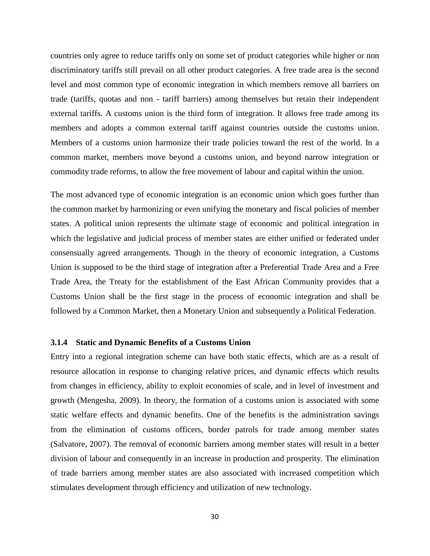countries only agree to reduce tariffs only on some set of product categories while higher or non discriminatory tariffs still prevail on all other product categories. A free trade area is the second level and most common type of economic integration in which members remove all barriers on trade (tariffs, quotas and non - tariff barriers) among themselves but retain their independent external tariffs. A customs union is the third form of integration. It allows free trade among its members and adopts a common external tariff against countries outside the customs union. Members of a customs union harmonize their trade policies toward the rest of the world. In a common market, members move beyond a customs union, and beyond narrow integration or commodity trade reforms, to allow the free movement of labour and capital within the union.

The most advanced type of economic integration is an economic union which goes further than the common market by harmonizing or even unifying the monetary and fiscal policies of member states. A political union represents the ultimate stage of economic and political integration in which the legislative and judicial process of member states are either unified or federated under consensually agreed arrangements. Though in the theory of economic integration, a Customs Union is supposed to be the third stage of integration after a Preferential Trade Area and a Free Trade Area, the Treaty for the establishment of the East African Community provides that a Customs Union shall be the first stage in the process of economic integration and shall be followed by a Common Market, then a Monetary Union and subsequently a Political Federation.

#### **3.1.4 Static and Dynamic Benefits of a Customs Union**

Entry into a regional integration scheme can have both static effects, which are as a result of resource allocation in response to changing relative prices, and dynamic effects which results from changes in efficiency, ability to exploit economies of scale, and in level of investment and growth (Mengesha, 2009). In theory, the formation of a customs union is associated with some static welfare effects and dynamic benefits. One of the benefits is the administration savings from the elimination of customs officers, border patrols for trade among member states (Salvatore, 2007). The removal of economic barriers among member states will result in a better division of labour and consequently in an increase in production and prosperity. The elimination of trade barriers among member states are also associated with increased competition which stimulates development through efficiency and utilization of new technology.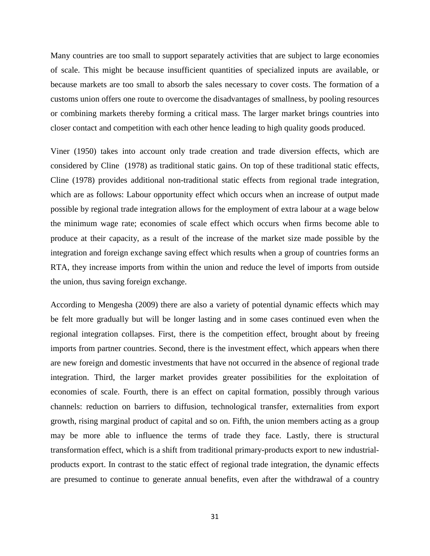Many countries are too small to support separately activities that are subject to large economies of scale. This might be because insufficient quantities of specialized inputs are available, or because markets are too small to absorb the sales necessary to cover costs. The formation of a customs union offers one route to overcome the disadvantages of smallness, by pooling resources or combining markets thereby forming a critical mass. The larger market brings countries into closer contact and competition with each other hence leading to high quality goods produced.

Viner (1950) takes into account only trade creation and trade diversion effects, which are considered by Cline (1978) as traditional static gains. On top of these traditional static effects, Cline (1978) provides additional non-traditional static effects from regional trade integration, which are as follows: Labour opportunity effect which occurs when an increase of output made possible by regional trade integration allows for the employment of extra labour at a wage below the minimum wage rate; economies of scale effect which occurs when firms become able to produce at their capacity, as a result of the increase of the market size made possible by the integration and foreign exchange saving effect which results when a group of countries forms an RTA, they increase imports from within the union and reduce the level of imports from outside the union, thus saving foreign exchange.

According to Mengesha (2009) there are also a variety of potential dynamic effects which may be felt more gradually but will be longer lasting and in some cases continued even when the regional integration collapses. First, there is the competition effect, brought about by freeing imports from partner countries. Second, there is the investment effect, which appears when there are new foreign and domestic investments that have not occurred in the absence of regional trade integration. Third, the larger market provides greater possibilities for the exploitation of economies of scale. Fourth, there is an effect on capital formation, possibly through various channels: reduction on barriers to diffusion, technological transfer, externalities from export growth, rising marginal product of capital and so on. Fifth, the union members acting as a group may be more able to influence the terms of trade they face. Lastly, there is structural transformation effect, which is a shift from traditional primary-products export to new industrialproducts export. In contrast to the static effect of regional trade integration, the dynamic effects are presumed to continue to generate annual benefits, even after the withdrawal of a country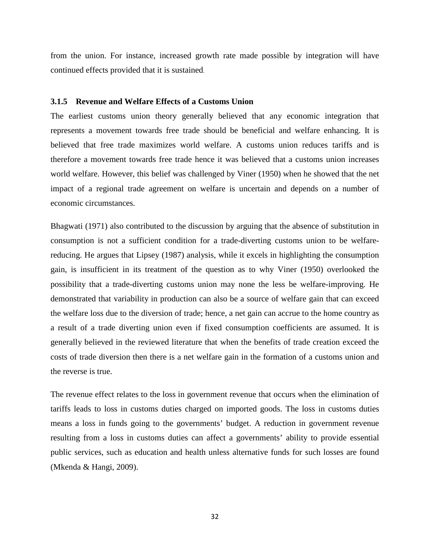from the union. For instance, increased growth rate made possible by integration will have continued effects provided that it is sustained.

#### **3.1.5 Revenue and Welfare Effects of a Customs Union**

The earliest customs union theory generally believed that any economic integration that represents a movement towards free trade should be beneficial and welfare enhancing. It is believed that free trade maximizes world welfare. A customs union reduces tariffs and is therefore a movement towards free trade hence it was believed that a customs union increases world welfare. However, this belief was challenged by Viner (1950) when he showed that the net impact of a regional trade agreement on welfare is uncertain and depends on a number of economic circumstances.

Bhagwati (1971) also contributed to the discussion by arguing that the absence of substitution in consumption is not a sufficient condition for a trade-diverting customs union to be welfarereducing. He argues that Lipsey (1987) analysis, while it excels in highlighting the consumption gain, is insufficient in its treatment of the question as to why Viner (1950) overlooked the possibility that a trade-diverting customs union may none the less be welfare-improving. He demonstrated that variability in production can also be a source of welfare gain that can exceed the welfare loss due to the diversion of trade; hence, a net gain can accrue to the home country as a result of a trade diverting union even if fixed consumption coefficients are assumed. It is generally believed in the reviewed literature that when the benefits of trade creation exceed the costs of trade diversion then there is a net welfare gain in the formation of a customs union and the reverse is true.

The revenue effect relates to the loss in government revenue that occurs when the elimination of tariffs leads to loss in customs duties charged on imported goods. The loss in customs duties means a loss in funds going to the governments' budget. A reduction in government revenue resulting from a loss in customs duties can affect a governments' ability to provide essential public services, such as education and health unless alternative funds for such losses are found (Mkenda & Hangi, 2009).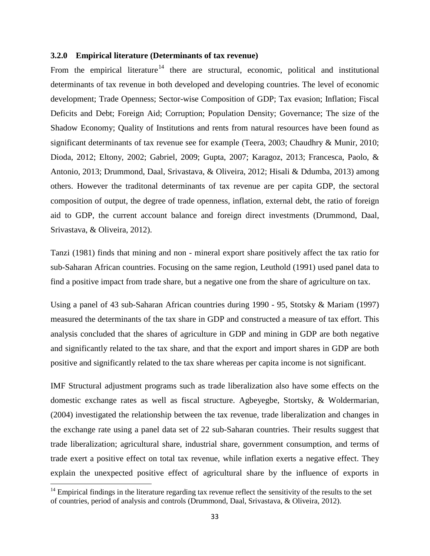### **3.2.0 Empirical literature (Determinants of tax revenue)**

From the empirical literature<sup>[14](#page-47-0)</sup> there are structural, economic, political and institutional determinants of tax revenue in both developed and developing countries. The level of economic development; Trade Openness; Sector-wise Composition of GDP; Tax evasion; Inflation; Fiscal Deficits and Debt; Foreign Aid; Corruption; Population Density; Governance; The size of the Shadow Economy; Quality of Institutions and rents from natural resources have been found as significant determinants of tax revenue see for example (Teera, 2003; Chaudhry & Munir, 2010; Dioda, 2012; Eltony, 2002; Gabriel, 2009; Gupta, 2007; Karagoz, 2013; Francesca, Paolo, & Antonio, 2013; Drummond, Daal, Srivastava, & Oliveira, 2012; Hisali & Ddumba, 2013) among others. However the traditonal determinants of tax revenue are per capita GDP, the sectoral composition of output, the degree of trade openness, inflation, external debt, the ratio of foreign aid to GDP, the current account balance and foreign direct investments (Drummond, Daal, Srivastava, & Oliveira, 2012).

Tanzi (1981) finds that mining and non - mineral export share positively affect the tax ratio for sub-Saharan African countries. Focusing on the same region, Leuthold (1991) used panel data to find a positive impact from trade share, but a negative one from the share of agriculture on tax.

Using a panel of 43 sub-Saharan African countries during 1990 - 95, Stotsky & Mariam (1997) measured the determinants of the tax share in GDP and constructed a measure of tax effort. This analysis concluded that the shares of agriculture in GDP and mining in GDP are both negative and significantly related to the tax share, and that the export and import shares in GDP are both positive and significantly related to the tax share whereas per capita income is not significant.

IMF Structural adjustment programs such as trade liberalization also have some effects on the domestic exchange rates as well as fiscal structure. Agbeyegbe, Stortsky, & Woldermarian, (2004) investigated the relationship between the tax revenue, trade liberalization and changes in the exchange rate using a panel data set of 22 sub-Saharan countries. Their results suggest that trade liberalization; agricultural share, industrial share, government consumption, and terms of trade exert a positive effect on total tax revenue, while inflation exerts a negative effect. They explain the unexpected positive effect of agricultural share by the influence of exports in

l

<span id="page-47-0"></span> $14$  Empirical findings in the literature regarding tax revenue reflect the sensitivity of the results to the set of countries, period of analysis and controls (Drummond, Daal, Srivastava, & Oliveira, 2012).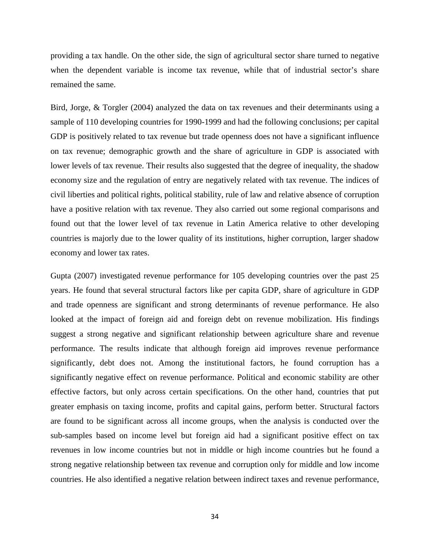providing a tax handle. On the other side, the sign of agricultural sector share turned to negative when the dependent variable is income tax revenue, while that of industrial sector's share remained the same.

Bird, Jorge, & Torgler (2004) analyzed the data on tax revenues and their determinants using a sample of 110 developing countries for 1990-1999 and had the following conclusions; per capital GDP is positively related to tax revenue but trade openness does not have a significant influence on tax revenue; demographic growth and the share of agriculture in GDP is associated with lower levels of tax revenue. Their results also suggested that the degree of inequality, the shadow economy size and the regulation of entry are negatively related with tax revenue. The indices of civil liberties and political rights, political stability, rule of law and relative absence of corruption have a positive relation with tax revenue. They also carried out some regional comparisons and found out that the lower level of tax revenue in Latin America relative to other developing countries is majorly due to the lower quality of its institutions, higher corruption, larger shadow economy and lower tax rates.

Gupta (2007) investigated revenue performance for 105 developing countries over the past 25 years. He found that several structural factors like per capita GDP, share of agriculture in GDP and trade openness are significant and strong determinants of revenue performance. He also looked at the impact of foreign aid and foreign debt on revenue mobilization. His findings suggest a strong negative and significant relationship between agriculture share and revenue performance. The results indicate that although foreign aid improves revenue performance significantly, debt does not. Among the institutional factors, he found corruption has a significantly negative effect on revenue performance. Political and economic stability are other effective factors, but only across certain specifications. On the other hand, countries that put greater emphasis on taxing income, profits and capital gains, perform better. Structural factors are found to be significant across all income groups, when the analysis is conducted over the sub-samples based on income level but foreign aid had a significant positive effect on tax revenues in low income countries but not in middle or high income countries but he found a strong negative relationship between tax revenue and corruption only for middle and low income countries. He also identified a negative relation between indirect taxes and revenue performance,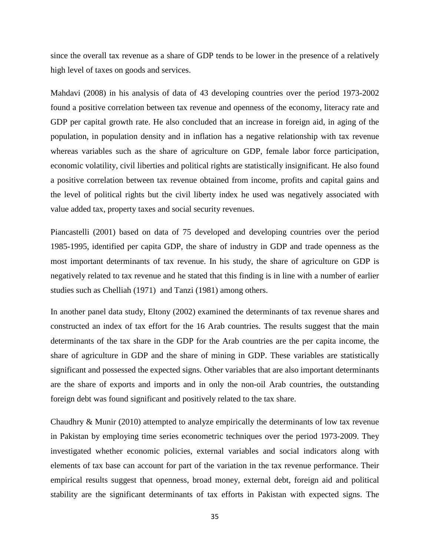since the overall tax revenue as a share of GDP tends to be lower in the presence of a relatively high level of taxes on goods and services.

Mahdavi (2008) in his analysis of data of 43 developing countries over the period 1973-2002 found a positive correlation between tax revenue and openness of the economy, literacy rate and GDP per capital growth rate. He also concluded that an increase in foreign aid, in aging of the population, in population density and in inflation has a negative relationship with tax revenue whereas variables such as the share of agriculture on GDP, female labor force participation, economic volatility, civil liberties and political rights are statistically insignificant. He also found a positive correlation between tax revenue obtained from income, profits and capital gains and the level of political rights but the civil liberty index he used was negatively associated with value added tax, property taxes and social security revenues.

Piancastelli (2001) based on data of 75 developed and developing countries over the period 1985-1995, identified per capita GDP, the share of industry in GDP and trade openness as the most important determinants of tax revenue. In his study, the share of agriculture on GDP is negatively related to tax revenue and he stated that this finding is in line with a number of earlier studies such as Chelliah (1971) and Tanzi (1981) among others.

In another panel data study, Eltony (2002) examined the determinants of tax revenue shares and constructed an index of tax effort for the 16 Arab countries. The results suggest that the main determinants of the tax share in the GDP for the Arab countries are the per capita income, the share of agriculture in GDP and the share of mining in GDP. These variables are statistically significant and possessed the expected signs. Other variables that are also important determinants are the share of exports and imports and in only the non-oil Arab countries, the outstanding foreign debt was found significant and positively related to the tax share.

Chaudhry & Munir (2010) attempted to analyze empirically the determinants of low tax revenue in Pakistan by employing time series econometric techniques over the period 1973-2009. They investigated whether economic policies, external variables and social indicators along with elements of tax base can account for part of the variation in the tax revenue performance. Their empirical results suggest that openness, broad money, external debt, foreign aid and political stability are the significant determinants of tax efforts in Pakistan with expected signs. The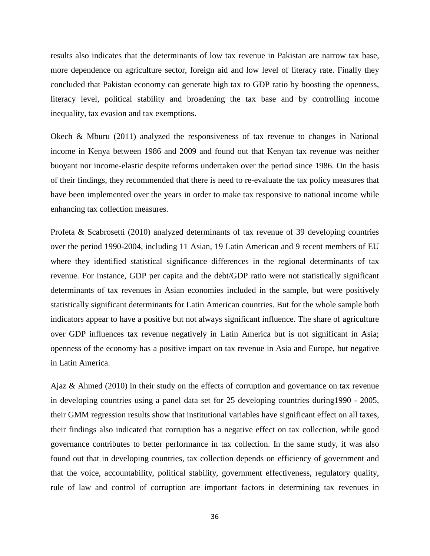results also indicates that the determinants of low tax revenue in Pakistan are narrow tax base, more dependence on agriculture sector, foreign aid and low level of literacy rate. Finally they concluded that Pakistan economy can generate high tax to GDP ratio by boosting the openness, literacy level, political stability and broadening the tax base and by controlling income inequality, tax evasion and tax exemptions.

Okech & Mburu (2011) analyzed the responsiveness of tax revenue to changes in National income in Kenya between 1986 and 2009 and found out that Kenyan tax revenue was neither buoyant nor income-elastic despite reforms undertaken over the period since 1986. On the basis of their findings, they recommended that there is need to re-evaluate the tax policy measures that have been implemented over the years in order to make tax responsive to national income while enhancing tax collection measures.

Profeta & Scabrosetti (2010) analyzed determinants of tax revenue of 39 developing countries over the period 1990-2004, including 11 Asian, 19 Latin American and 9 recent members of EU where they identified statistical significance differences in the regional determinants of tax revenue. For instance, GDP per capita and the debt/GDP ratio were not statistically significant determinants of tax revenues in Asian economies included in the sample, but were positively statistically significant determinants for Latin American countries. But for the whole sample both indicators appear to have a positive but not always significant influence. The share of agriculture over GDP influences tax revenue negatively in Latin America but is not significant in Asia; openness of the economy has a positive impact on tax revenue in Asia and Europe, but negative in Latin America.

Ajaz & Ahmed (2010) in their study on the effects of corruption and governance on tax revenue in developing countries using a panel data set for 25 developing countries during1990 - 2005, their GMM regression results show that institutional variables have significant effect on all taxes, their findings also indicated that corruption has a negative effect on tax collection, while good governance contributes to better performance in tax collection. In the same study, it was also found out that in developing countries, tax collection depends on efficiency of government and that the voice, accountability, political stability, government effectiveness, regulatory quality, rule of law and control of corruption are important factors in determining tax revenues in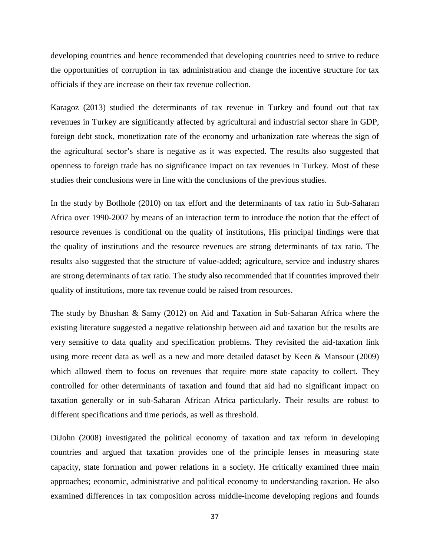developing countries and hence recommended that developing countries need to strive to reduce the opportunities of corruption in tax administration and change the incentive structure for tax officials if they are increase on their tax revenue collection.

Karagoz (2013) studied the determinants of tax revenue in Turkey and found out that tax revenues in Turkey are significantly affected by agricultural and industrial sector share in GDP, foreign debt stock, monetization rate of the economy and urbanization rate whereas the sign of the agricultural sector's share is negative as it was expected. The results also suggested that openness to foreign trade has no significance impact on tax revenues in Turkey. Most of these studies their conclusions were in line with the conclusions of the previous studies.

In the study by Botlhole (2010) on tax effort and the determinants of tax ratio in Sub-Saharan Africa over 1990-2007 by means of an interaction term to introduce the notion that the effect of resource revenues is conditional on the quality of institutions, His principal findings were that the quality of institutions and the resource revenues are strong determinants of tax ratio. The results also suggested that the structure of value-added; agriculture, service and industry shares are strong determinants of tax ratio. The study also recommended that if countries improved their quality of institutions, more tax revenue could be raised from resources.

The study by Bhushan & Samy (2012) on Aid and Taxation in Sub-Saharan Africa where the existing literature suggested a negative relationship between aid and taxation but the results are very sensitive to data quality and specification problems. They revisited the aid-taxation link using more recent data as well as a new and more detailed dataset by Keen & Mansour (2009) which allowed them to focus on revenues that require more state capacity to collect. They controlled for other determinants of taxation and found that aid had no significant impact on taxation generally or in sub-Saharan African Africa particularly. Their results are robust to different specifications and time periods, as well as threshold.

DiJohn (2008) investigated the political economy of taxation and tax reform in developing countries and argued that taxation provides one of the principle lenses in measuring state capacity, state formation and power relations in a society. He critically examined three main approaches; economic, administrative and political economy to understanding taxation. He also examined differences in tax composition across middle-income developing regions and founds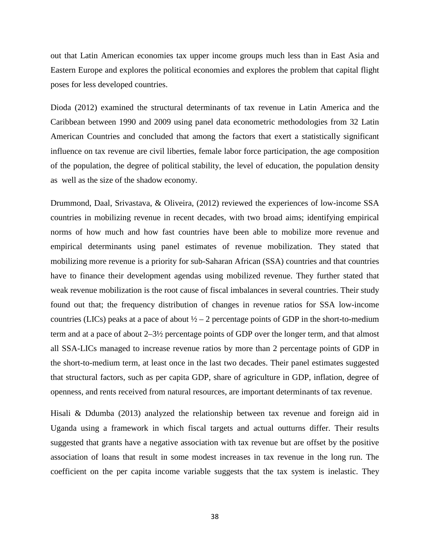out that Latin American economies tax upper income groups much less than in East Asia and Eastern Europe and explores the political economies and explores the problem that capital flight poses for less developed countries.

Dioda (2012) examined the structural determinants of tax revenue in Latin America and the Caribbean between 1990 and 2009 using panel data econometric methodologies from 32 Latin American Countries and concluded that among the factors that exert a statistically significant influence on tax revenue are civil liberties, female labor force participation, the age composition of the population, the degree of political stability, the level of education, the population density as well as the size of the shadow economy.

Drummond, Daal, Srivastava, & Oliveira, (2012) reviewed the experiences of low-income SSA countries in mobilizing revenue in recent decades, with two broad aims; identifying empirical norms of how much and how fast countries have been able to mobilize more revenue and empirical determinants using panel estimates of revenue mobilization. They stated that mobilizing more revenue is a priority for sub-Saharan African (SSA) countries and that countries have to finance their development agendas using mobilized revenue. They further stated that weak revenue mobilization is the root cause of fiscal imbalances in several countries. Their study found out that; the frequency distribution of changes in revenue ratios for SSA low-income countries (LICs) peaks at a pace of about  $\frac{1}{2} - 2$  percentage points of GDP in the short-to-medium term and at a pace of about 2–3½ percentage points of GDP over the longer term, and that almost all SSA-LICs managed to increase revenue ratios by more than 2 percentage points of GDP in the short-to-medium term, at least once in the last two decades. Their panel estimates suggested that structural factors, such as per capita GDP, share of agriculture in GDP, inflation, degree of openness, and rents received from natural resources, are important determinants of tax revenue.

Hisali & Ddumba (2013) analyzed the relationship between tax revenue and foreign aid in Uganda using a framework in which fiscal targets and actual outturns differ. Their results suggested that grants have a negative association with tax revenue but are offset by the positive association of loans that result in some modest increases in tax revenue in the long run. The coefficient on the per capita income variable suggests that the tax system is inelastic. They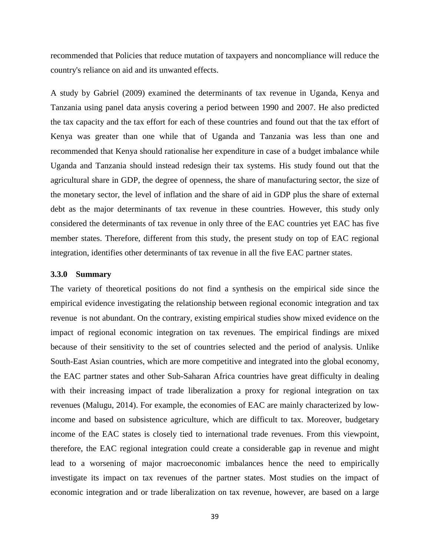recommended that Policies that reduce mutation of taxpayers and noncompliance will reduce the country's reliance on aid and its unwanted effects.

A study by Gabriel (2009) examined the determinants of tax revenue in Uganda, Kenya and Tanzania using panel data anysis covering a period between 1990 and 2007. He also predicted the tax capacity and the tax effort for each of these countries and found out that the tax effort of Kenya was greater than one while that of Uganda and Tanzania was less than one and recommended that Kenya should rationalise her expenditure in case of a budget imbalance while Uganda and Tanzania should instead redesign their tax systems. His study found out that the agricultural share in GDP, the degree of openness, the share of manufacturing sector, the size of the monetary sector, the level of inflation and the share of aid in GDP plus the share of external debt as the major determinants of tax revenue in these countries. However, this study only considered the determinants of tax revenue in only three of the EAC countries yet EAC has five member states. Therefore, different from this study, the present study on top of EAC regional integration, identifies other determinants of tax revenue in all the five EAC partner states.

#### **3.3.0 Summary**

The variety of theoretical positions do not find a synthesis on the empirical side since the empirical evidence investigating the relationship between regional economic integration and tax revenue is not abundant. On the contrary, existing empirical studies show mixed evidence on the impact of regional economic integration on tax revenues. The empirical findings are mixed because of their sensitivity to the set of countries selected and the period of analysis. Unlike South-East Asian countries, which are more competitive and integrated into the global economy, the EAC partner states and other Sub-Saharan Africa countries have great difficulty in dealing with their increasing impact of trade liberalization a proxy for regional integration on tax revenues (Malugu, 2014). For example, the economies of EAC are mainly characterized by lowincome and based on subsistence agriculture, which are difficult to tax. Moreover, budgetary income of the EAC states is closely tied to international trade revenues. From this viewpoint, therefore, the EAC regional integration could create a considerable gap in revenue and might lead to a worsening of major macroeconomic imbalances hence the need to empirically investigate its impact on tax revenues of the partner states. Most studies on the impact of economic integration and or trade liberalization on tax revenue, however, are based on a large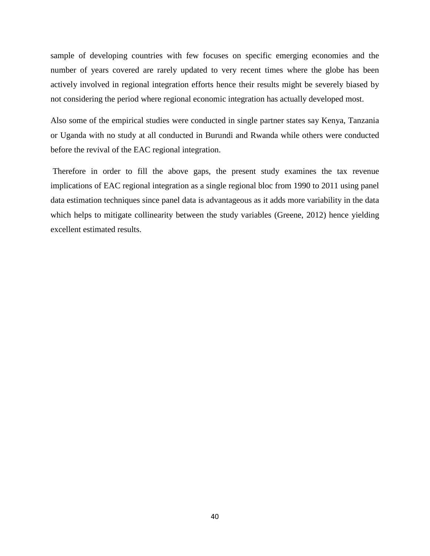sample of developing countries with few focuses on specific emerging economies and the number of years covered are rarely updated to very recent times where the globe has been actively involved in regional integration efforts hence their results might be severely biased by not considering the period where regional economic integration has actually developed most.

Also some of the empirical studies were conducted in single partner states say Kenya, Tanzania or Uganda with no study at all conducted in Burundi and Rwanda while others were conducted before the revival of the EAC regional integration.

Therefore in order to fill the above gaps, the present study examines the tax revenue implications of EAC regional integration as a single regional bloc from 1990 to 2011 using panel data estimation techniques since panel data is advantageous as it adds more variability in the data which helps to mitigate collinearity between the study variables (Greene, 2012) hence yielding excellent estimated results.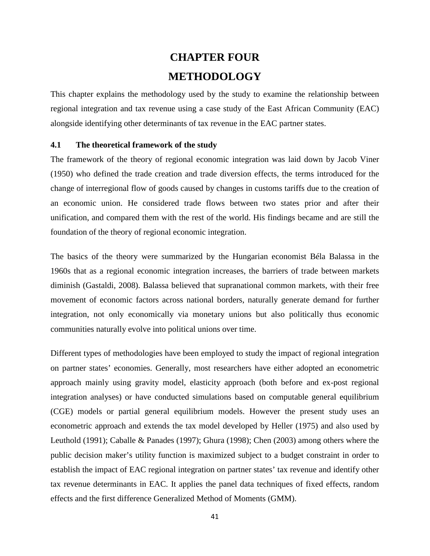# **CHAPTER FOUR METHODOLOGY**

This chapter explains the methodology used by the study to examine the relationship between regional integration and tax revenue using a case study of the East African Community (EAC) alongside identifying other determinants of tax revenue in the EAC partner states.

#### **4.1 The theoretical framework of the study**

The framework of the theory of regional economic integration was laid down by Jacob Viner (1950) who defined the trade creation and trade diversion effects, the terms introduced for the change of interregional flow of goods caused by changes in customs tariffs due to the creation of an economic union. He considered trade flows between two states prior and after their unification, and compared them with the rest of the world. His findings became and are still the foundation of the theory of regional economic integration.

The basics of the theory were summarized by the Hungarian economist Béla Balassa in the 1960s that as a regional economic integration increases, the barriers of trade between markets diminish (Gastaldi, 2008). Balassa believed that supranational common markets, with their free movement of economic factors across national borders, naturally generate demand for further integration, not only economically via monetary unions but also politically thus economic communities naturally evolve into political unions over time.

Different types of methodologies have been employed to study the impact of regional integration on partner states' economies. Generally, most researchers have either adopted an econometric approach mainly using gravity model, elasticity approach (both before and ex-post regional integration analyses) or have conducted simulations based on computable general equilibrium (CGE) models or partial general equilibrium models. However the present study uses an econometric approach and extends the tax model developed by Heller (1975) and also used by Leuthold (1991); Caballe & Panades (1997); Ghura (1998); Chen (2003) among others where the public decision maker's utility function is maximized subject to a budget constraint in order to establish the impact of EAC regional integration on partner states' tax revenue and identify other tax revenue determinants in EAC. It applies the panel data techniques of fixed effects, random effects and the first difference Generalized Method of Moments (GMM).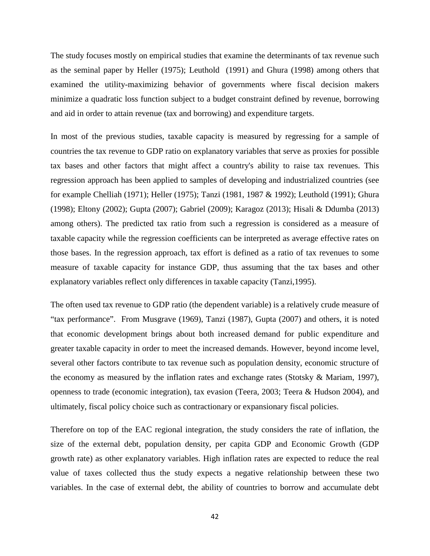The study focuses mostly on empirical studies that examine the determinants of tax revenue such as the seminal paper by Heller (1975); Leuthold (1991) and Ghura (1998) among others that examined the utility-maximizing behavior of governments where fiscal decision makers minimize a quadratic loss function subject to a budget constraint defined by revenue, borrowing and aid in order to attain revenue (tax and borrowing) and expenditure targets.

In most of the previous studies, taxable capacity is measured by regressing for a sample of countries the tax revenue to GDP ratio on explanatory variables that serve as proxies for possible tax bases and other factors that might affect a country's ability to raise tax revenues. This regression approach has been applied to samples of developing and industrialized countries (see for example Chelliah (1971); Heller (1975); Tanzi (1981, 1987 & 1992); Leuthold (1991); Ghura (1998); Eltony (2002); Gupta (2007); Gabriel (2009); Karagoz (2013); Hisali & Ddumba (2013) among others). The predicted tax ratio from such a regression is considered as a measure of taxable capacity while the regression coefficients can be interpreted as average effective rates on those bases. In the regression approach, tax effort is defined as a ratio of tax revenues to some measure of taxable capacity for instance GDP, thus assuming that the tax bases and other explanatory variables reflect only differences in taxable capacity (Tanzi,1995).

The often used tax revenue to GDP ratio (the dependent variable) is a relatively crude measure of "tax performance". From Musgrave (1969), Tanzi (1987), Gupta (2007) and others, it is noted that economic development brings about both increased demand for public expenditure and greater taxable capacity in order to meet the increased demands. However, beyond income level, several other factors contribute to tax revenue such as population density, economic structure of the economy as measured by the inflation rates and exchange rates (Stotsky & Mariam, 1997), openness to trade (economic integration), tax evasion (Teera, 2003; Teera & Hudson 2004), and ultimately, fiscal policy choice such as contractionary or expansionary fiscal policies.

Therefore on top of the EAC regional integration, the study considers the rate of inflation, the size of the external debt, population density, per capita GDP and Economic Growth (GDP growth rate) as other explanatory variables. High inflation rates are expected to reduce the real value of taxes collected thus the study expects a negative relationship between these two variables. In the case of external debt, the ability of countries to borrow and accumulate debt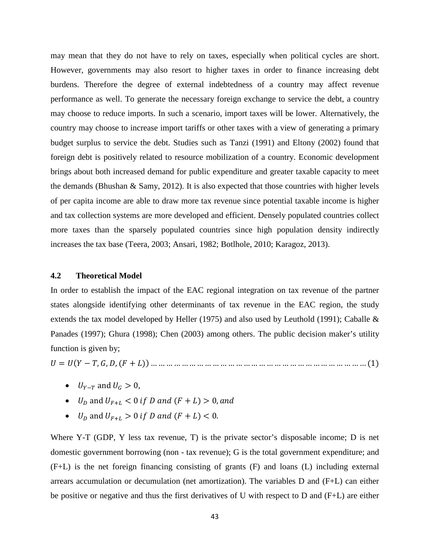may mean that they do not have to rely on taxes, especially when political cycles are short. However, governments may also resort to higher taxes in order to finance increasing debt burdens. Therefore the degree of external indebtedness of a country may affect revenue performance as well. To generate the necessary foreign exchange to service the debt, a country may choose to reduce imports. In such a scenario, import taxes will be lower. Alternatively, the country may choose to increase import tariffs or other taxes with a view of generating a primary budget surplus to service the debt. Studies such as Tanzi (1991) and Eltony (2002) found that foreign debt is positively related to resource mobilization of a country. Economic development brings about both increased demand for public expenditure and greater taxable capacity to meet the demands (Bhushan  $\&$  Samy, 2012). It is also expected that those countries with higher levels of per capita income are able to draw more tax revenue since potential taxable income is higher and tax collection systems are more developed and efficient. Densely populated countries collect more taxes than the sparsely populated countries since high population density indirectly increases the tax base (Teera, 2003; Ansari, 1982; Botlhole, 2010; Karagoz, 2013).

## **4.2 Theoretical Model**

In order to establish the impact of the EAC regional integration on tax revenue of the partner states alongside identifying other determinants of tax revenue in the EAC region, the study extends the tax model developed by Heller (1975) and also used by Leuthold (1991); Caballe & Panades (1997); Ghura (1998); Chen (2003) among others. The public decision maker's utility function is given by;

= ( − , ,, ( + )) … … … … … … … … … … … … … … … … … … … … … … … … … … … … (1)

- $U_{Y-T}$  and  $U_G > 0$ ,
- $U_D$  and  $U_{F+L} < 0$  if D and  $(F + L) > 0$ , and
- $U_D$  and  $U_{F+L} > 0$  if D and  $(F + L) < 0$ .

Where Y-T (GDP, Y less tax revenue, T) is the private sector's disposable income; D is net domestic government borrowing (non - tax revenue); G is the total government expenditure; and (F+L) is the net foreign financing consisting of grants (F) and loans (L) including external arrears accumulation or decumulation (net amortization). The variables D and (F+L) can either be positive or negative and thus the first derivatives of U with respect to D and (F+L) are either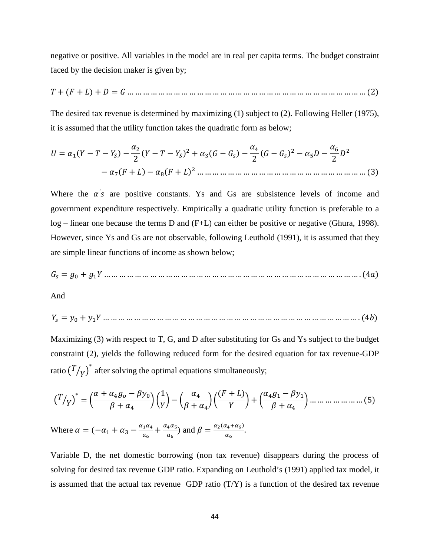negative or positive. All variables in the model are in real per capita terms. The budget constraint faced by the decision maker is given by;

+ ( + ) + = … … … … … … … … … … … … … … … … … … … … … … … … … … … … … … … (2)

The desired tax revenue is determined by maximizing (1) subject to (2). Following Heller (1975), it is assumed that the utility function takes the quadratic form as below;

 <sup>=</sup> 1( <sup>−</sup> <sup>−</sup> ) <sup>−</sup> 2 <sup>2</sup> ( <sup>−</sup> <sup>−</sup> )<sup>2</sup> <sup>+</sup> 3( <sup>−</sup> ) <sup>−</sup> 4 <sup>2</sup> ( <sup>−</sup> )<sup>2</sup> <sup>−</sup> 5 <sup>−</sup> 6 <sup>2</sup> <sup>2</sup> − 7( + ) − 8( + )<sup>2</sup> … … … … … … … … … … … … … … … … … … … … … … (3)

Where the  $\alpha'$ 's are positive constants. Ys and Gs are subsistence levels of income and government expenditure respectively. Empirically a quadratic utility function is preferable to a log – linear one because the terms D and (F+L) can either be positive or negative (Ghura, 1998). However, since Ys and Gs are not observable, following Leuthold (1991), it is assumed that they are simple linear functions of income as shown below;

= 0 + 1 … … … … … … … … … … … … … … … … … … … … … … … … … … … … … … … … … . (4)

And

= 0 + 1 … … … … … … … … … … … … … … … … … … … … … … … … … … … … … … … … … . (4)

Maximizing (3) with respect to T, G, and D after substituting for Gs and Ys subject to the budget constraint (2), yields the following reduced form for the desired equation for tax revenue-GDP ratio  $(T/\gamma)^*$  after solving the optimal equations simultaneously;

$$
\left(\frac{T}{\gamma}\right)^{*} = \left(\frac{\alpha + \alpha_4 g_o - \beta y_0}{\beta + \alpha_4}\right)\left(\frac{1}{\gamma}\right) - \left(\frac{\alpha_4}{\beta + \alpha_4}\right)\left(\frac{(F+L)}{\gamma}\right) + \left(\frac{\alpha_4 g_1 - \beta y_1}{\beta + \alpha_4}\right) \dots \dots \dots \dots \dots \dots \dots \dots \tag{5}
$$

Where  $\alpha = (-\alpha_1 + \alpha_3 - \frac{\alpha_1 \alpha_4}{a_6} + \frac{\alpha_4 \alpha_5}{a_6})$  and  $\beta = \frac{\alpha_2(\alpha_4 + \alpha_6)}{\alpha_6}$ .

Variable D, the net domestic borrowing (non tax revenue) disappears during the process of solving for desired tax revenue GDP ratio. Expanding on Leuthold's (1991) applied tax model, it is assumed that the actual tax revenue GDP ratio  $(T/Y)$  is a function of the desired tax revenue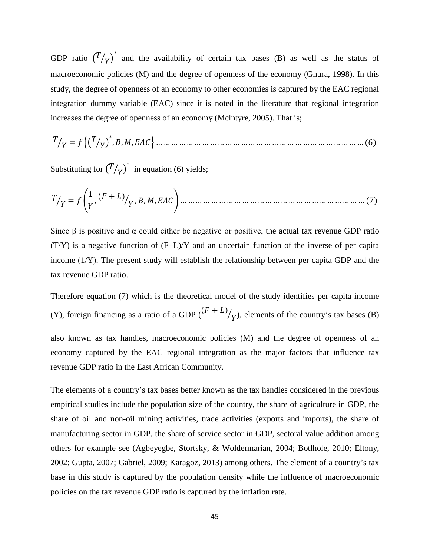GDP ratio  $(T/\gamma)^*$  and the availability of certain tax bases (B) as well as the status of macroeconomic policies (M) and the degree of openness of the economy (Ghura, 1998). In this study, the degree of openness of an economy to other economies is captured by the EAC regional integration dummy variable (EAC) since it is noted in the literature that regional integration increases the degree of openness of an economy (Mclntyre, 2005). That is;

 � <sup>=</sup> �� � � ∗ , , , � … … … … … … … … … … … … … … … … … … … … … … … … … … … (6)

Substituting for  $(T/\gamma)^*$  in equation (6) yields;

 � = � 1 , ( + ) � , , , � … … … … … … … … … … … … … … … … … … … … … … … … (7)

Since  $\beta$  is positive and  $\alpha$  could either be negative or positive, the actual tax revenue GDP ratio  $(T/Y)$  is a negative function of  $(F+L)/Y$  and an uncertain function of the inverse of per capita income (1/Y). The present study will establish the relationship between per capita GDP and the tax revenue GDP ratio.

Therefore equation (7) which is the theoretical model of the study identifies per capita income (Y), foreign financing as a ratio of a GDP  $({}^{(F+L)}$  $\gamma$ ), elements of the country's tax bases (B)

also known as tax handles, macroeconomic policies (M) and the degree of openness of an economy captured by the EAC regional integration as the major factors that influence tax revenue GDP ratio in the East African Community.

The elements of a country's tax bases better known as the tax handles considered in the previous empirical studies include the population size of the country, the share of agriculture in GDP, the share of oil and non-oil mining activities, trade activities (exports and imports), the share of manufacturing sector in GDP, the share of service sector in GDP, sectoral value addition among others for example see (Agbeyegbe, Stortsky, & Woldermarian, 2004; Botlhole, 2010; Eltony, 2002; Gupta, 2007; Gabriel, 2009; Karagoz, 2013) among others. The element of a country's tax base in this study is captured by the population density while the influence of macroeconomic policies on the tax revenue GDP ratio is captured by the inflation rate.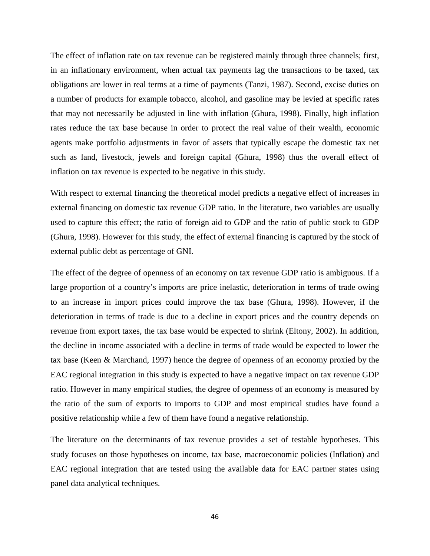The effect of inflation rate on tax revenue can be registered mainly through three channels; first, in an inflationary environment, when actual tax payments lag the transactions to be taxed, tax obligations are lower in real terms at a time of payments (Tanzi, 1987). Second, excise duties on a number of products for example tobacco, alcohol, and gasoline may be levied at specific rates that may not necessarily be adjusted in line with inflation (Ghura, 1998). Finally, high inflation rates reduce the tax base because in order to protect the real value of their wealth, economic agents make portfolio adjustments in favor of assets that typically escape the domestic tax net such as land, livestock, jewels and foreign capital (Ghura, 1998) thus the overall effect of inflation on tax revenue is expected to be negative in this study.

With respect to external financing the theoretical model predicts a negative effect of increases in external financing on domestic tax revenue GDP ratio. In the literature, two variables are usually used to capture this effect; the ratio of foreign aid to GDP and the ratio of public stock to GDP (Ghura, 1998). However for this study, the effect of external financing is captured by the stock of external public debt as percentage of GNI.

The effect of the degree of openness of an economy on tax revenue GDP ratio is ambiguous. If a large proportion of a country's imports are price inelastic, deterioration in terms of trade owing to an increase in import prices could improve the tax base (Ghura, 1998). However, if the deterioration in terms of trade is due to a decline in export prices and the country depends on revenue from export taxes, the tax base would be expected to shrink (Eltony, 2002). In addition, the decline in income associated with a decline in terms of trade would be expected to lower the tax base (Keen & Marchand, 1997) hence the degree of openness of an economy proxied by the EAC regional integration in this study is expected to have a negative impact on tax revenue GDP ratio. However in many empirical studies, the degree of openness of an economy is measured by the ratio of the sum of exports to imports to GDP and most empirical studies have found a positive relationship while a few of them have found a negative relationship.

The literature on the determinants of tax revenue provides a set of testable hypotheses. This study focuses on those hypotheses on income, tax base, macroeconomic policies (Inflation) and EAC regional integration that are tested using the available data for EAC partner states using panel data analytical techniques.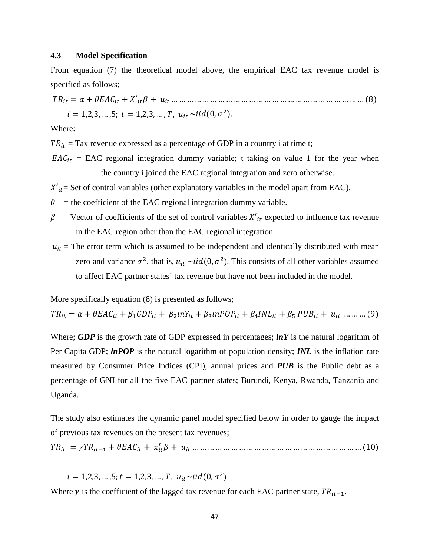#### **4.3 Model Specification**

From equation (7) the theoretical model above, the empirical EAC tax revenue model is specified as follows;

 = + + ′ + … … … … … … … … … … … … … … … … … … … … … … … … … (8) = 1,2,3, … ,5; = 1,2,3, … , , ~ (0, 2).

Where:

 $TR_{it}$  = Tax revenue expressed as a percentage of GDP in a country i at time t;

- $EAC_{it}$  = EAC regional integration dummy variable; t taking on value 1 for the year when the country i joined the EAC regional integration and zero otherwise.
- $X'_{it}$  Set of control variables (other explanatory variables in the model apart from EAC).
- $\theta$  = the coefficient of the EAC regional integration dummy variable.
- $\beta$  = Vector of coefficients of the set of control variables  $X'_{it}$  expected to influence tax revenue in the EAC region other than the EAC regional integration.
- $u_{it}$  = The error term which is assumed to be independent and identically distributed with mean zero and variance  $\sigma^2$ , that is,  $u_{it} \sim iid(0, \sigma^2)$ . This consists of all other variables assumed to affect EAC partner states' tax revenue but have not been included in the model.

More specifically equation (8) is presented as follows;

= + + 1 + 2 + 3 + 4 + 5 + … … … (9)

Where; *GDP* is the growth rate of GDP expressed in percentages; *lnY* is the natural logarithm of Per Capita GDP; *lnPOP* is the natural logarithm of population density; *INL* is the inflation rate measured by Consumer Price Indices (CPI), annual prices and *PUB* is the Public debt as a percentage of GNI for all the five EAC partner states; Burundi, Kenya, Rwanda, Tanzania and Uganda.

The study also estimates the dynamic panel model specified below in order to gauge the impact of previous tax revenues on the present tax revenues;

= −1 + + ′ + … … … … … … … … … … … … … … … … … … … … … … (10)

 $i = 1,2,3,...,5; t = 1,2,3,...,T, u_{it} \sim iid(0, \sigma^2).$ 

Where  $\gamma$  is the coefficient of the lagged tax revenue for each EAC partner state,  $TR_{it-1}$ .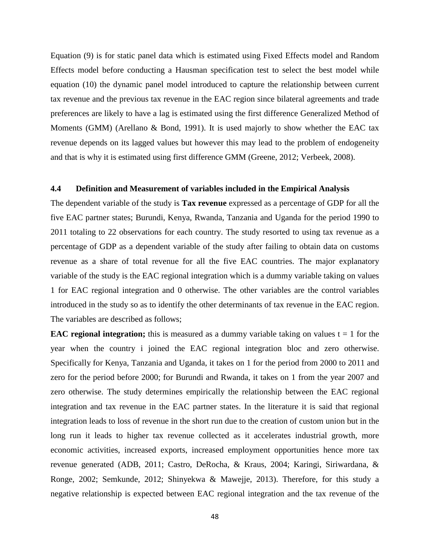Equation (9) is for static panel data which is estimated using Fixed Effects model and Random Effects model before conducting a Hausman specification test to select the best model while equation (10) the dynamic panel model introduced to capture the relationship between current tax revenue and the previous tax revenue in the EAC region since bilateral agreements and trade preferences are likely to have a lag is estimated using the first difference Generalized Method of Moments (GMM) (Arellano & Bond, 1991). It is used majorly to show whether the EAC tax revenue depends on its lagged values but however this may lead to the problem of endogeneity and that is why it is estimated using first difference GMM (Greene, 2012; Verbeek, 2008).

# **4.4 Definition and Measurement of variables included in the Empirical Analysis**

The dependent variable of the study is **Tax revenue** expressed as a percentage of GDP for all the five EAC partner states; Burundi, Kenya, Rwanda, Tanzania and Uganda for the period 1990 to 2011 totaling to 22 observations for each country. The study resorted to using tax revenue as a percentage of GDP as a dependent variable of the study after failing to obtain data on customs revenue as a share of total revenue for all the five EAC countries. The major explanatory variable of the study is the EAC regional integration which is a dummy variable taking on values 1 for EAC regional integration and 0 otherwise. The other variables are the control variables introduced in the study so as to identify the other determinants of tax revenue in the EAC region. The variables are described as follows;

**EAC regional integration;** this is measured as a dummy variable taking on values  $t = 1$  for the year when the country i joined the EAC regional integration bloc and zero otherwise. Specifically for Kenya, Tanzania and Uganda, it takes on 1 for the period from 2000 to 2011 and zero for the period before 2000; for Burundi and Rwanda, it takes on 1 from the year 2007 and zero otherwise. The study determines empirically the relationship between the EAC regional integration and tax revenue in the EAC partner states. In the literature it is said that regional integration leads to loss of revenue in the short run due to the creation of custom union but in the long run it leads to higher tax revenue collected as it accelerates industrial growth, more economic activities, increased exports, increased employment opportunities hence more tax revenue generated (ADB, 2011; Castro, DeRocha, & Kraus, 2004; Karingi, Siriwardana, & Ronge, 2002; Semkunde, 2012; Shinyekwa & Mawejje, 2013). Therefore, for this study a negative relationship is expected between EAC regional integration and the tax revenue of the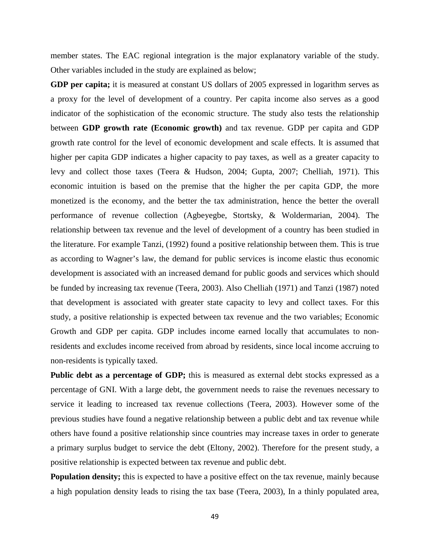member states. The EAC regional integration is the major explanatory variable of the study. Other variables included in the study are explained as below;

**GDP per capita;** it is measured at constant US dollars of 2005 expressed in logarithm serves as a proxy for the level of development of a country. Per capita income also serves as a good indicator of the sophistication of the economic structure. The study also tests the relationship between **GDP growth rate (Economic growth)** and tax revenue. GDP per capita and GDP growth rate control for the level of economic development and scale effects. It is assumed that higher per capita GDP indicates a higher capacity to pay taxes, as well as a greater capacity to levy and collect those taxes (Teera & Hudson, 2004; Gupta, 2007; Chelliah, 1971). This economic intuition is based on the premise that the higher the per capita GDP, the more monetized is the economy, and the better the tax administration, hence the better the overall performance of revenue collection (Agbeyegbe, Stortsky, & Woldermarian, 2004). The relationship between tax revenue and the level of development of a country has been studied in the literature. For example Tanzi, (1992) found a positive relationship between them. This is true as according to Wagner's law, the demand for public services is income elastic thus economic development is associated with an increased demand for public goods and services which should be funded by increasing tax revenue (Teera, 2003). Also Chelliah (1971) and Tanzi (1987) noted that development is associated with greater state capacity to levy and collect taxes. For this study, a positive relationship is expected between tax revenue and the two variables; Economic Growth and GDP per capita. GDP includes income earned locally that accumulates to nonresidents and excludes income received from abroad by residents, since local income accruing to non-residents is typically taxed.

**Public debt as a percentage of GDP;** this is measured as external debt stocks expressed as a percentage of GNI. With a large debt, the government needs to raise the revenues necessary to service it leading to increased tax revenue collections (Teera, 2003). However some of the previous studies have found a negative relationship between a public debt and tax revenue while others have found a positive relationship since countries may increase taxes in order to generate a primary surplus budget to service the debt (Eltony, 2002). Therefore for the present study, a positive relationship is expected between tax revenue and public debt.

**Population density;** this is expected to have a positive effect on the tax revenue, mainly because a high population density leads to rising the tax base (Teera, 2003), In a thinly populated area,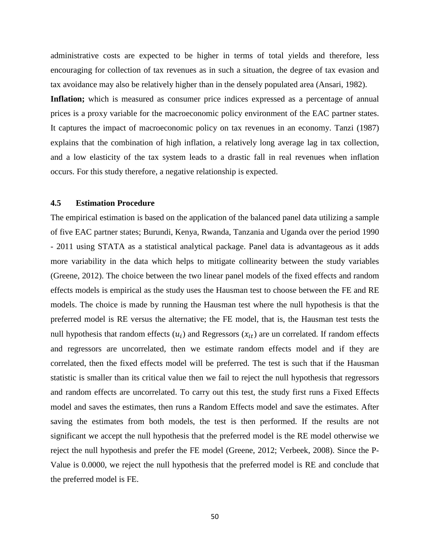administrative costs are expected to be higher in terms of total yields and therefore, less encouraging for collection of tax revenues as in such a situation, the degree of tax evasion and tax avoidance may also be relatively higher than in the densely populated area (Ansari, 1982).

**Inflation;** which is measured as consumer price indices expressed as a percentage of annual prices is a proxy variable for the macroeconomic policy environment of the EAC partner states. It captures the impact of macroeconomic policy on tax revenues in an economy. Tanzi (1987) explains that the combination of high inflation, a relatively long average lag in tax collection, and a low elasticity of the tax system leads to a drastic fall in real revenues when inflation occurs. For this study therefore, a negative relationship is expected.

#### **4.5 Estimation Procedure**

The empirical estimation is based on the application of the balanced panel data utilizing a sample of five EAC partner states; Burundi, Kenya, Rwanda, Tanzania and Uganda over the period 1990 - 2011 using STATA as a statistical analytical package. Panel data is advantageous as it adds more variability in the data which helps to mitigate collinearity between the study variables (Greene, 2012). The choice between the two linear panel models of the fixed effects and random effects models is empirical as the study uses the Hausman test to choose between the FE and RE models. The choice is made by running the Hausman test where the null hypothesis is that the preferred model is RE versus the alternative; the FE model, that is, the Hausman test tests the null hypothesis that random effects  $(u_i)$  and Regressors  $(x_{it})$  are un correlated. If random effects and regressors are uncorrelated, then we estimate random effects model and if they are correlated, then the fixed effects model will be preferred. The test is such that if the Hausman statistic is smaller than its critical value then we fail to reject the null hypothesis that regressors and random effects are uncorrelated. To carry out this test, the study first runs a Fixed Effects model and saves the estimates, then runs a Random Effects model and save the estimates. After saving the estimates from both models, the test is then performed. If the results are not significant we accept the null hypothesis that the preferred model is the RE model otherwise we reject the null hypothesis and prefer the FE model (Greene, 2012; Verbeek, 2008). Since the P-Value is 0.0000, we reject the null hypothesis that the preferred model is RE and conclude that the preferred model is FE.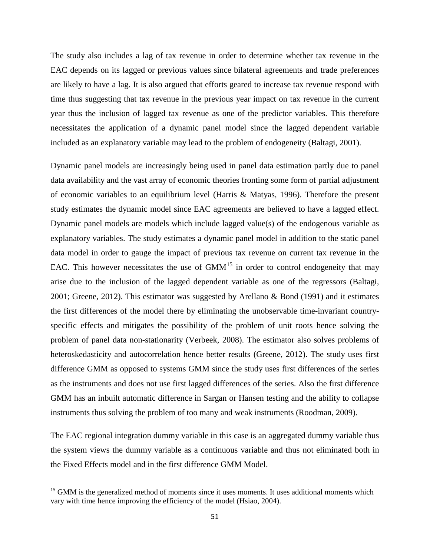The study also includes a lag of tax revenue in order to determine whether tax revenue in the EAC depends on its lagged or previous values since bilateral agreements and trade preferences are likely to have a lag. It is also argued that efforts geared to increase tax revenue respond with time thus suggesting that tax revenue in the previous year impact on tax revenue in the current year thus the inclusion of lagged tax revenue as one of the predictor variables. This therefore necessitates the application of a dynamic panel model since the lagged dependent variable included as an explanatory variable may lead to the problem of endogeneity (Baltagi, 2001).

Dynamic panel models are increasingly being used in panel data estimation partly due to panel data availability and the vast array of economic theories fronting some form of partial adjustment of economic variables to an equilibrium level (Harris & Matyas, 1996). Therefore the present study estimates the dynamic model since EAC agreements are believed to have a lagged effect. Dynamic panel models are models which include lagged value(s) of the endogenous variable as explanatory variables. The study estimates a dynamic panel model in addition to the static panel data model in order to gauge the impact of previous tax revenue on current tax revenue in the EAC. This however necessitates the use of  $GMM<sup>15</sup>$  $GMM<sup>15</sup>$  $GMM<sup>15</sup>$  in order to control endogeneity that may arise due to the inclusion of the lagged dependent variable as one of the regressors (Baltagi, 2001; Greene, 2012). This estimator was suggested by Arellano & Bond (1991) and it estimates the first differences of the model there by eliminating the unobservable time-invariant countryspecific effects and mitigates the possibility of the problem of unit roots hence solving the problem of panel data non-stationarity (Verbeek, 2008). The estimator also solves problems of heteroskedasticity and autocorrelation hence better results (Greene, 2012). The study uses first difference GMM as opposed to systems GMM since the study uses first differences of the series as the instruments and does not use first lagged differences of the series. Also the first difference GMM has an inbuilt automatic difference in Sargan or Hansen testing and the ability to collapse instruments thus solving the problem of too many and weak instruments (Roodman, 2009).

The EAC regional integration dummy variable in this case is an aggregated dummy variable thus the system views the dummy variable as a continuous variable and thus not eliminated both in the Fixed Effects model and in the first difference GMM Model.

l

<span id="page-65-0"></span> $15$  GMM is the generalized method of moments since it uses moments. It uses additional moments which vary with time hence improving the efficiency of the model (Hsiao, 2004).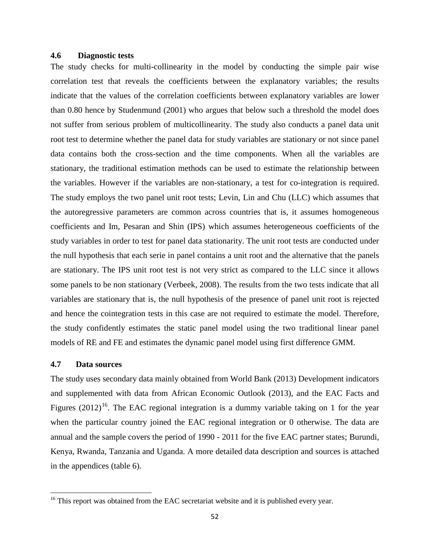## **4.6 Diagnostic tests**

The study checks for multi-collinearity in the model by conducting the simple pair wise correlation test that reveals the coefficients between the explanatory variables; the results indicate that the values of the correlation coefficients between explanatory variables are lower than 0.80 hence by Studenmund (2001) who argues that below such a threshold the model does not suffer from serious problem of multicollinearity. The study also conducts a panel data unit root test to determine whether the panel data for study variables are stationary or not since panel data contains both the cross-section and the time components. When all the variables are stationary, the traditional estimation methods can be used to estimate the relationship between the variables. However if the variables are non-stationary, a test for co-integration is required. The study employs the two panel unit root tests; Levin, Lin and Chu (LLC) which assumes that the autoregressive parameters are common across countries that is, it assumes homogeneous coefficients and Im, Pesaran and Shin (IPS) which assumes heterogeneous coefficients of the study variables in order to test for panel data stationarity. The unit root tests are conducted under the null hypothesis that each serie in panel contains a unit root and the alternative that the panels are stationary. The IPS unit root test is not very strict as compared to the LLC since it allows some panels to be non stationary (Verbeek, 2008). The results from the two tests indicate that all variables are stationary that is, the null hypothesis of the presence of panel unit root is rejected and hence the cointegration tests in this case are not required to estimate the model. Therefore, the study confidently estimates the static panel model using the two traditional linear panel models of RE and FE and estimates the dynamic panel model using first difference GMM.

## **4.7 Data sources**

l

The study uses secondary data mainly obtained from World Bank (2013) Development indicators and supplemented with data from African Economic Outlook (2013), and the EAC Facts and Figures  $(2012)^{16}$  $(2012)^{16}$  $(2012)^{16}$ . The EAC regional integration is a dummy variable taking on 1 for the year when the particular country joined the EAC regional integration or 0 otherwise. The data are annual and the sample covers the period of 1990 - 2011 for the five EAC partner states; Burundi, Kenya, Rwanda, Tanzania and Uganda. A more detailed data description and sources is attached in the appendices (table 6).

<span id="page-66-0"></span><sup>&</sup>lt;sup>16</sup> This report was obtained from the EAC secretariat website and it is published every year.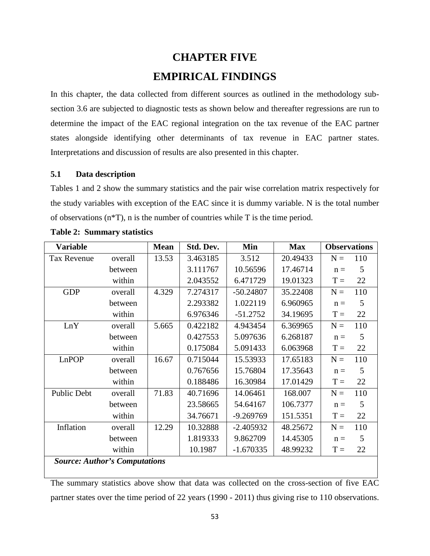# **CHAPTER FIVE EMPIRICAL FINDINGS**

In this chapter, the data collected from different sources as outlined in the methodology subsection 3.6 are subjected to diagnostic tests as shown below and thereafter regressions are run to determine the impact of the EAC regional integration on the tax revenue of the EAC partner states alongside identifying other determinants of tax revenue in EAC partner states. Interpretations and discussion of results are also presented in this chapter.

## **5.1 Data description**

Tables 1 and 2 show the summary statistics and the pair wise correlation matrix respectively for the study variables with exception of the EAC since it is dummy variable. N is the total number of observations (n\*T), n is the number of countries while T is the time period.

| <b>Variable</b>                      |         | <b>Mean</b> | Std. Dev. | Min         | <b>Max</b> | <b>Observations</b> |
|--------------------------------------|---------|-------------|-----------|-------------|------------|---------------------|
| <b>Tax Revenue</b>                   | overall | 13.53       | 3.463185  | 3.512       | 20.49433   | 110<br>$N =$        |
|                                      | between |             | 3.111767  | 10.56596    | 17.46714   | 5<br>$n =$          |
|                                      | within  |             | 2.043552  | 6.471729    | 19.01323   | 22<br>$T =$         |
| <b>GDP</b>                           | overall | 4.329       | 7.274317  | $-50.24807$ | 35.22408   | 110<br>$N =$        |
|                                      | between |             | 2.293382  | 1.022119    | 6.960965   | 5<br>$n =$          |
|                                      | within  |             | 6.976346  | $-51.2752$  | 34.19695   | $T =$<br>22         |
| LnY                                  | overall | 5.665       | 0.422182  | 4.943454    | 6.369965   | 110<br>$N =$        |
|                                      | between |             | 0.427553  | 5.097636    | 6.268187   | 5<br>$n =$          |
|                                      | within  |             | 0.175084  | 5.091433    | 6.063968   | 22<br>$T =$         |
| LnPOP                                | overall | 16.67       | 0.715044  | 15.53933    | 17.65183   | 110<br>$N =$        |
|                                      | between |             | 0.767656  | 15.76804    | 17.35643   | 5<br>$n =$          |
|                                      | within  |             | 0.188486  | 16.30984    | 17.01429   | 22<br>$T =$         |
| <b>Public Debt</b>                   | overall | 71.83       | 40.71696  | 14.06461    | 168.007    | 110<br>$N =$        |
|                                      | between |             | 23.58665  | 54.64167    | 106.7377   | 5<br>$n =$          |
|                                      | within  |             | 34.76671  | $-9.269769$ | 151.5351   | 22<br>$T =$         |
| Inflation                            | overall | 12.29       | 10.32888  | $-2.405932$ | 48.25672   | 110<br>$N =$        |
|                                      | between |             | 1.819333  | 9.862709    | 14.45305   | 5<br>$n =$          |
|                                      | within  |             | 10.1987   | $-1.670335$ | 48.99232   | $T =$<br>22         |
| <b>Source: Author's Computations</b> |         |             |           |             |            |                     |

|  | <b>Table 2: Summary statistics</b> |  |
|--|------------------------------------|--|
|--|------------------------------------|--|

The summary statistics above show that data was collected on the cross-section of five EAC partner states over the time period of 22 years (1990 - 2011) thus giving rise to 110 observations.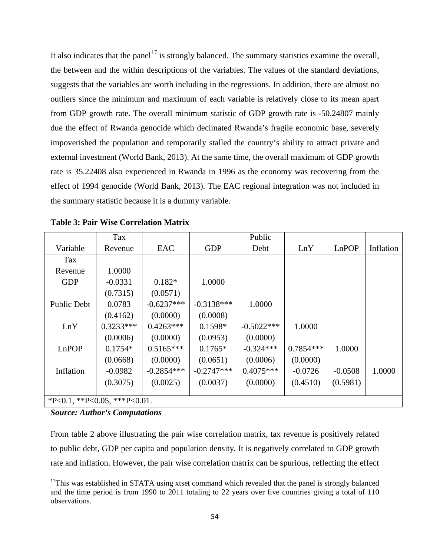It also indicates that the panel<sup>[17](#page-68-0)</sup> is strongly balanced. The summary statistics examine the overall, the between and the within descriptions of the variables. The values of the standard deviations, suggests that the variables are worth including in the regressions. In addition, there are almost no outliers since the minimum and maximum of each variable is relatively close to its mean apart from GDP growth rate. The overall minimum statistic of GDP growth rate is -50.24807 mainly due the effect of Rwanda genocide which decimated Rwanda's fragile economic base, severely impoverished the population and temporarily stalled the country's ability to attract private and external investment (World Bank, 2013). At the same time, the overall maximum of GDP growth rate is 35.22408 also experienced in Rwanda in 1996 as the economy was recovering from the effect of 1994 genocide (World Bank, 2013). The EAC regional integration was not included in the summary statistic because it is a dummy variable.

|                              | Tax         |              |              | Public       |             |           |           |
|------------------------------|-------------|--------------|--------------|--------------|-------------|-----------|-----------|
| Variable                     | Revenue     | <b>EAC</b>   | <b>GDP</b>   | Debt         | LnY         | LnPOP     | Inflation |
| Tax                          |             |              |              |              |             |           |           |
| Revenue                      | 1.0000      |              |              |              |             |           |           |
| <b>GDP</b>                   | $-0.0331$   | $0.182*$     | 1.0000       |              |             |           |           |
|                              | (0.7315)    | (0.0571)     |              |              |             |           |           |
| Public Debt                  | 0.0783      | $-0.6237***$ | $-0.3138***$ | 1.0000       |             |           |           |
|                              | (0.4162)    | (0.0000)     | (0.0008)     |              |             |           |           |
| LnY                          | $0.3233***$ | $0.4263***$  | $0.1598*$    | $-0.5022***$ | 1.0000      |           |           |
|                              | (0.0006)    | (0.0000)     | (0.0953)     | (0.0000)     |             |           |           |
| LnPOP                        | $0.1754*$   | $0.5165***$  | $0.1765*$    | $-0.324***$  | $0.7854***$ | 1.0000    |           |
|                              | (0.0668)    | (0.0000)     | (0.0651)     | (0.0006)     | (0.0000)    |           |           |
| Inflation                    | $-0.0982$   | $-0.2854***$ | $-0.2747***$ | $0.4075***$  | $-0.0726$   | $-0.0508$ | 1.0000    |
|                              | (0.3075)    | (0.0025)     | (0.0037)     | (0.0000)     | (0.4510)    | (0.5981)  |           |
|                              |             |              |              |              |             |           |           |
| *P<0.1, **P<0.05, ***P<0.01. |             |              |              |              |             |           |           |

**Table 3: Pair Wise Correlation Matrix**

### *Source: Author's Computations*

 $\overline{\phantom{a}}$ 

From table 2 above illustrating the pair wise correlation matrix, tax revenue is positively related to public debt, GDP per capita and population density. It is negatively correlated to GDP growth rate and inflation. However, the pair wise correlation matrix can be spurious, reflecting the effect

<span id="page-68-0"></span><sup>&</sup>lt;sup>17</sup>This was established in STATA using xtset command which revealed that the panel is strongly balanced and the time period is from 1990 to 2011 totaling to 22 years over five countries giving a total of 110 observations.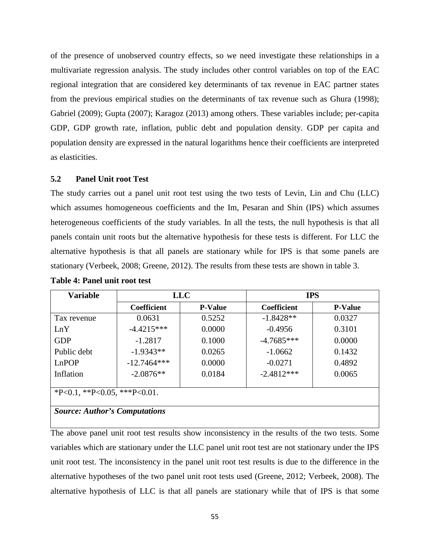of the presence of unobserved country effects, so we need investigate these relationships in a multivariate regression analysis. The study includes other control variables on top of the EAC regional integration that are considered key determinants of tax revenue in EAC partner states from the previous empirical studies on the determinants of tax revenue such as Ghura (1998); Gabriel (2009); Gupta (2007); Karagoz (2013) among others. These variables include; per-capita GDP, GDP growth rate, inflation, public debt and population density. GDP per capita and population density are expressed in the natural logarithms hence their coefficients are interpreted as elasticities.

#### **5.2 Panel Unit root Test**

The study carries out a panel unit root test using the two tests of Levin, Lin and Chu (LLC) which assumes homogeneous coefficients and the Im, Pesaran and Shin (IPS) which assumes heterogeneous coefficients of the study variables. In all the tests, the null hypothesis is that all panels contain unit roots but the alternative hypothesis for these tests is different. For LLC the alternative hypothesis is that all panels are stationary while for IPS is that some panels are stationary (Verbeek, 2008; Greene, 2012). The results from these tests are shown in table 3.

| <b>Variable</b>                      | <b>LLC</b>         |                | <b>IPS</b>         |                |  |  |
|--------------------------------------|--------------------|----------------|--------------------|----------------|--|--|
|                                      | <b>Coefficient</b> | <b>P-Value</b> | <b>Coefficient</b> | <b>P-Value</b> |  |  |
| Tax revenue                          | 0.0631             | 0.5252         | $-1.8428**$        | 0.0327         |  |  |
| LnY                                  | $-4.4215***$       | 0.0000         | $-0.4956$          | 0.3101         |  |  |
| <b>GDP</b>                           | $-1.2817$          | 0.1000         | $-4.7685***$       | 0.0000         |  |  |
| Public debt                          | $-1.9343**$        | 0.0265         | $-1.0662$          | 0.1432         |  |  |
| LnPOP                                | $-12.7464***$      | 0.0000         | $-0.0271$          | 0.4892         |  |  |
| Inflation                            | $-2.0876**$        | 0.0184         | $-2.4812***$       | 0.0065         |  |  |
|                                      |                    |                |                    |                |  |  |
| *P<0.1, **P<0.05, ***P<0.01.         |                    |                |                    |                |  |  |
|                                      |                    |                |                    |                |  |  |
| <b>Source: Author's Computations</b> |                    |                |                    |                |  |  |

**Table 4: Panel unit root test**

The above panel unit root test results show inconsistency in the results of the two tests. Some variables which are stationary under the LLC panel unit root test are not stationary under the IPS unit root test. The inconsistency in the panel unit root test results is due to the difference in the alternative hypotheses of the two panel unit root tests used (Greene, 2012; Verbeek, 2008). The alternative hypothesis of LLC is that all panels are stationary while that of IPS is that some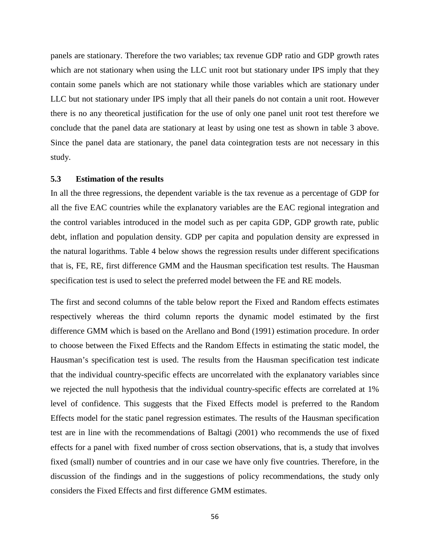panels are stationary. Therefore the two variables; tax revenue GDP ratio and GDP growth rates which are not stationary when using the LLC unit root but stationary under IPS imply that they contain some panels which are not stationary while those variables which are stationary under LLC but not stationary under IPS imply that all their panels do not contain a unit root. However there is no any theoretical justification for the use of only one panel unit root test therefore we conclude that the panel data are stationary at least by using one test as shown in table 3 above. Since the panel data are stationary, the panel data cointegration tests are not necessary in this study.

#### **5.3 Estimation of the results**

In all the three regressions, the dependent variable is the tax revenue as a percentage of GDP for all the five EAC countries while the explanatory variables are the EAC regional integration and the control variables introduced in the model such as per capita GDP, GDP growth rate, public debt, inflation and population density. GDP per capita and population density are expressed in the natural logarithms. Table 4 below shows the regression results under different specifications that is, FE, RE, first difference GMM and the Hausman specification test results. The Hausman specification test is used to select the preferred model between the FE and RE models.

The first and second columns of the table below report the Fixed and Random effects estimates respectively whereas the third column reports the dynamic model estimated by the first difference GMM which is based on the Arellano and Bond (1991) estimation procedure. In order to choose between the Fixed Effects and the Random Effects in estimating the static model, the Hausman's specification test is used. The results from the Hausman specification test indicate that the individual country-specific effects are uncorrelated with the explanatory variables since we rejected the null hypothesis that the individual country-specific effects are correlated at 1% level of confidence. This suggests that the Fixed Effects model is preferred to the Random Effects model for the static panel regression estimates. The results of the Hausman specification test are in line with the recommendations of Baltagi (2001) who recommends the use of fixed effects for a panel with fixed number of cross section observations, that is, a study that involves fixed (small) number of countries and in our case we have only five countries. Therefore, in the discussion of the findings and in the suggestions of policy recommendations, the study only considers the Fixed Effects and first difference GMM estimates.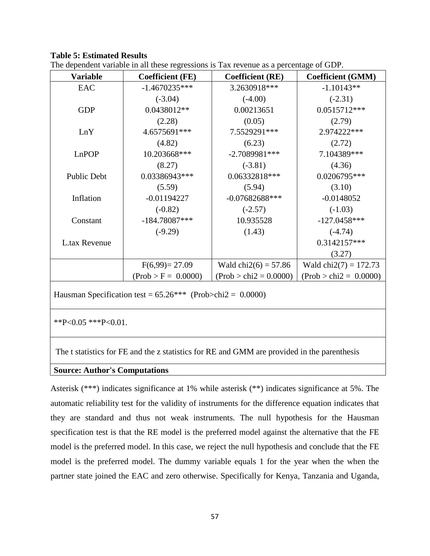# **Table 5: Estimated Results**

| <b>Variable</b>    | <b>Coefficient (FE)</b> | <b>Coefficient (RE)</b>  | <b>Coefficient (GMM)</b> |
|--------------------|-------------------------|--------------------------|--------------------------|
| <b>EAC</b>         | $-1.4670235***$         | 3.2630918***             | $-1.10143**$             |
|                    | $(-3.04)$               | $(-4.00)$                | $(-2.31)$                |
| <b>GDP</b>         | 0.0438012**             | 0.00213651               | 0.0515712***             |
|                    | (2.28)                  | (0.05)                   | (2.79)                   |
| LnY                | 4.6575691***            | 7.5529291***             | 2.974222***              |
|                    | (4.82)                  | (6.23)                   | (2.72)                   |
| LnPOP              | 10.203668***            | $-2.7089981***$          | 7.104389***              |
|                    | (8.27)                  | $(-3.81)$                | (4.36)                   |
| <b>Public Debt</b> | 0.03386943***           | 0.06332818***            | 0.0206795***             |
|                    | (5.59)                  | (5.94)                   | (3.10)                   |
| Inflation          | $-0.01194227$           | $-0.07682688***$         | $-0.0148052$             |
|                    | $(-0.82)$               | $(-2.57)$                | $(-1.03)$                |
| Constant           | $-184.78087***$         | 10.935528                | $-127.0458***$           |
|                    | $(-9.29)$               | (1.43)                   | $(-4.74)$                |
| L.tax Revenue      |                         |                          | $0.3142157***$           |
|                    |                         |                          | (3.27)                   |
|                    | $F(6,99) = 27.09$       | Wald $chi2(6) = 57.86$   | Wald chi $2(7) = 172.73$ |
|                    | $(Prob > F = 0.0000)$   | $(Prob > chi2 = 0.0000)$ | $(Prob > chi2 = 0.0000)$ |

The dependent variable in all these regressions is Tax revenue as a percentage of GDP.

Hausman Specification test =  $65.26***$  (Prob>chi2 = 0.0000)

 $*P<0.05$   $**P<0.01$ .

The t statistics for FE and the z statistics for RE and GMM are provided in the parenthesis

**Source: Author's Computations**

Asterisk (\*\*\*) indicates significance at 1% while asterisk (\*\*) indicates significance at 5%. The automatic reliability test for the validity of instruments for the difference equation indicates that they are standard and thus not weak instruments. The null hypothesis for the Hausman specification test is that the RE model is the preferred model against the alternative that the FE model is the preferred model. In this case, we reject the null hypothesis and conclude that the FE model is the preferred model. The dummy variable equals 1 for the year when the when the partner state joined the EAC and zero otherwise. Specifically for Kenya, Tanzania and Uganda,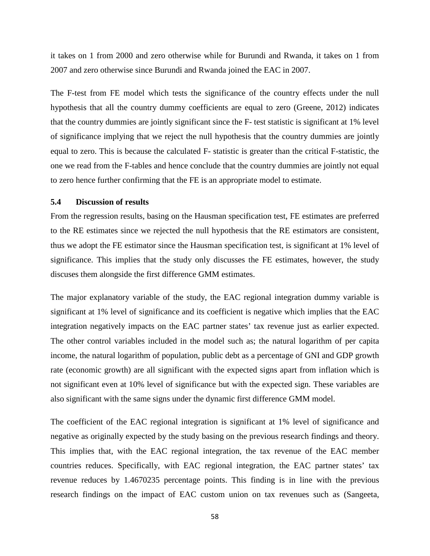it takes on 1 from 2000 and zero otherwise while for Burundi and Rwanda, it takes on 1 from 2007 and zero otherwise since Burundi and Rwanda joined the EAC in 2007.

The F-test from FE model which tests the significance of the country effects under the null hypothesis that all the country dummy coefficients are equal to zero (Greene, 2012) indicates that the country dummies are jointly significant since the F- test statistic is significant at 1% level of significance implying that we reject the null hypothesis that the country dummies are jointly equal to zero. This is because the calculated F- statistic is greater than the critical F-statistic, the one we read from the F-tables and hence conclude that the country dummies are jointly not equal to zero hence further confirming that the FE is an appropriate model to estimate.

### **5.4 Discussion of results**

From the regression results, basing on the Hausman specification test, FE estimates are preferred to the RE estimates since we rejected the null hypothesis that the RE estimators are consistent, thus we adopt the FE estimator since the Hausman specification test, is significant at 1% level of significance. This implies that the study only discusses the FE estimates, however, the study discuses them alongside the first difference GMM estimates.

The major explanatory variable of the study, the EAC regional integration dummy variable is significant at 1% level of significance and its coefficient is negative which implies that the EAC integration negatively impacts on the EAC partner states' tax revenue just as earlier expected. The other control variables included in the model such as; the natural logarithm of per capita income, the natural logarithm of population, public debt as a percentage of GNI and GDP growth rate (economic growth) are all significant with the expected signs apart from inflation which is not significant even at 10% level of significance but with the expected sign. These variables are also significant with the same signs under the dynamic first difference GMM model.

The coefficient of the EAC regional integration is significant at 1% level of significance and negative as originally expected by the study basing on the previous research findings and theory. This implies that, with the EAC regional integration, the tax revenue of the EAC member countries reduces. Specifically, with EAC regional integration, the EAC partner states' tax revenue reduces by 1.4670235 percentage points. This finding is in line with the previous research findings on the impact of EAC custom union on tax revenues such as (Sangeeta,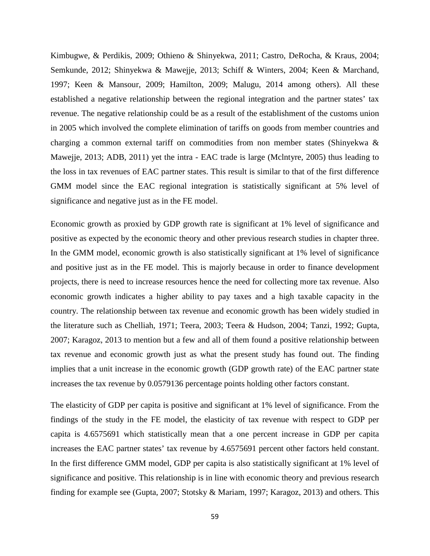Kimbugwe, & Perdikis, 2009; Othieno & Shinyekwa, 2011; Castro, DeRocha, & Kraus, 2004; Semkunde, 2012; Shinyekwa & Mawejje, 2013; Schiff & Winters, 2004; Keen & Marchand, 1997; Keen & Mansour, 2009; Hamilton, 2009; Malugu, 2014 among others). All these established a negative relationship between the regional integration and the partner states' tax revenue. The negative relationship could be as a result of the establishment of the customs union in 2005 which involved the complete elimination of tariffs on goods from member countries and charging a common external tariff on commodities from non member states (Shinyekwa & Mawejje, 2013; ADB, 2011) yet the intra - EAC trade is large (Mclntyre, 2005) thus leading to the loss in tax revenues of EAC partner states. This result is similar to that of the first difference GMM model since the EAC regional integration is statistically significant at 5% level of significance and negative just as in the FE model.

Economic growth as proxied by GDP growth rate is significant at 1% level of significance and positive as expected by the economic theory and other previous research studies in chapter three. In the GMM model, economic growth is also statistically significant at 1% level of significance and positive just as in the FE model. This is majorly because in order to finance development projects, there is need to increase resources hence the need for collecting more tax revenue. Also economic growth indicates a higher ability to pay taxes and a high taxable capacity in the country. The relationship between tax revenue and economic growth has been widely studied in the literature such as Chelliah, 1971; Teera, 2003; Teera & Hudson, 2004; Tanzi, 1992; Gupta, 2007; Karagoz, 2013 to mention but a few and all of them found a positive relationship between tax revenue and economic growth just as what the present study has found out. The finding implies that a unit increase in the economic growth (GDP growth rate) of the EAC partner state increases the tax revenue by 0.0579136 percentage points holding other factors constant.

The elasticity of GDP per capita is positive and significant at 1% level of significance. From the findings of the study in the FE model, the elasticity of tax revenue with respect to GDP per capita is 4.6575691 which statistically mean that a one percent increase in GDP per capita increases the EAC partner states' tax revenue by 4.6575691 percent other factors held constant. In the first difference GMM model, GDP per capita is also statistically significant at 1% level of significance and positive. This relationship is in line with economic theory and previous research finding for example see (Gupta, 2007; Stotsky & Mariam, 1997; Karagoz, 2013) and others. This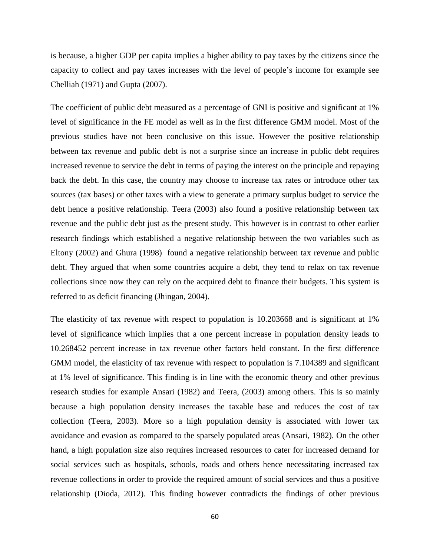is because, a higher GDP per capita implies a higher ability to pay taxes by the citizens since the capacity to collect and pay taxes increases with the level of people's income for example see Chelliah (1971) and Gupta (2007).

The coefficient of public debt measured as a percentage of GNI is positive and significant at 1% level of significance in the FE model as well as in the first difference GMM model. Most of the previous studies have not been conclusive on this issue. However the positive relationship between tax revenue and public debt is not a surprise since an increase in public debt requires increased revenue to service the debt in terms of paying the interest on the principle and repaying back the debt. In this case, the country may choose to increase tax rates or introduce other tax sources (tax bases) or other taxes with a view to generate a primary surplus budget to service the debt hence a positive relationship. Teera (2003) also found a positive relationship between tax revenue and the public debt just as the present study. This however is in contrast to other earlier research findings which established a negative relationship between the two variables such as Eltony (2002) and Ghura (1998) found a negative relationship between tax revenue and public debt. They argued that when some countries acquire a debt, they tend to relax on tax revenue collections since now they can rely on the acquired debt to finance their budgets. This system is referred to as deficit financing (Jhingan, 2004).

The elasticity of tax revenue with respect to population is 10.203668 and is significant at 1% level of significance which implies that a one percent increase in population density leads to 10.268452 percent increase in tax revenue other factors held constant. In the first difference GMM model, the elasticity of tax revenue with respect to population is 7.104389 and significant at 1% level of significance. This finding is in line with the economic theory and other previous research studies for example Ansari (1982) and Teera, (2003) among others. This is so mainly because a high population density increases the taxable base and reduces the cost of tax collection (Teera, 2003). More so a high population density is associated with lower tax avoidance and evasion as compared to the sparsely populated areas (Ansari, 1982). On the other hand, a high population size also requires increased resources to cater for increased demand for social services such as hospitals, schools, roads and others hence necessitating increased tax revenue collections in order to provide the required amount of social services and thus a positive relationship (Dioda, 2012). This finding however contradicts the findings of other previous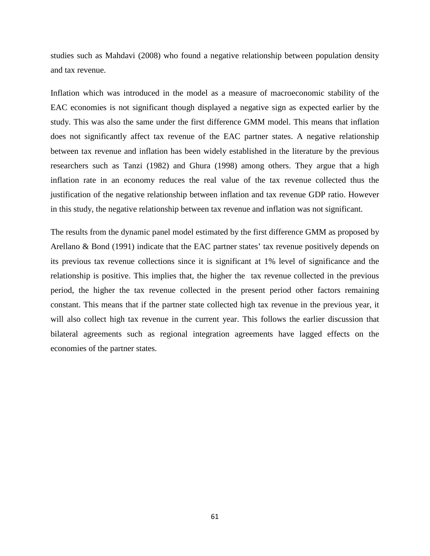studies such as Mahdavi (2008) who found a negative relationship between population density and tax revenue.

Inflation which was introduced in the model as a measure of macroeconomic stability of the EAC economies is not significant though displayed a negative sign as expected earlier by the study. This was also the same under the first difference GMM model. This means that inflation does not significantly affect tax revenue of the EAC partner states. A negative relationship between tax revenue and inflation has been widely established in the literature by the previous researchers such as Tanzi (1982) and Ghura (1998) among others. They argue that a high inflation rate in an economy reduces the real value of the tax revenue collected thus the justification of the negative relationship between inflation and tax revenue GDP ratio. However in this study, the negative relationship between tax revenue and inflation was not significant.

The results from the dynamic panel model estimated by the first difference GMM as proposed by Arellano & Bond (1991) indicate that the EAC partner states' tax revenue positively depends on its previous tax revenue collections since it is significant at 1% level of significance and the relationship is positive. This implies that, the higher the tax revenue collected in the previous period, the higher the tax revenue collected in the present period other factors remaining constant. This means that if the partner state collected high tax revenue in the previous year, it will also collect high tax revenue in the current year. This follows the earlier discussion that bilateral agreements such as regional integration agreements have lagged effects on the economies of the partner states.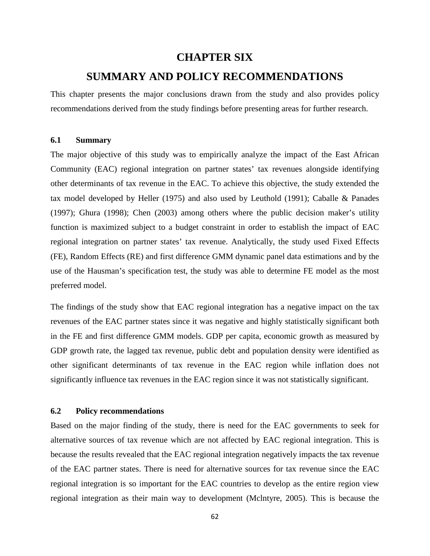# **CHAPTER SIX**

# **SUMMARY AND POLICY RECOMMENDATIONS**

This chapter presents the major conclusions drawn from the study and also provides policy recommendations derived from the study findings before presenting areas for further research.

## **6.1 Summary**

The major objective of this study was to empirically analyze the impact of the East African Community (EAC) regional integration on partner states' tax revenues alongside identifying other determinants of tax revenue in the EAC. To achieve this objective, the study extended the tax model developed by Heller (1975) and also used by Leuthold (1991); Caballe & Panades (1997); Ghura (1998); Chen (2003) among others where the public decision maker's utility function is maximized subject to a budget constraint in order to establish the impact of EAC regional integration on partner states' tax revenue. Analytically, the study used Fixed Effects (FE), Random Effects (RE) and first difference GMM dynamic panel data estimations and by the use of the Hausman's specification test, the study was able to determine FE model as the most preferred model.

The findings of the study show that EAC regional integration has a negative impact on the tax revenues of the EAC partner states since it was negative and highly statistically significant both in the FE and first difference GMM models. GDP per capita, economic growth as measured by GDP growth rate, the lagged tax revenue, public debt and population density were identified as other significant determinants of tax revenue in the EAC region while inflation does not significantly influence tax revenues in the EAC region since it was not statistically significant.

### **6.2 Policy recommendations**

Based on the major finding of the study, there is need for the EAC governments to seek for alternative sources of tax revenue which are not affected by EAC regional integration. This is because the results revealed that the EAC regional integration negatively impacts the tax revenue of the EAC partner states. There is need for alternative sources for tax revenue since the EAC regional integration is so important for the EAC countries to develop as the entire region view regional integration as their main way to development (Mclntyre, 2005). This is because the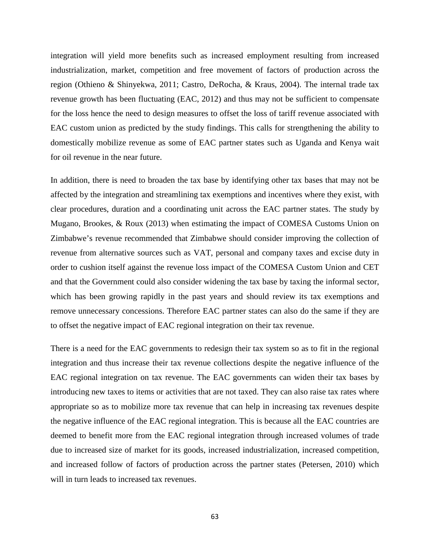integration will yield more benefits such as increased employment resulting from increased industrialization, market, competition and free movement of factors of production across the region (Othieno & Shinyekwa, 2011; Castro, DeRocha, & Kraus, 2004). The internal trade tax revenue growth has been fluctuating (EAC, 2012) and thus may not be sufficient to compensate for the loss hence the need to design measures to offset the loss of tariff revenue associated with EAC custom union as predicted by the study findings. This calls for strengthening the ability to domestically mobilize revenue as some of EAC partner states such as Uganda and Kenya wait for oil revenue in the near future.

In addition, there is need to broaden the tax base by identifying other tax bases that may not be affected by the integration and streamlining tax exemptions and incentives where they exist, with clear procedures, duration and a coordinating unit across the EAC partner states. The study by Mugano, Brookes, & Roux (2013) when estimating the impact of COMESA Customs Union on Zimbabwe's revenue recommended that Zimbabwe should consider improving the collection of revenue from alternative sources such as VAT, personal and company taxes and excise duty in order to cushion itself against the revenue loss impact of the COMESA Custom Union and CET and that the Government could also consider widening the tax base by taxing the informal sector, which has been growing rapidly in the past years and should review its tax exemptions and remove unnecessary concessions. Therefore EAC partner states can also do the same if they are to offset the negative impact of EAC regional integration on their tax revenue.

There is a need for the EAC governments to redesign their tax system so as to fit in the regional integration and thus increase their tax revenue collections despite the negative influence of the EAC regional integration on tax revenue. The EAC governments can widen their tax bases by introducing new taxes to items or activities that are not taxed. They can also raise tax rates where appropriate so as to mobilize more tax revenue that can help in increasing tax revenues despite the negative influence of the EAC regional integration. This is because all the EAC countries are deemed to benefit more from the EAC regional integration through increased volumes of trade due to increased size of market for its goods, increased industrialization, increased competition, and increased follow of factors of production across the partner states (Petersen, 2010) which will in turn leads to increased tax revenues.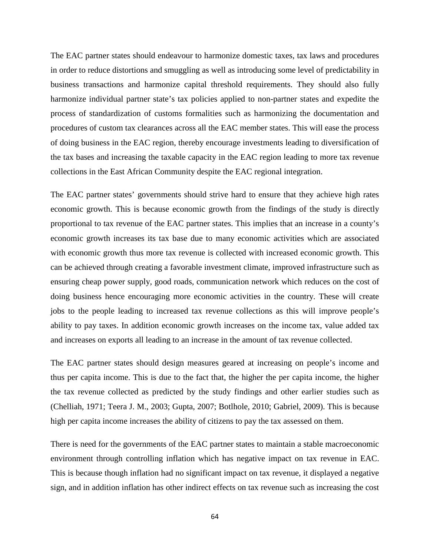The EAC partner states should endeavour to harmonize domestic taxes, tax laws and procedures in order to reduce distortions and smuggling as well as introducing some level of predictability in business transactions and harmonize capital threshold requirements. They should also fully harmonize individual partner state's tax policies applied to non-partner states and expedite the process of standardization of customs formalities such as harmonizing the documentation and procedures of custom tax clearances across all the EAC member states. This will ease the process of doing business in the EAC region, thereby encourage investments leading to diversification of the tax bases and increasing the taxable capacity in the EAC region leading to more tax revenue collections in the East African Community despite the EAC regional integration.

The EAC partner states' governments should strive hard to ensure that they achieve high rates economic growth. This is because economic growth from the findings of the study is directly proportional to tax revenue of the EAC partner states. This implies that an increase in a county's economic growth increases its tax base due to many economic activities which are associated with economic growth thus more tax revenue is collected with increased economic growth. This can be achieved through creating a favorable investment climate, improved infrastructure such as ensuring cheap power supply, good roads, communication network which reduces on the cost of doing business hence encouraging more economic activities in the country. These will create jobs to the people leading to increased tax revenue collections as this will improve people's ability to pay taxes. In addition economic growth increases on the income tax, value added tax and increases on exports all leading to an increase in the amount of tax revenue collected.

The EAC partner states should design measures geared at increasing on people's income and thus per capita income. This is due to the fact that, the higher the per capita income, the higher the tax revenue collected as predicted by the study findings and other earlier studies such as (Chelliah, 1971; Teera J. M., 2003; Gupta, 2007; Botlhole, 2010; Gabriel, 2009). This is because high per capita income increases the ability of citizens to pay the tax assessed on them.

There is need for the governments of the EAC partner states to maintain a stable macroeconomic environment through controlling inflation which has negative impact on tax revenue in EAC. This is because though inflation had no significant impact on tax revenue, it displayed a negative sign, and in addition inflation has other indirect effects on tax revenue such as increasing the cost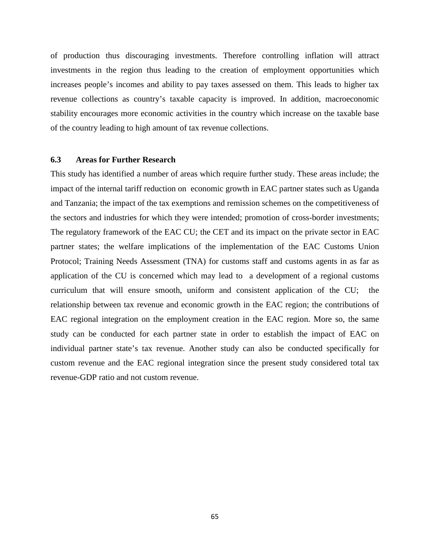of production thus discouraging investments. Therefore controlling inflation will attract investments in the region thus leading to the creation of employment opportunities which increases people's incomes and ability to pay taxes assessed on them. This leads to higher tax revenue collections as country's taxable capacity is improved. In addition, macroeconomic stability encourages more economic activities in the country which increase on the taxable base of the country leading to high amount of tax revenue collections.

### **6.3 Areas for Further Research**

This study has identified a number of areas which require further study. These areas include; the impact of the internal tariff reduction on economic growth in EAC partner states such as Uganda and Tanzania; the impact of the tax exemptions and remission schemes on the competitiveness of the sectors and industries for which they were intended; promotion of cross-border investments; The regulatory framework of the EAC CU; the CET and its impact on the private sector in EAC partner states; the welfare implications of the implementation of the EAC Customs Union Protocol; Training Needs Assessment (TNA) for customs staff and customs agents in as far as application of the CU is concerned which may lead to a development of a regional customs curriculum that will ensure smooth, uniform and consistent application of the CU; the relationship between tax revenue and economic growth in the EAC region; the contributions of EAC regional integration on the employment creation in the EAC region. More so, the same study can be conducted for each partner state in order to establish the impact of EAC on individual partner state's tax revenue. Another study can also be conducted specifically for custom revenue and the EAC regional integration since the present study considered total tax revenue-GDP ratio and not custom revenue.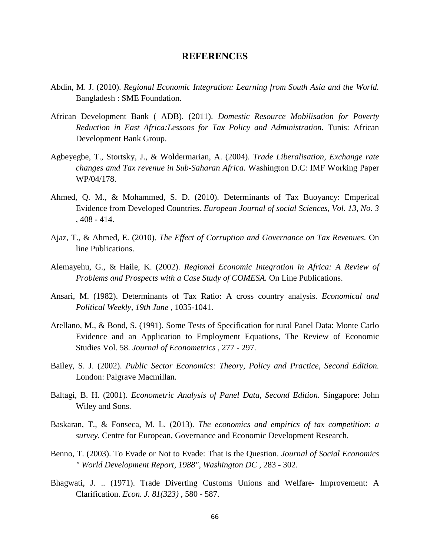### **REFERENCES**

- Abdin, M. J. (2010). *Regional Economic Integration: Learning from South Asia and the World.* Bangladesh : SME Foundation.
- African Development Bank ( ADB). (2011). *Domestic Resource Mobilisation for Poverty Reduction in East Africa:Lessons for Tax Policy and Administration.* Tunis: African Development Bank Group.
- Agbeyegbe, T., Stortsky, J., & Woldermarian, A. (2004). *Trade Liberalisation, Exchange rate changes amd Tax revenue in Sub-Saharan Africa.* Washington D.C: IMF Working Paper WP/04/178.
- Ahmed, Q. M., & Mohammed, S. D. (2010). Determinants of Tax Buoyancy: Emperical Evidence from Developed Countries. *European Journal of social Sciences, Vol. 13, No. 3* , 408 - 414.
- Ajaz, T., & Ahmed, E. (2010). *The Effect of Corruption and Governance on Tax Revenues.* On line Publications.
- Alemayehu, G., & Haile, K. (2002). *Regional Economic Integration in Africa: A Review of Problems and Prospects with a Case Study of COMESA.* On Line Publications.
- Ansari, M. (1982). Determinants of Tax Ratio: A cross country analysis. *Economical and Political Weekly, 19th June* , 1035-1041.
- Arellano, M., & Bond, S. (1991). Some Tests of Specification for rural Panel Data: Monte Carlo Evidence and an Application to Employment Equations, The Review of Economic Studies Vol. 58. *Journal of Econometrics* , 277 - 297.
- Bailey, S. J. (2002). *Public Sector Economics: Theory, Policy and Practice, Second Edition.* London: Palgrave Macmillan.
- Baltagi, B. H. (2001). *Econometric Analysis of Panel Data, Second Edition.* Singapore: John Wiley and Sons.
- Baskaran, T., & Fonseca, M. L. (2013). *The economics and empirics of tax competition: a survey.* Centre for European, Governance and Economic Development Research.
- Benno, T. (2003). To Evade or Not to Evade: That is the Question. *Journal of Social Economics " World Development Report, 1988", Washington DC* , 283 - 302.
- Bhagwati, J. .. (1971). Trade Diverting Customs Unions and Welfare- Improvement: A Clarification. *Econ. J. 81(323)* , 580 - 587.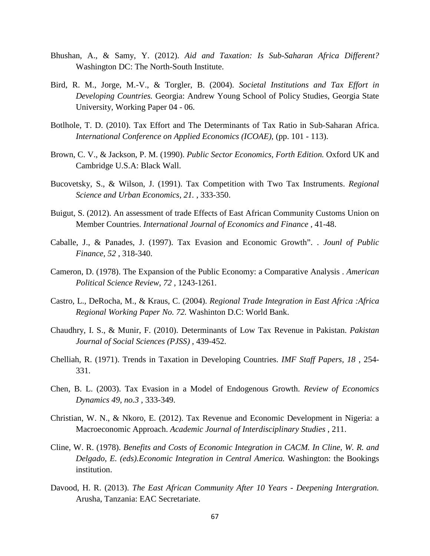- Bhushan, A., & Samy, Y. (2012). *Aid and Taxation: Is Sub-Saharan Africa Different?* Washington DC: The North-South Institute.
- Bird, R. M., Jorge, M.-V., & Torgler, B. (2004). *Societal Institutions and Tax Effort in Developing Countries.* Georgia: Andrew Young School of Policy Studies, Georgia State University, Working Paper 04 - 06.
- Botlhole, T. D. (2010). Tax Effort and The Determinants of Tax Ratio in Sub-Saharan Africa. *International Conference on Applied Economics (ICOAE)*, (pp. 101 - 113).
- Brown, C. V., & Jackson, P. M. (1990). *Public Sector Economics, Forth Edition.* Oxford UK and Cambridge U.S.A: Black Wall.
- Bucovetsky, S., & Wilson, J. (1991). Tax Competition with Two Tax Instruments. *Regional Science and Urban Economics, 21.* , 333-350.
- Buigut, S. (2012). An assessment of trade Effects of East African Community Customs Union on Member Countries. *International Journal of Economics and Finance* , 41-48.
- Caballe, J., & Panades, J. (1997). Tax Evasion and Economic Growth". . *Jounl of Public Finance, 52* , 318-340.
- Cameron, D. (1978). The Expansion of the Public Economy: a Comparative Analysis . *American Political Science Review, 72* , 1243-1261.
- Castro, L., DeRocha, M., & Kraus, C. (2004). *Regional Trade Integration in East Africa :Africa Regional Working Paper No. 72.* Washinton D.C: World Bank.
- Chaudhry, I. S., & Munir, F. (2010). Determinants of Low Tax Revenue in Pakistan. *Pakistan Journal of Social Sciences (PJSS)* , 439-452.
- Chelliah, R. (1971). Trends in Taxation in Developing Countries. *IMF Staff Papers, 18* , 254- 331.
- Chen, B. L. (2003). Tax Evasion in a Model of Endogenous Growth. *Review of Economics Dynamics 49, no.3* , 333-349.
- Christian, W. N., & Nkoro, E. (2012). Tax Revenue and Economic Development in Nigeria: a Macroeconomic Approach. *Academic Journal of Interdisciplinary Studies* , 211.
- Cline, W. R. (1978). *Benefits and Costs of Economic Integration in CACM. In Cline, W. R. and Delgado, E. (eds).Economic Integration in Central America.* Washington: the Bookings institution.
- Davood, H. R. (2013). *The East African Community After 10 Years - Deepening Intergration.* Arusha, Tanzania: EAC Secretariate.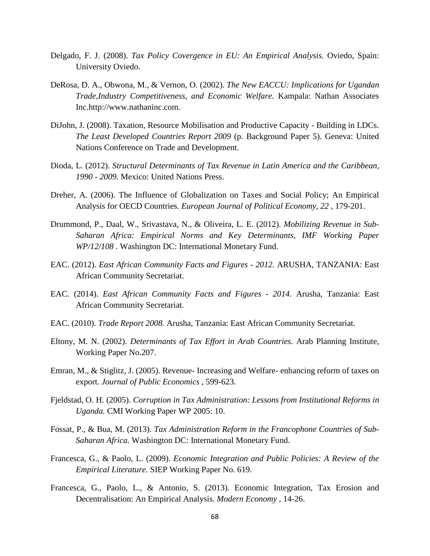- Delgado, F. J. (2008). *Tax Policy Covergence in EU: An Empirical Analysis.* Oviedo, Spain: University Oviedo.
- DeRosa, D. A., Obwona, M., & Vernon, O. (2002). *The New EACCU: Implications for Ugandan Trade,Industry Competitiveness, and Economic Welfare.* Kampala: Nathan Associates Inc.http://www.nathaninc.com.
- DiJohn, J. (2008). Taxation, Resource Mobilisation and Productive Capacity Building in LDCs. *The Least Developed Countries Report 2009* (p. Background Paper 5). Geneva: United Nations Conference on Trade and Development.
- Dioda, L. (2012). *Structural Determinants of Tax Revenue in Latin America and the Caribbean, 1990 - 2009.* Mexico: United Nations Press.
- Dreher, A. (2006). The Influence of Globalization on Taxes and Social Policy; An Empirical Analysis for OECD Countries. *European Journal of Political Economy, 22* , 179-201.
- Drummond, P., Daal, W., Srivastava, N., & Oliveira, L. E. (2012). *Mobilizing Revenue in Sub-Saharan Africa: Empirical Norms and Key Determinants, IMF Working Paper WP/12/108 .* Washington DC: International Monetary Fund.
- EAC. (2012). *East African Community Facts and Figures - 2012.* ARUSHA, TANZANIA: East African Community Secretariat.
- EAC. (2014). *East African Community Facts and Figures - 2014.* Arusha, Tanzania: East African Community Secretariat.
- EAC. (2010). *Trade Report 2008.* Arusha, Tanzania: East African Community Secretariat.
- Eltony, M. N. (2002). *Determinants of Tax Effort in Arab Countries.* Arab Planning Institute, Working Paper No.207.
- Emran, M., & Stiglitz, J. (2005). Revenue- Increasing and Welfare- enhancing reform of taxes on export. *Journal of Public Economics* , 599-623.
- Fjeldstad, O. H. (2005). *Corruption in Tax Administration: Lessons from Institutional Reforms in Uganda.* CMI Working Paper WP 2005: 10.
- Fossat, P., & Bua, M. (2013). *Tax Administration Reform in the Francophone Countries of Sub-Saharan Africa.* Washington DC: International Monetary Fund.
- Francesca, G., & Paolo, L. (2009). *Economic Integration and Public Policies: A Review of the Empirical Literature.* SIEP Working Paper No. 619.
- Francesca, G., Paolo, L., & Antonio, S. (2013). Economic Integration, Tax Erosion and Decentralisation: An Empirical Analysis. *Modern Economy* , 14-26.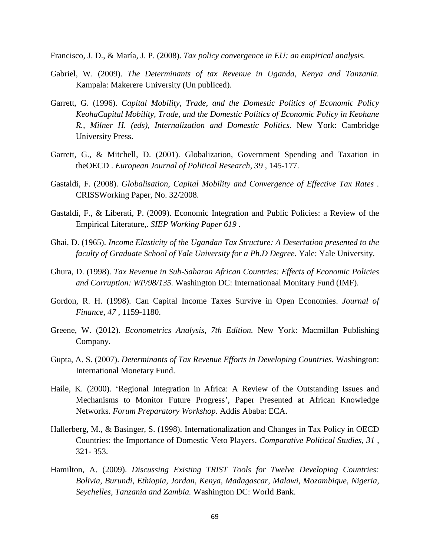Francisco, J. D., & María, J. P. (2008). *Tax policy convergence in EU: an empirical analysis.*

- Gabriel, W. (2009). *The Determinants of tax Revenue in Uganda, Kenya and Tanzania.* Kampala: Makerere University (Un publiced).
- Garrett, G. (1996). *Capital Mobility, Trade, and the Domestic Politics of Economic Policy KeohaCapital Mobility, Trade, and the Domestic Politics of Economic Policy in Keohane R., Milner H. (eds), Internalization and Domestic Politics.* New York: Cambridge University Press.
- Garrett, G., & Mitchell, D. (2001). Globalization, Government Spending and Taxation in theOECD . *European Journal of Political Research, 39* , 145-177.
- Gastaldi, F. (2008). *Globalisation, Capital Mobility and Convergence of Effective Tax Rates .* CRISSWorking Paper, No. 32/2008.
- Gastaldi, F., & Liberati, P. (2009). Economic Integration and Public Policies: a Review of the Empirical Literature,. *SIEP Working Paper 619* .
- Ghai, D. (1965). *Income Elasticity of the Ugandan Tax Structure: A Desertation presented to the faculty of Graduate School of Yale University for a Ph.D Degree.* Yale: Yale University.
- Ghura, D. (1998). *Tax Revenue in Sub-Saharan African Countries: Effects of Economic Policies and Corruption: WP/98/135.* Washington DC: Internationaal Monitary Fund (IMF).
- Gordon, R. H. (1998). Can Capital Income Taxes Survive in Open Economies. *Journal of Finance, 47* , 1159-1180.
- Greene, W. (2012). *Econometrics Analysis, 7th Edition.* New York: Macmillan Publishing Company.
- Gupta, A. S. (2007). *Determinants of Tax Revenue Efforts in Developing Countries.* Washington: International Monetary Fund.
- Haile, K. (2000). 'Regional Integration in Africa: A Review of the Outstanding Issues and Mechanisms to Monitor Future Progress', Paper Presented at African Knowledge Networks. *Forum Preparatory Workshop.* Addis Ababa: ECA.
- Hallerberg, M., & Basinger, S. (1998). Internationalization and Changes in Tax Policy in OECD Countries: the Importance of Domestic Veto Players. *Comparative Political Studies, 31* , 321- 353.
- Hamilton, A. (2009). *Discussing Existing TRIST Tools for Twelve Developing Countries: Bolivia, Burundi, Ethiopia, Jordan, Kenya, Madagascar, Malawi, Mozambique, Nigeria, Seychelles, Tanzania and Zambia.* Washington DC: World Bank.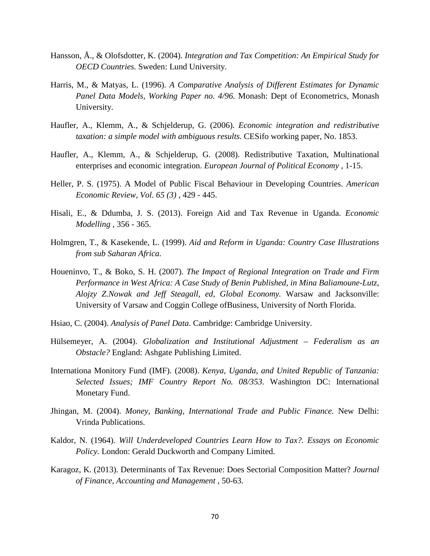- Hansson, Å., & Olofsdotter, K. (2004). *Integration and Tax Competition: An Empirical Study for OECD Countries.* Sweden: Lund University.
- Harris, M., & Matyas, L. (1996). *A Comparative Analysis of Different Estimates for Dynamic Panel Data Models, Working Paper no. 4/96.* Monash: Dept of Econometrics, Monash University.
- Haufler, A., Klemm, A., & Schjelderup, G. (2006). *Economic integration and redistributive taxation: a simple model with ambiguous results.* CESifo working paper, No. 1853.
- Haufler, A., Klemm, A., & Schjelderup, G. (2008). Redistributive Taxation, Multinational enterprises and economic integration. *European Journal of Political Economy* , 1-15.
- Heller, P. S. (1975). A Model of Public Fiscal Behaviour in Developing Countries. *American Economic Review, Vol. 65 (3)* , 429 - 445.
- Hisali, E., & Ddumba, J. S. (2013). Foreign Aid and Tax Revenue in Uganda. *Economic Modelling* , 356 - 365.
- Holmgren, T., & Kasekende, L. (1999). *Aid and Reform in Uganda: Country Case Illustrations from sub Saharan Africa.*
- Houeninvo, T., & Boko, S. H. (2007). *The Impact of Regional Integration on Trade and Firm Performance in West Africa: A Case Study of Benin Published, in Mina Baliamoune-Lutz, Alojzy Z.Nowak and Jeff Steagall, ed, Global Economy.* Warsaw and Jacksonville: University of Varsaw and Coggin College ofBusiness, University of North Florida.
- Hsiao, C. (2004). *Analysis of Panel Data.* Cambridge: Cambridge University.
- Hülsemeyer, A. (2004). *Globalization and Institutional Adjustment – Federalism as an Obstacle?* England: Ashgate Publishing Limited.
- Internationa Monitory Fund (IMF). (2008). *Kenya, Uganda, and United Republic of Tanzania: Selected Issues; IMF Country Report No. 08/353.* Washington DC: International Monetary Fund.
- Jhingan, M. (2004). *Money, Banking, International Trade and Public Finance.* New Delhi: Vrinda Publications.
- Kaldor, N. (1964). *Will Underdeveloped Countries Learn How to Tax?. Essays on Economic Policy.* London: Gerald Duckworth and Company Limited.
- Karagoz, K. (2013). Determinants of Tax Revenue: Does Sectorial Composition Matter? *Journal of Finance, Accounting and Management* , 50-63.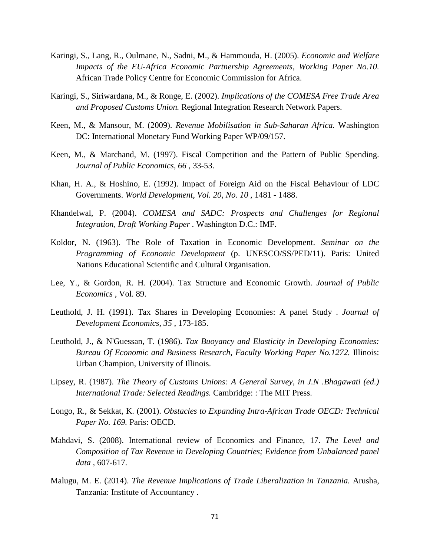- Karingi, S., Lang, R., Oulmane, N., Sadni, M., & Hammouda, H. (2005). *Economic and Welfare Impacts of the EU-Africa Economic Partnership Agreements, Working Paper No.10.* African Trade Policy Centre for Economic Commission for Africa.
- Karingi, S., Siriwardana, M., & Ronge, E. (2002). *Implications of the COMESA Free Trade Area and Proposed Customs Union.* Regional Integration Research Network Papers.
- Keen, M., & Mansour, M. (2009). *Revenue Mobilisation in Sub-Saharan Africa.* Washington DC: International Monetary Fund Working Paper WP/09/157.
- Keen, M., & Marchand, M. (1997). Fiscal Competition and the Pattern of Public Spending. *Journal of Public Economics, 66* , 33-53.
- Khan, H. A., & Hoshino, E. (1992). Impact of Foreign Aid on the Fiscal Behaviour of LDC Governments. *World Development, Vol. 20, No. 10* , 1481 - 1488.
- Khandelwal, P. (2004). *COMESA and SADC: Prospects and Challenges for Regional Integration, Draft Working Paper .* Washington D.C.: IMF.
- Koldor, N. (1963). The Role of Taxation in Economic Development. *Seminar on the Programming of Economic Development* (p. UNESCO/SS/PED/11). Paris: United Nations Educational Scientific and Cultural Organisation.
- Lee, Y., & Gordon, R. H. (2004). Tax Structure and Economic Growth. *Journal of Public Economics* , Vol. 89.
- Leuthold, J. H. (1991). Tax Shares in Developing Economies: A panel Study . *Journal of Development Economics, 35* , 173-185.
- Leuthold, J., & N'Guessan, T. (1986). *Tax Buoyancy and Elasticity in Developing Economies: Bureau Of Economic and Business Research, Faculty Working Paper No.1272.* Illinois: Urban Champion, University of Illinois.
- Lipsey, R. (1987). *The Theory of Customs Unions: A General Survey, in J.N .Bhagawati (ed.) International Trade: Selected Readings.* Cambridge: : The MIT Press.
- Longo, R., & Sekkat, K. (2001). *Obstacles to Expanding Intra-African Trade OECD: Technical Paper No. 169.* Paris: OECD.
- Mahdavi, S. (2008). International review of Economics and Finance, 17. *The Level and Composition of Tax Revenue in Developing Countries; Evidence from Unbalanced panel data* , 607-617.
- Malugu, M. E. (2014). *The Revenue Implications of Trade Liberalization in Tanzania.* Arusha, Tanzania: Institute of Accountancy .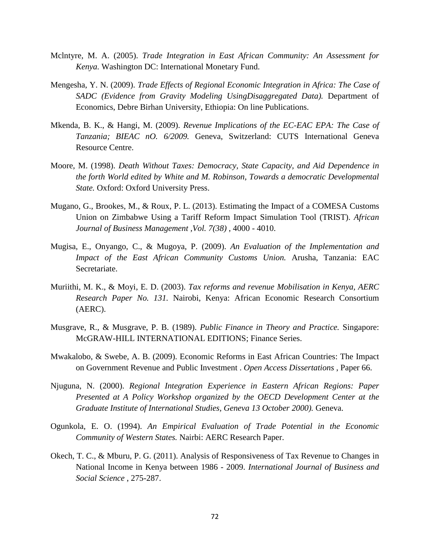- Mclntyre, M. A. (2005). *Trade Integration in East African Community: An Assessment for Kenya.* Washington DC: International Monetary Fund.
- Mengesha, Y. N. (2009). *Trade Effects of Regional Economic Integration in Africa: The Case of SADC (Evidence from Gravity Modeling UsingDisaggregated Data).* Department of Economics, Debre Birhan University, Ethiopia: On line Publications.
- Mkenda, B. K., & Hangi, M. (2009). *Revenue Implications of the EC-EAC EPA: The Case of Tanzania; BIEAC nO. 6/2009.* Geneva, Switzerland: CUTS International Geneva Resource Centre.
- Moore, M. (1998). *Death Without Taxes: Democracy, State Capacity, and Aid Dependence in the forth World edited by White and M. Robinson, Towards a democratic Developmental State.* Oxford: Oxford University Press.
- Mugano, G., Brookes, M., & Roux, P. L. (2013). Estimating the Impact of a COMESA Customs Union on Zimbabwe Using a Tariff Reform Impact Simulation Tool (TRIST). *African Journal of Business Management ,Vol. 7(38)* , 4000 - 4010.
- Mugisa, E., Onyango, C., & Mugoya, P. (2009). *An Evaluation of the Implementation and Impact of the East African Community Customs Union.* Arusha, Tanzania: EAC Secretariate.
- Muriithi, M. K., & Moyi, E. D. (2003). *Tax reforms and revenue Mobilisation in Kenya, AERC Research Paper No. 131.* Nairobi, Kenya: African Economic Research Consortium (AERC).
- Musgrave, R., & Musgrave, P. B. (1989). *Public Finance in Theory and Practice.* Singapore: McGRAW-HILL INTERNATIONAL EDITIONS; Finance Series.
- Mwakalobo, & Swebe, A. B. (2009). Economic Reforms in East African Countries: The Impact on Government Revenue and Public Investment . *Open Access Dissertations* , Paper 66.
- Njuguna, N. (2000). *Regional Integration Experience in Eastern African Regions: Paper Presented at A Policy Workshop organized by the OECD Development Center at the Graduate Institute of International Studies, Geneva 13 October 2000).* Geneva.
- Ogunkola, E. O. (1994). *An Empirical Evaluation of Trade Potential in the Economic Community of Western States.* Nairbi: AERC Research Paper.
- Okech, T. C., & Mburu, P. G. (2011). Analysis of Responsiveness of Tax Revenue to Changes in National Income in Kenya between 1986 - 2009. *International Journal of Business and Social Science* , 275-287.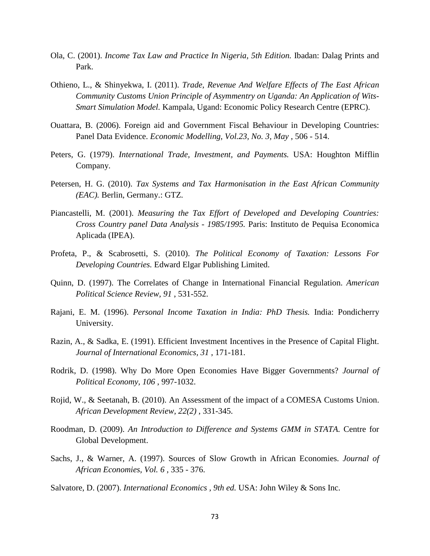- Ola, C. (2001). *Income Tax Law and Practice In Nigeria, 5th Edition.* Ibadan: Dalag Prints and Park.
- Othieno, L., & Shinyekwa, I. (2011). *Trade, Revenue And Welfare Effects of The East African Community Customs Union Principle of Asymmentry on Uganda: An Application of Wits-Smart Simulation Model.* Kampala, Ugand: Economic Policy Research Centre (EPRC).
- Ouattara, B. (2006). Foreign aid and Government Fiscal Behaviour in Developing Countries: Panel Data Evidence. *Economic Modelling, Vol.23, No. 3, May* , 506 - 514.
- Peters, G. (1979). *International Trade, Investment, and Payments.* USA: Houghton Mifflin Company.
- Petersen, H. G. (2010). *Tax Systems and Tax Harmonisation in the East African Community (EAC).* Berlin, Germany.: GTZ.
- Piancastelli, M. (2001). *Measuring the Tax Effort of Developed and Developing Countries: Cross Country panel Data Analysis - 1985/1995.* Paris: Instituto de Pequisa Economica Aplicada (IPEA).
- Profeta, P., & Scabrosetti, S. (2010). *The Political Economy of Taxation: Lessons For Developing Countries.* Edward Elgar Publishing Limited.
- Quinn, D. (1997). The Correlates of Change in International Financial Regulation. *American Political Science Review, 91* , 531-552.
- Rajani, E. M. (1996). *Personal Income Taxation in India: PhD Thesis.* India: Pondicherry University.
- Razin, A., & Sadka, E. (1991). Efficient Investment Incentives in the Presence of Capital Flight. *Journal of International Economics, 31* , 171-181.
- Rodrik, D. (1998). Why Do More Open Economies Have Bigger Governments? *Journal of Political Economy, 106* , 997-1032.
- Rojid, W., & Seetanah, B. (2010). An Assessment of the impact of a COMESA Customs Union. *African Development Review, 22(2)* , 331-345.
- Roodman, D. (2009). *An Introduction to Difference and Systems GMM in STATA.* Centre for Global Development.
- Sachs, J., & Warner, A. (1997). Sources of Slow Growth in African Economies. *Journal of African Economies, Vol. 6* , 335 - 376.
- Salvatore, D. (2007). *International Economics , 9th ed.* USA: John Wiley & Sons Inc.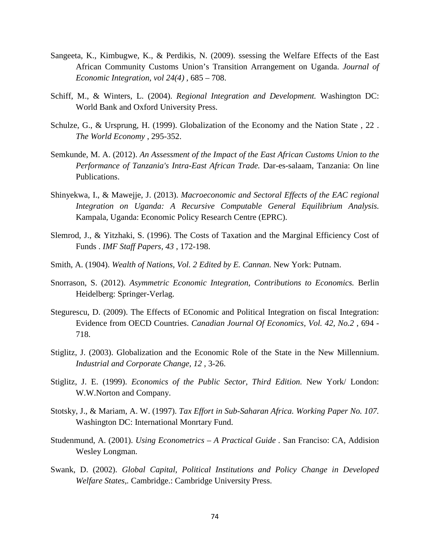- Sangeeta, K., Kimbugwe, K., & Perdikis, N. (2009). ssessing the Welfare Effects of the East African Community Customs Union's Transition Arrangement on Uganda. *Journal of Economic Integration, vol 24(4)* , 685 – 708.
- Schiff, M., & Winters, L. (2004). *Regional Integration and Development.* Washington DC: World Bank and Oxford University Press.
- Schulze, G., & Ursprung, H. (1999). Globalization of the Economy and the Nation State , 22 . *The World Economy* , 295-352.
- Semkunde, M. A. (2012). *An Assessment of the Impact of the East African Customs Union to the Performance of Tanzania's Intra-East African Trade.* Dar-es-salaam, Tanzania: On line Publications.
- Shinyekwa, I., & Mawejje, J. (2013). *Macroeconomic and Sectoral Effects of the EAC regional Integration on Uganda: A Recursive Computable General Equilibrium Analysis.* Kampala, Uganda: Economic Policy Research Centre (EPRC).
- Slemrod, J., & Yitzhaki, S. (1996). The Costs of Taxation and the Marginal Efficiency Cost of Funds . *IMF Staff Papers, 43* , 172-198.
- Smith, A. (1904). *Wealth of Nations, Vol. 2 Edited by E. Cannan.* New York: Putnam.
- Snorrason, S. (2012). *Asymmetric Economic Integration, Contributions to Economics.* Berlin Heidelberg: Springer-Verlag.
- Stegurescu, D. (2009). The Effects of EConomic and Political Integration on fiscal Integration: Evidence from OECD Countries. *Canadian Journal Of Economics, Vol. 42, No.2* , 694 - 718.
- Stiglitz, J. (2003). Globalization and the Economic Role of the State in the New Millennium. *Industrial and Corporate Change, 12* , 3-26.
- Stiglitz, J. E. (1999). *Economics of the Public Sector, Third Edition.* New York/ London: W.W.Norton and Company.
- Stotsky, J., & Mariam, A. W. (1997). *Tax Effort in Sub-Saharan Africa. Working Paper No. 107.* Washington DC: International Monrtary Fund.
- Studenmund, A. (2001). *Using Econometrics – A Practical Guide .* San Franciso: CA, Addision Wesley Longman.
- Swank, D. (2002). *Global Capital, Political Institutions and Policy Change in Developed Welfare States,.* Cambridge.: Cambridge University Press.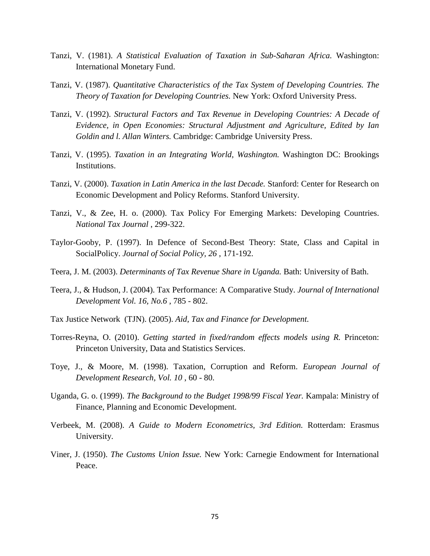- Tanzi, V. (1981). *A Statistical Evaluation of Taxation in Sub-Saharan Africa.* Washington: International Monetary Fund.
- Tanzi, V. (1987). *Quantitative Characteristics of the Tax System of Developing Countries. The Theory of Taxation for Developing Countries.* New York: Oxford University Press.
- Tanzi, V. (1992). *Structural Factors and Tax Revenue in Developing Countries: A Decade of Evidence, in Open Economies: Structural Adjustment and Agriculture, Edited by Ian Goldin and l. Allan Winters.* Cambridge: Cambridge University Press.
- Tanzi, V. (1995). *Taxation in an Integrating World, Washington.* Washington DC: Brookings Institutions.
- Tanzi, V. (2000). *Taxation in Latin America in the last Decade.* Stanford: Center for Research on Economic Development and Policy Reforms. Stanford University.
- Tanzi, V., & Zee, H. o. (2000). Tax Policy For Emerging Markets: Developing Countries. *National Tax Journal* , 299-322.
- Taylor-Gooby, P. (1997). In Defence of Second-Best Theory: State, Class and Capital in SocialPolicy. *Journal of Social Policy, 26* , 171-192.
- Teera, J. M. (2003). *Determinants of Tax Revenue Share in Uganda.* Bath: University of Bath.
- Teera, J., & Hudson, J. (2004). Tax Performance: A Comparative Study. *Journal of International Development Vol. 16, No.6* , 785 - 802.
- Tax Justice Network (TJN). (2005). *Aid, Tax and Finance for Development.*
- Torres-Reyna, O. (2010). *Getting started in fixed/random effects models using R.* Princeton: Princeton University, Data and Statistics Services.
- Toye, J., & Moore, M. (1998). Taxation, Corruption and Reform. *European Journal of Development Research, Vol. 10* , 60 - 80.
- Uganda, G. o. (1999). *The Background to the Budget 1998/99 Fiscal Year.* Kampala: Ministry of Finance, Planning and Economic Development.
- Verbeek, M. (2008). *A Guide to Modern Econometrics, 3rd Edition.* Rotterdam: Erasmus University.
- Viner, J. (1950). *The Customs Union Issue.* New York: Carnegie Endowment for International Peace.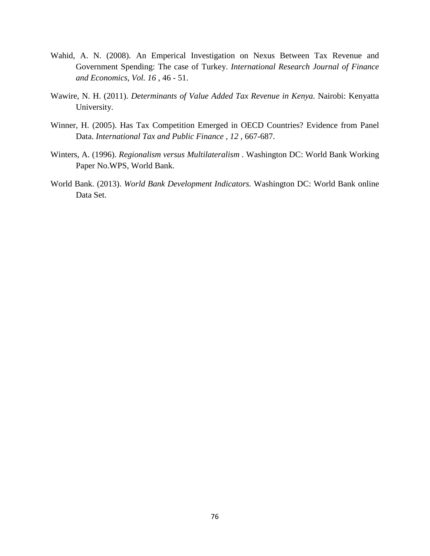- Wahid, A. N. (2008). An Emperical Investigation on Nexus Between Tax Revenue and Government Spending: The case of Turkey. *International Research Journal of Finance and Economics, Vol. 16* , 46 - 51.
- Wawire, N. H. (2011). *Determinants of Value Added Tax Revenue in Kenya.* Nairobi: Kenyatta University.
- Winner, H. (2005). Has Tax Competition Emerged in OECD Countries? Evidence from Panel Data. *International Tax and Public Finance , 12* , 667-687.
- Winters, A. (1996). *Regionalism versus Multilateralism .* Washington DC: World Bank Working Paper No.WPS, World Bank.
- World Bank. (2013). *World Bank Development Indicators.* Washington DC: World Bank online Data Set.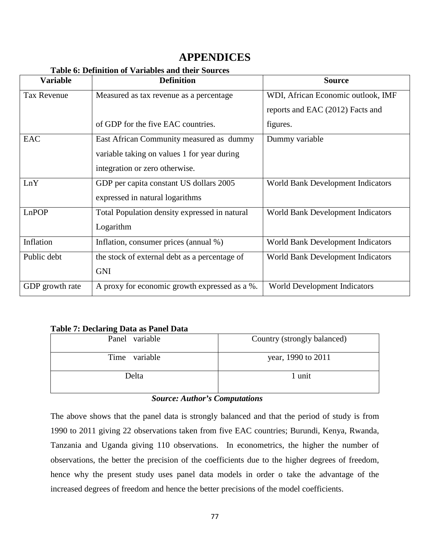# **APPENDICES**

|                    | rabic v. Deminion or variables and inch bources |                                          |
|--------------------|-------------------------------------------------|------------------------------------------|
| <b>Variable</b>    | <b>Definition</b>                               | <b>Source</b>                            |
| <b>Tax Revenue</b> | Measured as tax revenue as a percentage         | WDI, African Economic outlook, IMF       |
|                    |                                                 | reports and EAC (2012) Facts and         |
|                    | of GDP for the five EAC countries.              | figures.                                 |
| <b>EAC</b>         | East African Community measured as dummy        | Dummy variable                           |
|                    | variable taking on values 1 for year during     |                                          |
|                    | integration or zero otherwise.                  |                                          |
| LnY                | GDP per capita constant US dollars 2005         | <b>World Bank Development Indicators</b> |
|                    | expressed in natural logarithms                 |                                          |
| LnPOP              | Total Population density expressed in natural   | World Bank Development Indicators        |
|                    | Logarithm                                       |                                          |
| Inflation          | Inflation, consumer prices (annual %)           | <b>World Bank Development Indicators</b> |
| Public debt        | the stock of external debt as a percentage of   | World Bank Development Indicators        |
|                    | <b>GNI</b>                                      |                                          |
| GDP growth rate    | A proxy for economic growth expressed as a %.   | World Development Indicators             |

## **Table 7: Declaring Data as Panel Data**

| Panel variable | Country (strongly balanced) |
|----------------|-----------------------------|
| Time variable  | year, 1990 to 2011          |
| Delta          | 1 unit                      |

## *Source: Author's Computations*

The above shows that the panel data is strongly balanced and that the period of study is from 1990 to 2011 giving 22 observations taken from five EAC countries; Burundi, Kenya, Rwanda, Tanzania and Uganda giving 110 observations. In econometrics, the higher the number of observations, the better the precision of the coefficients due to the higher degrees of freedom, hence why the present study uses panel data models in order o take the advantage of the increased degrees of freedom and hence the better precisions of the model coefficients.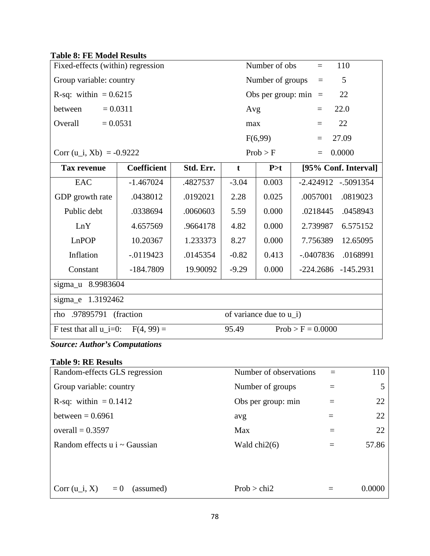# **Table 8: FE Model Results**

| Fixed-effects (within) regression                                      |              |           | Number of obs<br>110<br>$\equiv$  |                                      |                         |  |  |
|------------------------------------------------------------------------|--------------|-----------|-----------------------------------|--------------------------------------|-------------------------|--|--|
| Group variable: country                                                |              |           | Number of groups<br>5<br>$\equiv$ |                                      |                         |  |  |
| R-sq: within $= 0.6215$                                                |              |           |                                   | 22<br>Obs per group: min<br>$\equiv$ |                         |  |  |
| between                                                                | $= 0.0311$   |           | Avg                               |                                      | 22.0<br>$=$             |  |  |
| Overall<br>$= 0.0531$                                                  |              |           | max                               |                                      | 22<br>$\equiv$          |  |  |
|                                                                        |              |           |                                   | F(6,99)                              | 27.09<br>$=$            |  |  |
| Corr $(u_i, Xb) = -0.9222$                                             |              |           |                                   | Prob > F                             | 0.0000<br>$=$           |  |  |
| <b>Tax revenue</b>                                                     | Coefficient  | Std. Err. | $\mathbf t$                       | P > t                                | [95% Conf. Interval]    |  |  |
| <b>EAC</b>                                                             | $-1.467024$  | .4827537  | $-3.04$                           | 0.003                                | $-2.424912 - 5091354$   |  |  |
| GDP growth rate                                                        | .0438012     | .0192021  | 2.28                              | 0.025                                | .0057001<br>.0819023    |  |  |
| Public debt                                                            | .0338694     | .0060603  | 5.59                              | 0.000                                | .0218445<br>.0458943    |  |  |
| LnY                                                                    | 4.657569     | .9664178  | 4.82                              | 0.000                                | 2.739987<br>6.575152    |  |  |
| LnPOP                                                                  | 10.20367     | 1.233373  | 8.27                              | 0.000                                | 7.756389<br>12.65095    |  |  |
| Inflation                                                              | $-0.0119423$ | .0145354  | $-0.82$                           | 0.413                                | $-.0407836$<br>.0168991 |  |  |
| Constant                                                               | $-184.7809$  | 19.90092  | $-9.29$                           | 0.000                                | $-224.2686 -145.2931$   |  |  |
| sigma_u 8.9983604                                                      |              |           |                                   |                                      |                         |  |  |
| sigma_e 1.3192462                                                      |              |           |                                   |                                      |                         |  |  |
| of variance due to u_i)<br>(fraction<br>rho .97895791                  |              |           |                                   |                                      |                         |  |  |
| $Prob > F = 0.0000$<br>F test that all $u_i=0$ : $F(4, 99) =$<br>95.49 |              |           |                                   |                                      |                         |  |  |

*Source: Author's Computations*

## **Table 9: RE Results**

| Random-effects GLS regression          | Number of observations | 110    |
|----------------------------------------|------------------------|--------|
| Group variable: country                | Number of groups       |        |
| R-sq: within $= 0.1412$                | Obs per group: min     | 22     |
| between $= 0.6961$                     | avg                    | 22     |
| overall = $0.3597$                     | Max                    | 22     |
| Random effects u i ~ Gaussian          | Wald $chi2(6)$         | 57.86  |
|                                        |                        |        |
|                                        |                        |        |
| $Corr (u_i, X)$<br>(assumed)<br>$=$ () | Prob > chi2            | 0.0000 |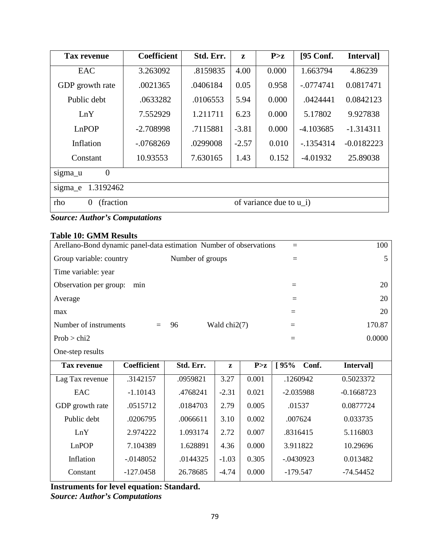| <b>Tax revenue</b>                                              | <b>Coefficient</b> | Std. Err. | Z       | P > z | [95 Conf.   | Interval]    |  |
|-----------------------------------------------------------------|--------------------|-----------|---------|-------|-------------|--------------|--|
| <b>EAC</b>                                                      | 3.263092           | .8159835  | 4.00    | 0.000 | 1.663794    | 4.86239      |  |
| GDP growth rate                                                 | .0021365           | .0406184  | 0.05    | 0.958 | $-.0774741$ | 0.0817471    |  |
| Public debt                                                     | .0633282           | .0106553  | 5.94    | 0.000 | .0424441    | 0.0842123    |  |
| LnY                                                             | 7.552929           | 1.211711  | 6.23    | 0.000 | 5.17802     | 9.927838     |  |
| LnPOP                                                           | $-2.708998$        | .7115881  | $-3.81$ | 0.000 | $-4.103685$ | $-1.314311$  |  |
| Inflation                                                       | $-.0768269$        | .0299008  | $-2.57$ | 0.010 | $-1354314$  | $-0.0182223$ |  |
| Constant                                                        | 10.93553           | 7.630165  | 1.43    | 0.152 | $-4.01932$  | 25.89038     |  |
| $\overline{0}$<br>sigma_u                                       |                    |           |         |       |             |              |  |
| 1.3192462<br>sigma_e                                            |                    |           |         |       |             |              |  |
| rho<br>of variance due to $u_i$<br>(fraction)<br>$\overline{0}$ |                    |           |         |       |             |              |  |

*Source: Author's Computations*

| <b>Table 10: GMM Results</b> |  |  |
|------------------------------|--|--|
|------------------------------|--|--|

| Arellano-Bond dynamic panel-data estimation Number of observations | 100     |    |                  |        |
|--------------------------------------------------------------------|---------|----|------------------|--------|
| Group variable: country                                            |         |    | Number of groups |        |
| Time variable: year                                                |         |    |                  |        |
| Observation per group:                                             | min     |    |                  | 20     |
| Average                                                            |         |    |                  | 20     |
| max                                                                |         |    |                  | 20     |
| Number of instruments                                              | $=$ $-$ | 96 | Wald $chi2(7)$   | 170.87 |
| Prob > chi2                                                        |         |    |                  | 0.0000 |

One-step results

| <b>Tax revenue</b> | <b>Coefficient</b> | Std. Err. | z       | P > z | 195%<br>Conf. | Interval]    |
|--------------------|--------------------|-----------|---------|-------|---------------|--------------|
| Lag Tax revenue    | .3142157           | .0959821  | 3.27    | 0.001 | .1260942      | 0.5023372    |
| <b>EAC</b>         | $-1.10143$         | .4768241  | $-2.31$ | 0.021 | $-2.035988$   | $-0.1668723$ |
| GDP growth rate    | .0515712           | .0184703  | 2.79    | 0.005 | .01537        | 0.0877724    |
| Public debt        | .0206795           | .0066611  | 3.10    | 0.002 | .007624       | 0.033735     |
| LnY                | 2.974222           | 1.093174  | 2.72    | 0.007 | .8316415      | 5.116803     |
| LnPOP              | 7.104389           | 1.628891  | 4.36    | 0.000 | 3.911822      | 10.29696     |
| Inflation          | $-0.0148052$       | .0144325  | $-1.03$ | 0.305 | $-.0430923$   | 0.013482     |
| Constant           | $-127.0458$        | 26.78685  | $-4.74$ | 0.000 | -179.547      | $-74.54452$  |

**Instruments for level equation: Standard.** *Source: Author's Computations*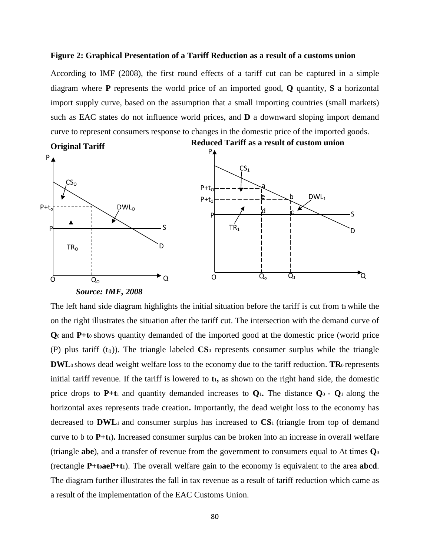#### **Figure 2: Graphical Presentation of a Tariff Reduction as a result of a customs union**

According to IMF (2008), the first round effects of a tariff cut can be captured in a simple diagram where **P** represents the world price of an imported good, **Q** quantity, **S** a horizontal import supply curve, based on the assumption that a small importing countries (small markets) such as EAC states do not influence world prices, and **D** a downward sloping import demand curve to represent consumers response to changes in the domestic price of the imported goods.



The left hand side diagram highlights the initial situation before the tariff is cut from to while the on the right illustrates the situation after the tariff cut. The intersection with the demand curve of **Q**0 and **P+t**0 shows quantity demanded of the imported good at the domestic price (world price (P) plus tariff  $(t_0)$ ). The triangle labeled  $CS_0$  represents consumer surplus while the triangle **DWL**<sub>0</sub> shows dead weight welfare loss to the economy due to the tariff reduction. **TR**<sub>0</sub> represents initial tariff revenue. If the tariff is lowered to **t**<sub>1</sub>, as shown on the right hand side, the domestic price drops to  $P+t_1$  and quantity demanded increases to  $Q_1$ . The distance  $Q_0$  **-**  $Q_1$  along the horizontal axes represents trade creation**.** Importantly, the dead weight loss to the economy has decreased to **DWL**1 and consumer surplus has increased to **CS**1 (triangle from top of demand curve to b to **P+t1**)**.** Increased consumer surplus can be broken into an increase in overall welfare (triangle **abe**), and a transfer of revenue from the government to consumers equal to Δt times **Q**<sup>0</sup> (rectangle **P+t0aeP+t1**). The overall welfare gain to the economy is equivalent to the area **abcd**. The diagram further illustrates the fall in tax revenue as a result of tariff reduction which came as a result of the implementation of the EAC Customs Union.